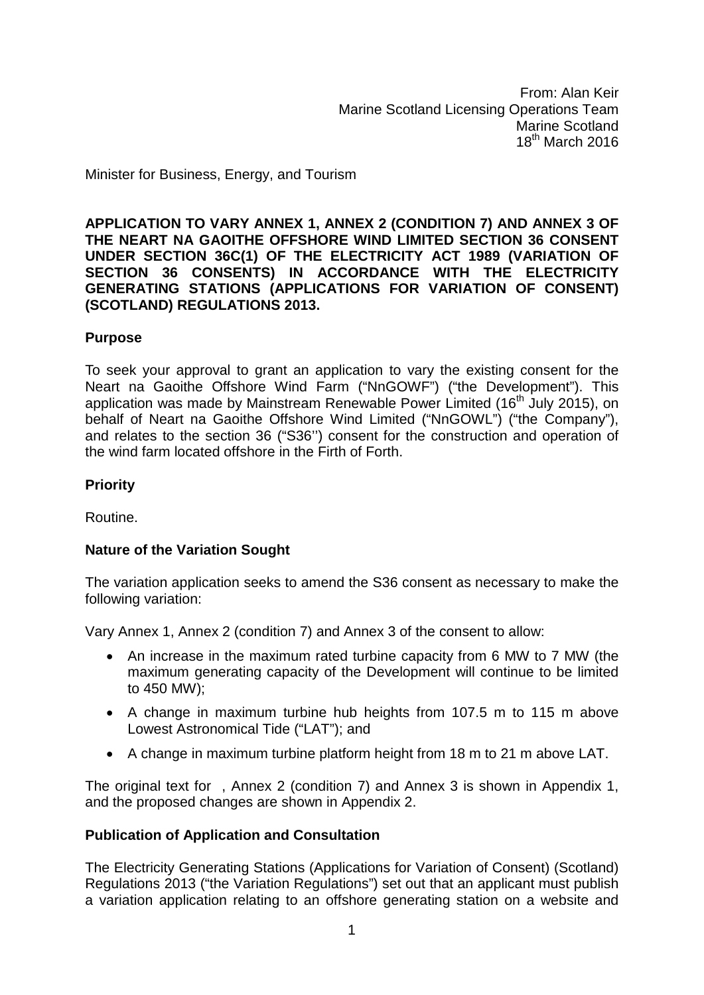From: Alan Keir Marine Scotland Licensing Operations Team Marine Scotland  $18^{th}$  March 2016

Minister for Business, Energy, and Tourism

**APPLICATION TO VARY ANNEX 1, ANNEX 2 (CONDITION 7) AND ANNEX 3 OF THE NEART NA GAOITHE OFFSHORE WIND LIMITED SECTION 36 CONSENT UNDER SECTION 36C(1) OF THE ELECTRICITY ACT 1989 (VARIATION OF SECTION 36 CONSENTS) IN ACCORDANCE WITH THE ELECTRICITY GENERATING STATIONS (APPLICATIONS FOR VARIATION OF CONSENT) (SCOTLAND) REGULATIONS 2013.**

#### **Purpose**

To seek your approval to grant an application to vary the existing consent for the Neart na Gaoithe Offshore Wind Farm ("NnGOWF") ("the Development"). This application was made by Mainstream Renewable Power Limited (16<sup>th</sup> July 2015), on behalf of Neart na Gaoithe Offshore Wind Limited ("NnGOWL") ("the Company"), and relates to the section 36 ("S36'') consent for the construction and operation of the wind farm located offshore in the Firth of Forth.

#### **Priority**

Routine.

#### **Nature of the Variation Sought**

The variation application seeks to amend the S36 consent as necessary to make the following variation:

Vary Annex 1, Annex 2 (condition 7) and Annex 3 of the consent to allow:

- An increase in the maximum rated turbine capacity from 6 MW to 7 MW (the maximum generating capacity of the Development will continue to be limited to 450 MW);
- A change in maximum turbine hub heights from 107.5 m to 115 m above Lowest Astronomical Tide ("LAT"); and
- A change in maximum turbine platform height from 18 m to 21 m above LAT.

The original text for , Annex 2 (condition 7) and Annex 3 is shown in Appendix 1, and the proposed changes are shown in Appendix 2.

#### **Publication of Application and Consultation**

The Electricity Generating Stations (Applications for Variation of Consent) (Scotland) Regulations 2013 ("the Variation Regulations") set out that an applicant must publish a variation application relating to an offshore generating station on a website and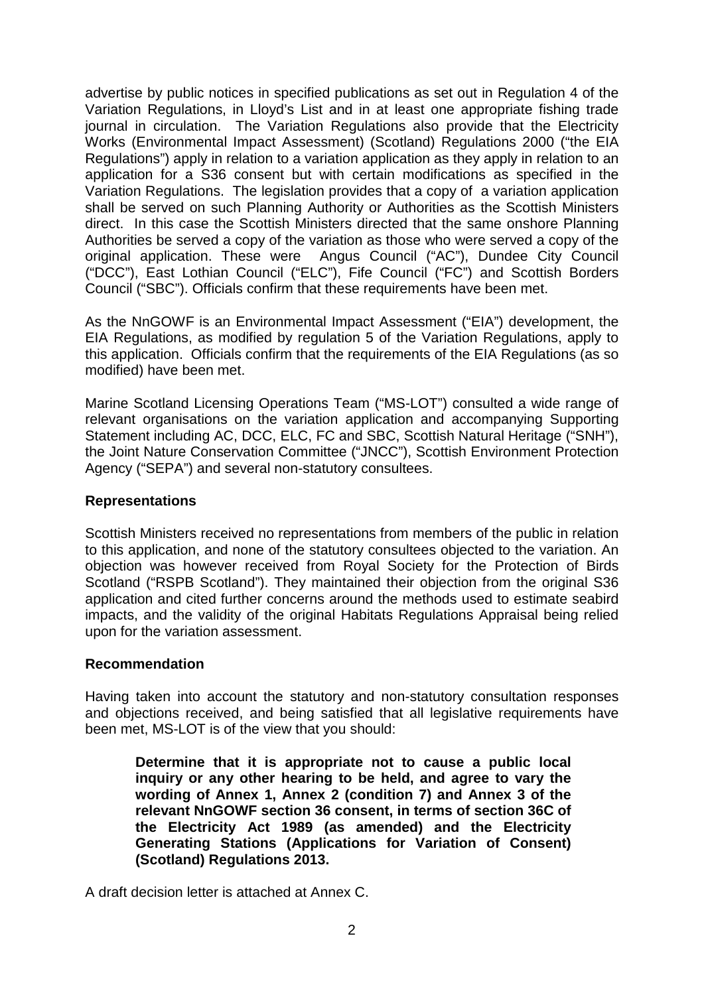advertise by public notices in specified publications as set out in Regulation 4 of the Variation Regulations, in Lloyd's List and in at least one appropriate fishing trade journal in circulation. The Variation Regulations also provide that the Electricity Works (Environmental Impact Assessment) (Scotland) Regulations 2000 ("the EIA Regulations") apply in relation to a variation application as they apply in relation to an application for a S36 consent but with certain modifications as specified in the Variation Regulations. The legislation provides that a copy of a variation application shall be served on such Planning Authority or Authorities as the Scottish Ministers direct. In this case the Scottish Ministers directed that the same onshore Planning Authorities be served a copy of the variation as those who were served a copy of the original application. These were Angus Council ("AC"), Dundee City Council ("DCC"), East Lothian Council ("ELC"), Fife Council ("FC") and Scottish Borders Council ("SBC"). Officials confirm that these requirements have been met.

As the NnGOWF is an Environmental Impact Assessment ("EIA") development, the EIA Regulations, as modified by regulation 5 of the Variation Regulations, apply to this application. Officials confirm that the requirements of the EIA Regulations (as so modified) have been met.

Marine Scotland Licensing Operations Team ("MS-LOT") consulted a wide range of relevant organisations on the variation application and accompanying Supporting Statement including AC, DCC, ELC, FC and SBC, Scottish Natural Heritage ("SNH"), the Joint Nature Conservation Committee ("JNCC"), Scottish Environment Protection Agency ("SEPA") and several non-statutory consultees.

#### **Representations**

Scottish Ministers received no representations from members of the public in relation to this application, and none of the statutory consultees objected to the variation. An objection was however received from Royal Society for the Protection of Birds Scotland ("RSPB Scotland"). They maintained their objection from the original S36 application and cited further concerns around the methods used to estimate seabird impacts, and the validity of the original Habitats Regulations Appraisal being relied upon for the variation assessment.

#### **Recommendation**

Having taken into account the statutory and non-statutory consultation responses and objections received, and being satisfied that all legislative requirements have been met, MS-LOT is of the view that you should:

**Determine that it is appropriate not to cause a public local inquiry or any other hearing to be held, and agree to vary the wording of Annex 1, Annex 2 (condition 7) and Annex 3 of the relevant NnGOWF section 36 consent, in terms of section 36C of the Electricity Act 1989 (as amended) and the Electricity Generating Stations (Applications for Variation of Consent) (Scotland) Regulations 2013.**

A draft decision letter is attached at Annex C.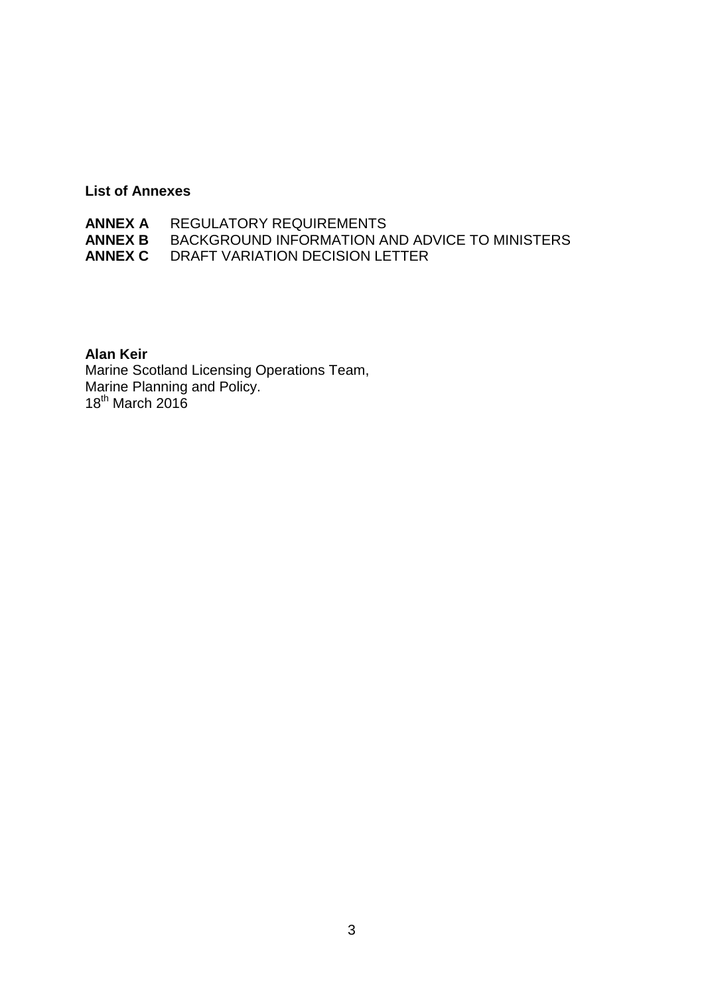# **List of Annexes**

| <b>ANNEX A REGULATORY REQUIREMENTS</b>                        |
|---------------------------------------------------------------|
| <b>ANNEX B BACKGROUND INFORMATION AND ADVICE TO MINISTERS</b> |
| <b>ANNEX C DRAFT VARIATION DECISION LETTER</b>                |

# **Alan Keir**

Marine Scotland Licensing Operations Team, Marine Planning and Policy. 18<sup>th</sup> March 2016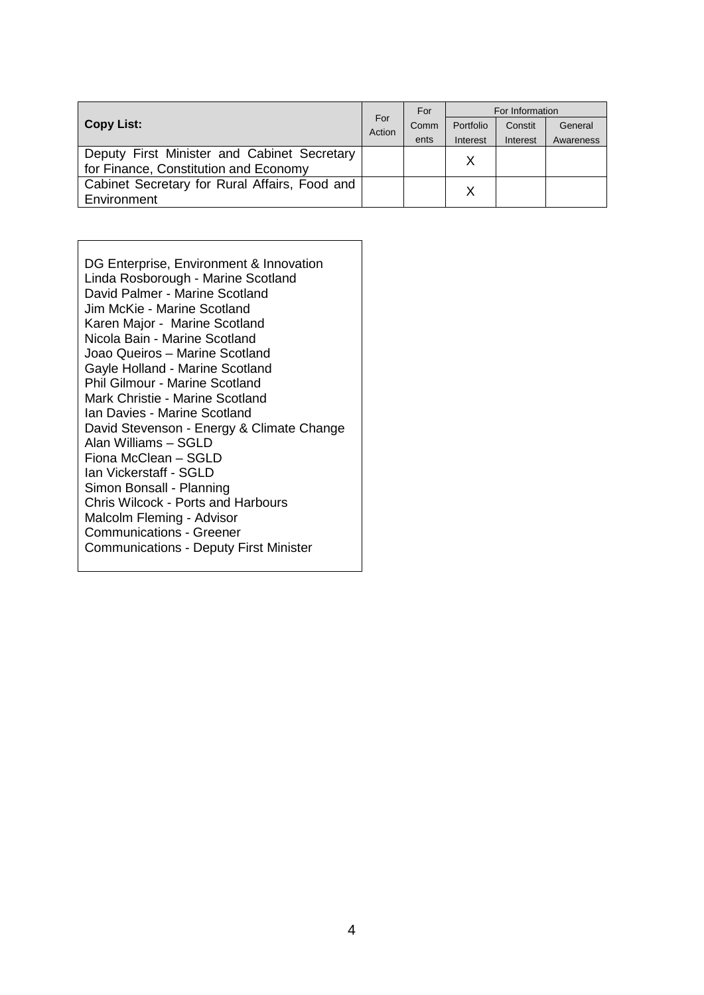| <b>Copy List:</b>                             |  | For  | For Information |          |           |
|-----------------------------------------------|--|------|-----------------|----------|-----------|
|                                               |  | Comm | Portfolio       | Constit  | General   |
|                                               |  | ents | Interest        | Interest | Awareness |
| Deputy First Minister and Cabinet Secretary   |  |      |                 |          |           |
| for Finance, Constitution and Economy         |  |      |                 |          |           |
| Cabinet Secretary for Rural Affairs, Food and |  |      |                 |          |           |
| Environment                                   |  |      |                 |          |           |

DG Enterprise, Environment & Innovation Linda Rosborough - Marine Scotland David Palmer - Marine Scotland Jim McKie - Marine Scotland Karen Major - Marine Scotland Nicola Bain - Marine Scotland Joao Queiros – Marine Scotland Gayle Holland - Marine Scotland Phil Gilmour - Marine Scotland Mark Christie - Marine Scotland Ian Davies - Marine Scotland David Stevenson - Energy & Climate Change Alan Williams – SGLD Fiona McClean – SGLD Ian Vickerstaff - SGLD Simon Bonsall - Planning Chris Wilcock - Ports and Harbours Malcolm Fleming - Advisor Communications - Greener Communications - Deputy First Minister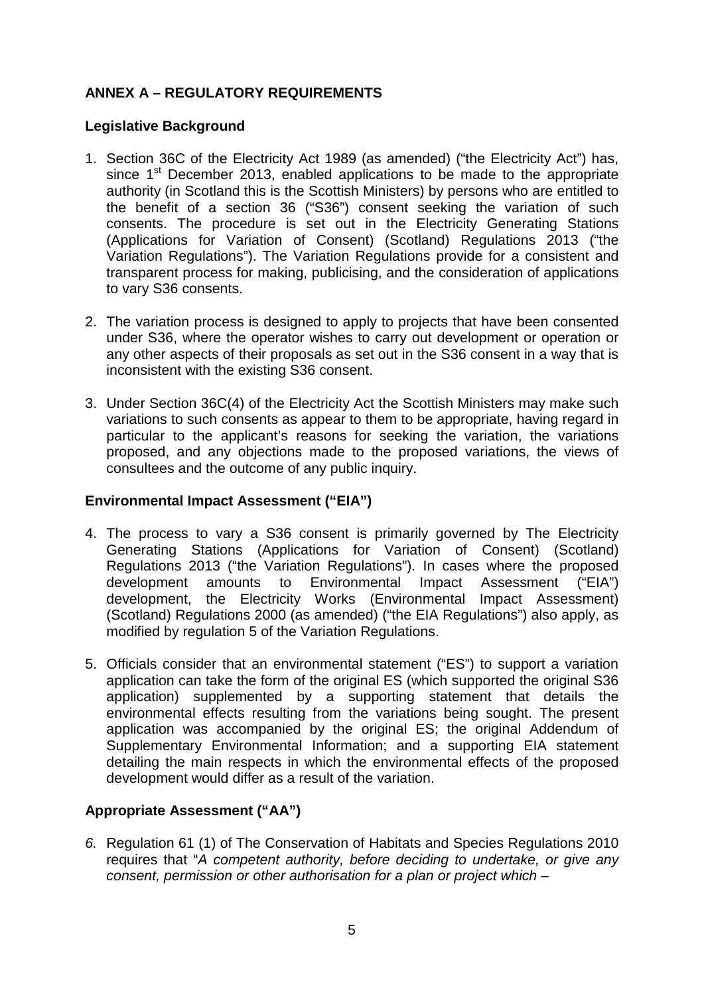# **ANNEX A – REGULATORY REQUIREMENTS**

#### **Legislative Background**

- 1. Section 36C of the Electricity Act 1989 (as amended) ("the Electricity Act") has, since 1<sup>st</sup> December 2013, enabled applications to be made to the appropriate authority (in Scotland this is the Scottish Ministers) by persons who are entitled to the benefit of a section 36 ("S36") consent seeking the variation of such consents. The procedure is set out in the Electricity Generating Stations (Applications for Variation of Consent) (Scotland) Regulations 2013 ("the Variation Regulations"). The Variation Regulations provide for a consistent and transparent process for making, publicising, and the consideration of applications to vary S36 consents.
- 2. The variation process is designed to apply to projects that have been consented under S36, where the operator wishes to carry out development or operation or any other aspects of their proposals as set out in the S36 consent in a way that is inconsistent with the existing S36 consent.
- 3. Under Section 36C(4) of the Electricity Act the Scottish Ministers may make such variations to such consents as appear to them to be appropriate, having regard in particular to the applicant's reasons for seeking the variation, the variations proposed, and any objections made to the proposed variations, the views of consultees and the outcome of any public inquiry.

#### **Environmental Impact Assessment ("EIA")**

- 4. The process to vary a S36 consent is primarily governed by The Electricity Generating Stations (Applications for Variation of Consent) (Scotland) Regulations 2013 ("the Variation Regulations"). In cases where the proposed development amounts to Environmental Impact Assessment ("EIA") development, the Electricity Works (Environmental Impact Assessment) (Scotland) Regulations 2000 (as amended) ("the EIA Regulations") also apply, as modified by regulation 5 of the Variation Regulations.
- 5. Officials consider that an environmental statement ("ES") to support a variation application can take the form of the original ES (which supported the original S36 application) supplemented by a supporting statement that details the environmental effects resulting from the variations being sought. The present application was accompanied by the original ES; the original Addendum of Supplementary Environmental Information; and a supporting EIA statement detailing the main respects in which the environmental effects of the proposed development would differ as a result of the variation.

# **Appropriate Assessment ("AA")**

*6.* Regulation 61 (1) of The Conservation of Habitats and Species Regulations 2010 requires that "*A competent authority, before deciding to undertake, or give any consent, permission or other authorisation for a plan or project which –*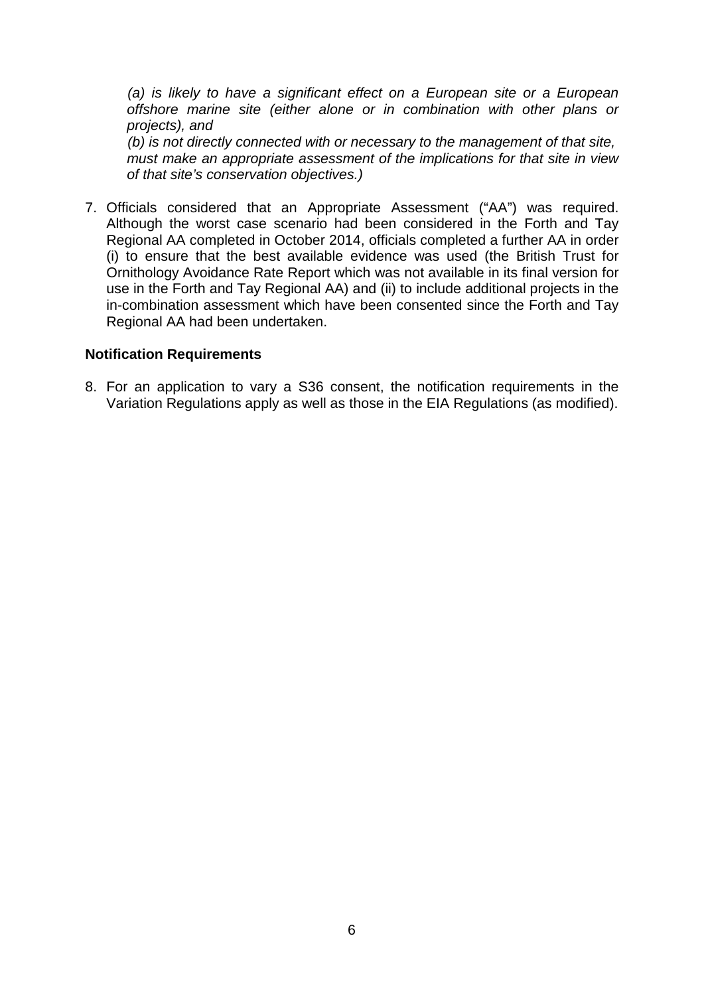*(a) is likely to have a significant effect on a European site or a European offshore marine site (either alone or in combination with other plans or projects), and (b) is not directly connected with or necessary to the management of that site,*

*must make an appropriate assessment of the implications for that site in view of that site's conservation objectives.)*

7. Officials considered that an Appropriate Assessment ("AA") was required. Although the worst case scenario had been considered in the Forth and Tay Regional AA completed in October 2014, officials completed a further AA in order (i) to ensure that the best available evidence was used (the British Trust for Ornithology Avoidance Rate Report which was not available in its final version for use in the Forth and Tay Regional AA) and (ii) to include additional projects in the in-combination assessment which have been consented since the Forth and Tay Regional AA had been undertaken.

#### **Notification Requirements**

8. For an application to vary a S36 consent, the notification requirements in the Variation Regulations apply as well as those in the EIA Regulations (as modified).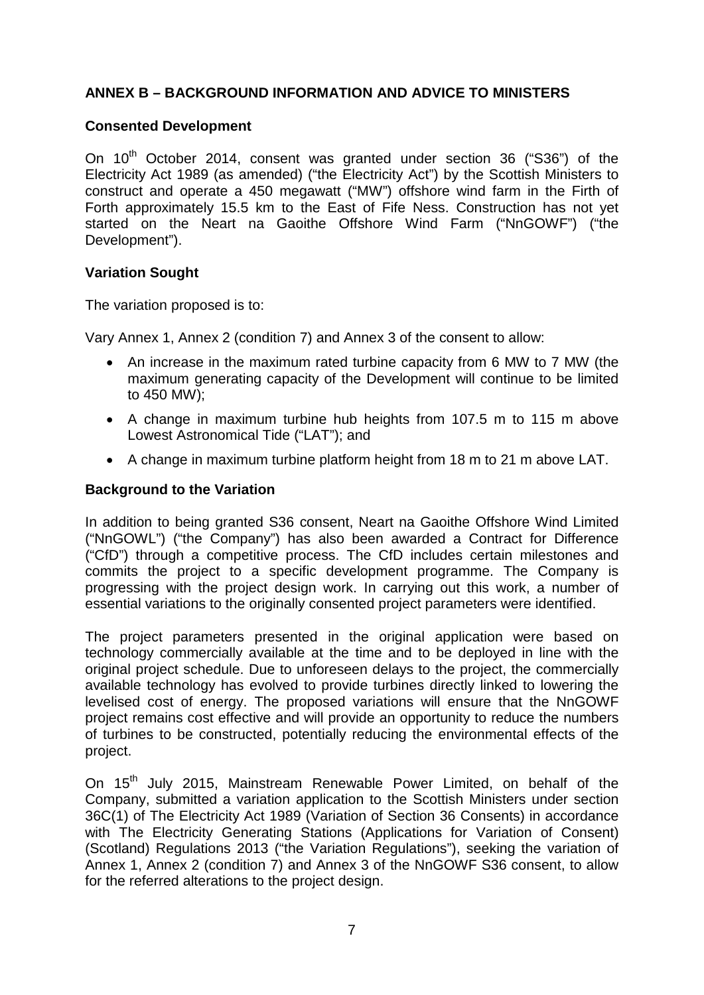# **ANNEX B – BACKGROUND INFORMATION AND ADVICE TO MINISTERS**

#### **Consented Development**

On  $10^{th}$  October 2014, consent was granted under section 36 ("S36") of the Electricity Act 1989 (as amended) ("the Electricity Act") by the Scottish Ministers to construct and operate a 450 megawatt ("MW") offshore wind farm in the Firth of Forth approximately 15.5 km to the East of Fife Ness. Construction has not yet started on the Neart na Gaoithe Offshore Wind Farm ("NnGOWF") ("the Development").

#### **Variation Sought**

The variation proposed is to:

Vary Annex 1, Annex 2 (condition 7) and Annex 3 of the consent to allow:

- An increase in the maximum rated turbine capacity from 6 MW to 7 MW (the maximum generating capacity of the Development will continue to be limited to 450 MW);
- A change in maximum turbine hub heights from 107.5 m to 115 m above Lowest Astronomical Tide ("LAT"); and
- A change in maximum turbine platform height from 18 m to 21 m above LAT.

#### **Background to the Variation**

In addition to being granted S36 consent, Neart na Gaoithe Offshore Wind Limited ("NnGOWL") ("the Company") has also been awarded a Contract for Difference ("CfD") through a competitive process. The CfD includes certain milestones and commits the project to a specific development programme. The Company is progressing with the project design work. In carrying out this work, a number of essential variations to the originally consented project parameters were identified.

The project parameters presented in the original application were based on technology commercially available at the time and to be deployed in line with the original project schedule. Due to unforeseen delays to the project, the commercially available technology has evolved to provide turbines directly linked to lowering the levelised cost of energy. The proposed variations will ensure that the NnGOWF project remains cost effective and will provide an opportunity to reduce the numbers of turbines to be constructed, potentially reducing the environmental effects of the project.

On 15<sup>th</sup> July 2015, Mainstream Renewable Power Limited, on behalf of the Company, submitted a variation application to the Scottish Ministers under section 36C(1) of The Electricity Act 1989 (Variation of Section 36 Consents) in accordance with The Electricity Generating Stations (Applications for Variation of Consent) (Scotland) Regulations 2013 ("the Variation Regulations"), seeking the variation of Annex 1, Annex 2 (condition 7) and Annex 3 of the NnGOWF S36 consent, to allow for the referred alterations to the project design.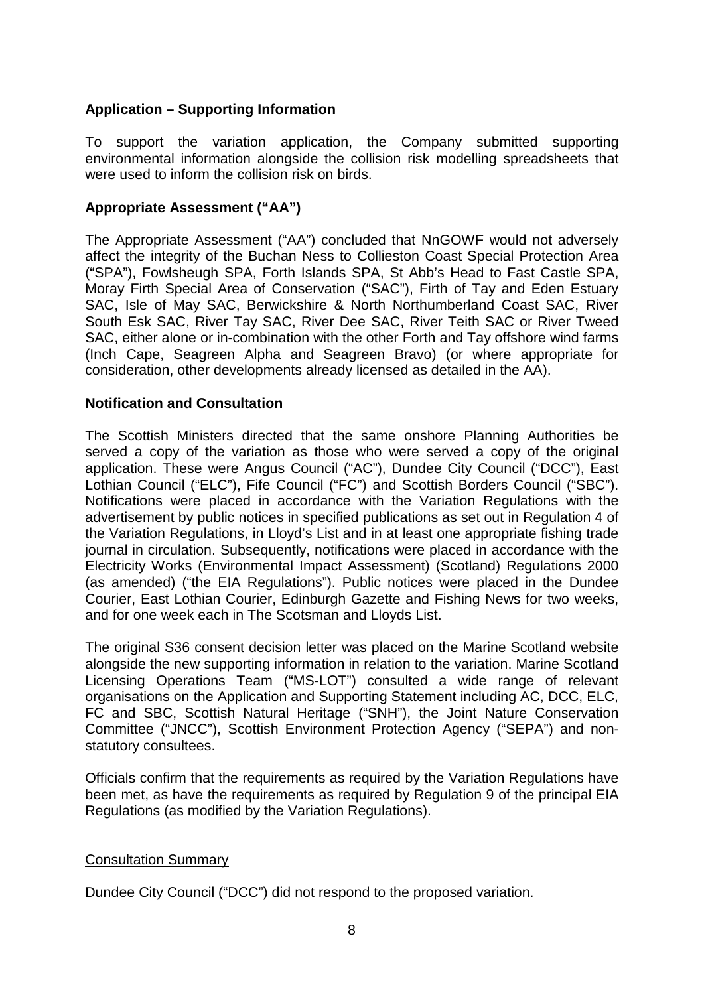## **Application – Supporting Information**

To support the variation application, the Company submitted supporting environmental information alongside the collision risk modelling spreadsheets that were used to inform the collision risk on birds.

#### **Appropriate Assessment ("AA")**

The Appropriate Assessment ("AA") concluded that NnGOWF would not adversely affect the integrity of the Buchan Ness to Collieston Coast Special Protection Area ("SPA"), Fowlsheugh SPA, Forth Islands SPA, St Abb's Head to Fast Castle SPA, Moray Firth Special Area of Conservation ("SAC"), Firth of Tay and Eden Estuary SAC, Isle of May SAC, Berwickshire & North Northumberland Coast SAC, River South Esk SAC, River Tay SAC, River Dee SAC, River Teith SAC or River Tweed SAC, either alone or in-combination with the other Forth and Tay offshore wind farms (Inch Cape, Seagreen Alpha and Seagreen Bravo) (or where appropriate for consideration, other developments already licensed as detailed in the AA).

#### **Notification and Consultation**

The Scottish Ministers directed that the same onshore Planning Authorities be served a copy of the variation as those who were served a copy of the original application. These were Angus Council ("AC"), Dundee City Council ("DCC"), East Lothian Council ("ELC"), Fife Council ("FC") and Scottish Borders Council ("SBC"). Notifications were placed in accordance with the Variation Regulations with the advertisement by public notices in specified publications as set out in Regulation 4 of the Variation Regulations, in Lloyd's List and in at least one appropriate fishing trade journal in circulation. Subsequently, notifications were placed in accordance with the Electricity Works (Environmental Impact Assessment) (Scotland) Regulations 2000 (as amended) ("the EIA Regulations"). Public notices were placed in the Dundee Courier, East Lothian Courier, Edinburgh Gazette and Fishing News for two weeks, and for one week each in The Scotsman and Lloyds List.

The original S36 consent decision letter was placed on the Marine Scotland website alongside the new supporting information in relation to the variation. Marine Scotland Licensing Operations Team ("MS-LOT") consulted a wide range of relevant organisations on the Application and Supporting Statement including AC, DCC, ELC, FC and SBC, Scottish Natural Heritage ("SNH"), the Joint Nature Conservation Committee ("JNCC"), Scottish Environment Protection Agency ("SEPA") and nonstatutory consultees.

Officials confirm that the requirements as required by the Variation Regulations have been met, as have the requirements as required by Regulation 9 of the principal EIA Regulations (as modified by the Variation Regulations).

#### Consultation Summary

Dundee City Council ("DCC") did not respond to the proposed variation.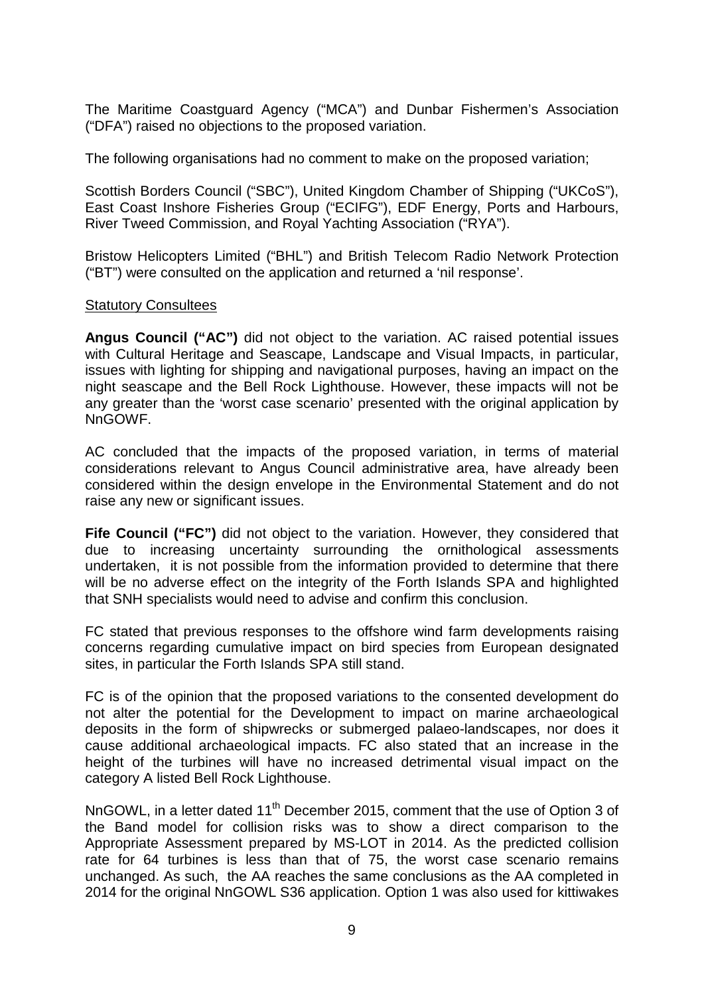The Maritime Coastguard Agency ("MCA") and Dunbar Fishermen's Association ("DFA") raised no objections to the proposed variation.

The following organisations had no comment to make on the proposed variation;

Scottish Borders Council ("SBC"), United Kingdom Chamber of Shipping ("UKCoS"), East Coast Inshore Fisheries Group ("ECIFG"), EDF Energy, Ports and Harbours, River Tweed Commission, and Royal Yachting Association ("RYA").

Bristow Helicopters Limited ("BHL") and British Telecom Radio Network Protection ("BT") were consulted on the application and returned a 'nil response'.

#### Statutory Consultees

**Angus Council ("AC")** did not object to the variation. AC raised potential issues with Cultural Heritage and Seascape, Landscape and Visual Impacts, in particular, issues with lighting for shipping and navigational purposes, having an impact on the night seascape and the Bell Rock Lighthouse. However, these impacts will not be any greater than the 'worst case scenario' presented with the original application by NnGOWF.

AC concluded that the impacts of the proposed variation, in terms of material considerations relevant to Angus Council administrative area, have already been considered within the design envelope in the Environmental Statement and do not raise any new or significant issues.

**Fife Council ("FC")** did not object to the variation. However, they considered that due to increasing uncertainty surrounding the ornithological assessments undertaken, it is not possible from the information provided to determine that there will be no adverse effect on the integrity of the Forth Islands SPA and highlighted that SNH specialists would need to advise and confirm this conclusion.

FC stated that previous responses to the offshore wind farm developments raising concerns regarding cumulative impact on bird species from European designated sites, in particular the Forth Islands SPA still stand.

FC is of the opinion that the proposed variations to the consented development do not alter the potential for the Development to impact on marine archaeological deposits in the form of shipwrecks or submerged palaeo-landscapes, nor does it cause additional archaeological impacts. FC also stated that an increase in the height of the turbines will have no increased detrimental visual impact on the category A listed Bell Rock Lighthouse.

NnGOWL, in a letter dated 11<sup>th</sup> December 2015, comment that the use of Option 3 of the Band model for collision risks was to show a direct comparison to the Appropriate Assessment prepared by MS-LOT in 2014. As the predicted collision rate for 64 turbines is less than that of 75, the worst case scenario remains unchanged. As such, the AA reaches the same conclusions as the AA completed in 2014 for the original NnGOWL S36 application. Option 1 was also used for kittiwakes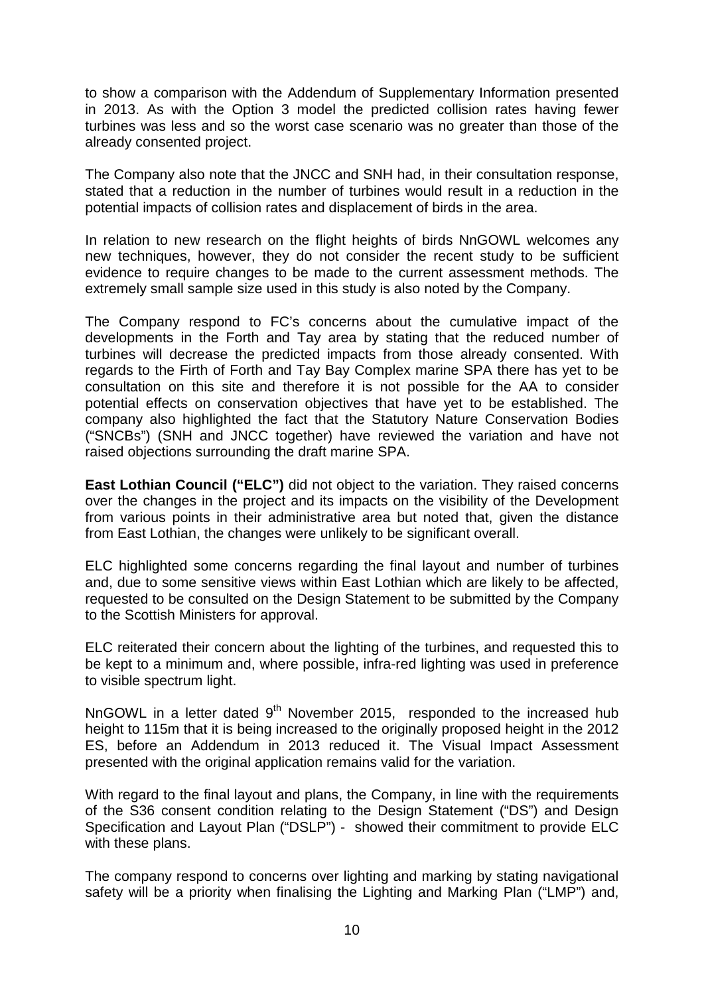to show a comparison with the Addendum of Supplementary Information presented in 2013. As with the Option 3 model the predicted collision rates having fewer turbines was less and so the worst case scenario was no greater than those of the already consented project.

The Company also note that the JNCC and SNH had, in their consultation response, stated that a reduction in the number of turbines would result in a reduction in the potential impacts of collision rates and displacement of birds in the area.

In relation to new research on the flight heights of birds NnGOWL welcomes any new techniques, however, they do not consider the recent study to be sufficient evidence to require changes to be made to the current assessment methods. The extremely small sample size used in this study is also noted by the Company.

The Company respond to FC's concerns about the cumulative impact of the developments in the Forth and Tay area by stating that the reduced number of turbines will decrease the predicted impacts from those already consented. With regards to the Firth of Forth and Tay Bay Complex marine SPA there has yet to be consultation on this site and therefore it is not possible for the AA to consider potential effects on conservation objectives that have yet to be established. The company also highlighted the fact that the Statutory Nature Conservation Bodies ("SNCBs") (SNH and JNCC together) have reviewed the variation and have not raised objections surrounding the draft marine SPA.

**East Lothian Council ("ELC")** did not object to the variation. They raised concerns over the changes in the project and its impacts on the visibility of the Development from various points in their administrative area but noted that, given the distance from East Lothian, the changes were unlikely to be significant overall.

ELC highlighted some concerns regarding the final layout and number of turbines and, due to some sensitive views within East Lothian which are likely to be affected, requested to be consulted on the Design Statement to be submitted by the Company to the Scottish Ministers for approval.

ELC reiterated their concern about the lighting of the turbines, and requested this to be kept to a minimum and, where possible, infra-red lighting was used in preference to visible spectrum light.

NnGOWL in a letter dated  $9<sup>th</sup>$  November 2015, responded to the increased hub height to 115m that it is being increased to the originally proposed height in the 2012 ES, before an Addendum in 2013 reduced it. The Visual Impact Assessment presented with the original application remains valid for the variation.

With regard to the final layout and plans, the Company, in line with the requirements of the S36 consent condition relating to the Design Statement ("DS") and Design Specification and Layout Plan ("DSLP") - showed their commitment to provide ELC with these plans.

The company respond to concerns over lighting and marking by stating navigational safety will be a priority when finalising the Lighting and Marking Plan ("LMP") and,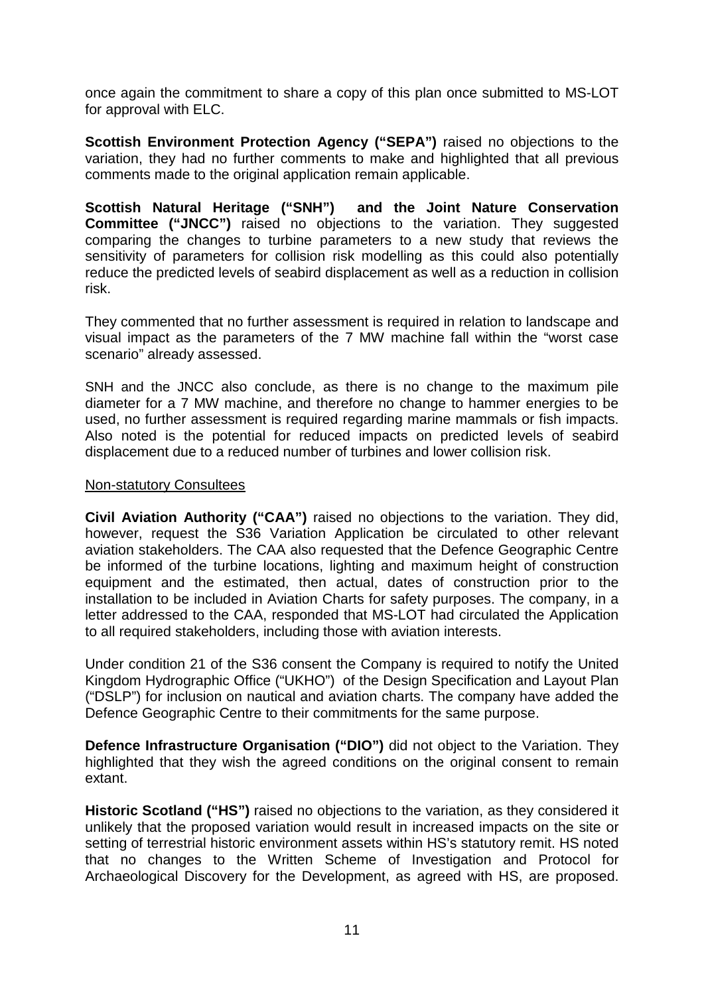once again the commitment to share a copy of this plan once submitted to MS-LOT for approval with ELC.

**Scottish Environment Protection Agency ("SEPA")** raised no objections to the variation, they had no further comments to make and highlighted that all previous comments made to the original application remain applicable.

**Scottish Natural Heritage ("SNH") and the Joint Nature Conservation Committee ("JNCC")** raised no objections to the variation. They suggested comparing the changes to turbine parameters to a new study that reviews the sensitivity of parameters for collision risk modelling as this could also potentially reduce the predicted levels of seabird displacement as well as a reduction in collision risk.

They commented that no further assessment is required in relation to landscape and visual impact as the parameters of the 7 MW machine fall within the "worst case scenario" already assessed.

SNH and the JNCC also conclude, as there is no change to the maximum pile diameter for a 7 MW machine, and therefore no change to hammer energies to be used, no further assessment is required regarding marine mammals or fish impacts. Also noted is the potential for reduced impacts on predicted levels of seabird displacement due to a reduced number of turbines and lower collision risk.

#### Non-statutory Consultees

**Civil Aviation Authority ("CAA")** raised no objections to the variation. They did, however, request the S36 Variation Application be circulated to other relevant aviation stakeholders. The CAA also requested that the Defence Geographic Centre be informed of the turbine locations, lighting and maximum height of construction equipment and the estimated, then actual, dates of construction prior to the installation to be included in Aviation Charts for safety purposes. The company, in a letter addressed to the CAA, responded that MS-LOT had circulated the Application to all required stakeholders, including those with aviation interests.

Under condition 21 of the S36 consent the Company is required to notify the United Kingdom Hydrographic Office ("UKHO") of the Design Specification and Layout Plan ("DSLP") for inclusion on nautical and aviation charts. The company have added the Defence Geographic Centre to their commitments for the same purpose.

**Defence Infrastructure Organisation ("DIO")** did not object to the Variation. They highlighted that they wish the agreed conditions on the original consent to remain extant.

**Historic Scotland ("HS")** raised no objections to the variation, as they considered it unlikely that the proposed variation would result in increased impacts on the site or setting of terrestrial historic environment assets within HS's statutory remit. HS noted that no changes to the Written Scheme of Investigation and Protocol for Archaeological Discovery for the Development, as agreed with HS, are proposed.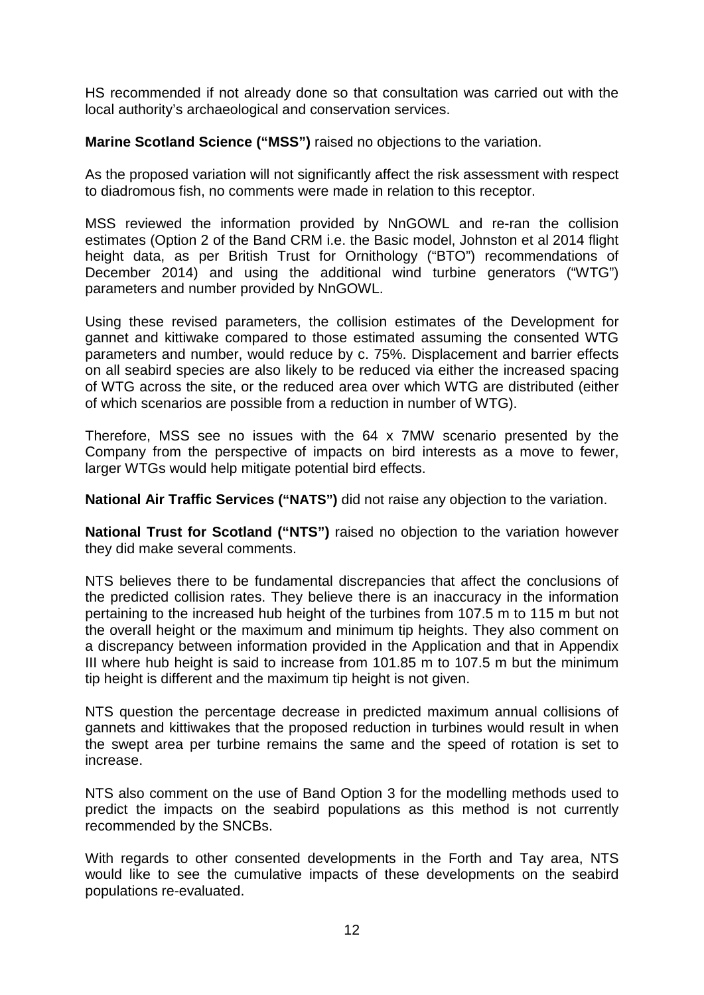HS recommended if not already done so that consultation was carried out with the local authority's archaeological and conservation services.

**Marine Scotland Science ("MSS")** raised no objections to the variation.

As the proposed variation will not significantly affect the risk assessment with respect to diadromous fish, no comments were made in relation to this receptor.

MSS reviewed the information provided by NnGOWL and re-ran the collision estimates (Option 2 of the Band CRM i.e. the Basic model, Johnston et al 2014 flight height data, as per British Trust for Ornithology ("BTO") recommendations of December 2014) and using the additional wind turbine generators ("WTG") parameters and number provided by NnGOWL.

Using these revised parameters, the collision estimates of the Development for gannet and kittiwake compared to those estimated assuming the consented WTG parameters and number, would reduce by c. 75%. Displacement and barrier effects on all seabird species are also likely to be reduced via either the increased spacing of WTG across the site, or the reduced area over which WTG are distributed (either of which scenarios are possible from a reduction in number of WTG).

Therefore, MSS see no issues with the 64 x 7MW scenario presented by the Company from the perspective of impacts on bird interests as a move to fewer, larger WTGs would help mitigate potential bird effects.

**National Air Traffic Services ("NATS")** did not raise any objection to the variation.

**National Trust for Scotland ("NTS")** raised no objection to the variation however they did make several comments.

NTS believes there to be fundamental discrepancies that affect the conclusions of the predicted collision rates. They believe there is an inaccuracy in the information pertaining to the increased hub height of the turbines from 107.5 m to 115 m but not the overall height or the maximum and minimum tip heights. They also comment on a discrepancy between information provided in the Application and that in Appendix III where hub height is said to increase from 101.85 m to 107.5 m but the minimum tip height is different and the maximum tip height is not given.

NTS question the percentage decrease in predicted maximum annual collisions of gannets and kittiwakes that the proposed reduction in turbines would result in when the swept area per turbine remains the same and the speed of rotation is set to increase.

NTS also comment on the use of Band Option 3 for the modelling methods used to predict the impacts on the seabird populations as this method is not currently recommended by the SNCBs.

With regards to other consented developments in the Forth and Tay area, NTS would like to see the cumulative impacts of these developments on the seabird populations re-evaluated.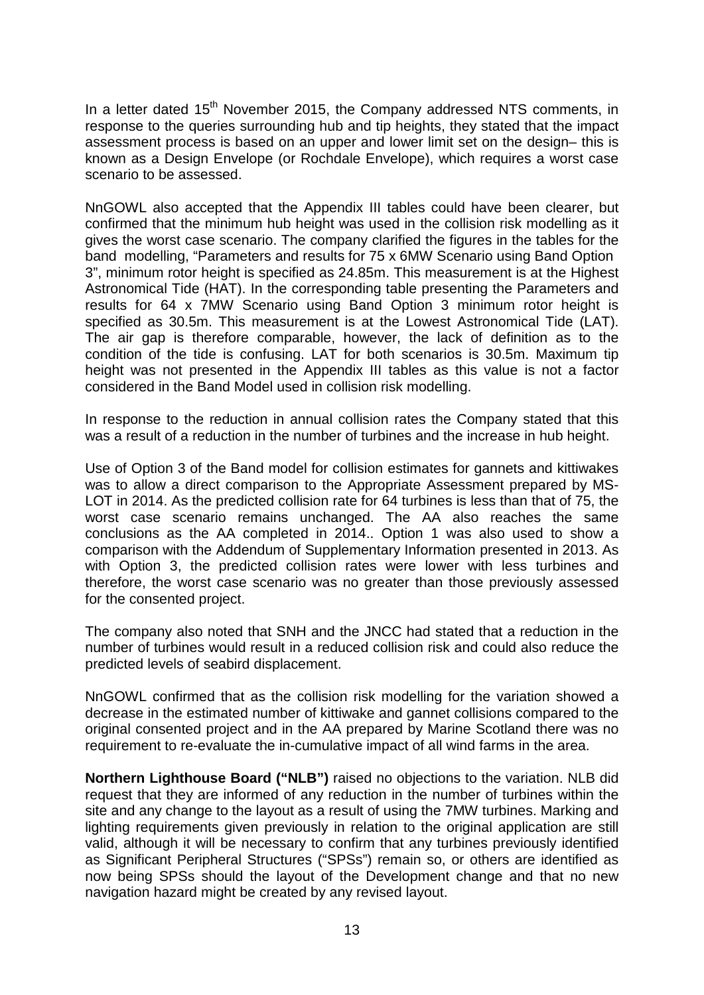In a letter dated  $15<sup>th</sup>$  November 2015, the Company addressed NTS comments, in response to the queries surrounding hub and tip heights, they stated that the impact assessment process is based on an upper and lower limit set on the design– this is known as a Design Envelope (or Rochdale Envelope), which requires a worst case scenario to be assessed.

NnGOWL also accepted that the Appendix III tables could have been clearer, but confirmed that the minimum hub height was used in the collision risk modelling as it gives the worst case scenario. The company clarified the figures in the tables for the band modelling, "Parameters and results for 75 x 6MW Scenario using Band Option 3", minimum rotor height is specified as 24.85m. This measurement is at the Highest Astronomical Tide (HAT). In the corresponding table presenting the Parameters and results for 64 x 7MW Scenario using Band Option 3 minimum rotor height is specified as 30.5m. This measurement is at the Lowest Astronomical Tide (LAT). The air gap is therefore comparable, however, the lack of definition as to the condition of the tide is confusing. LAT for both scenarios is 30.5m. Maximum tip height was not presented in the Appendix III tables as this value is not a factor considered in the Band Model used in collision risk modelling.

In response to the reduction in annual collision rates the Company stated that this was a result of a reduction in the number of turbines and the increase in hub height.

Use of Option 3 of the Band model for collision estimates for gannets and kittiwakes was to allow a direct comparison to the Appropriate Assessment prepared by MS-LOT in 2014. As the predicted collision rate for 64 turbines is less than that of 75, the worst case scenario remains unchanged. The AA also reaches the same conclusions as the AA completed in 2014.. Option 1 was also used to show a comparison with the Addendum of Supplementary Information presented in 2013. As with Option 3, the predicted collision rates were lower with less turbines and therefore, the worst case scenario was no greater than those previously assessed for the consented project.

The company also noted that SNH and the JNCC had stated that a reduction in the number of turbines would result in a reduced collision risk and could also reduce the predicted levels of seabird displacement.

NnGOWL confirmed that as the collision risk modelling for the variation showed a decrease in the estimated number of kittiwake and gannet collisions compared to the original consented project and in the AA prepared by Marine Scotland there was no requirement to re-evaluate the in-cumulative impact of all wind farms in the area.

**Northern Lighthouse Board ("NLB")** raised no objections to the variation. NLB did request that they are informed of any reduction in the number of turbines within the site and any change to the layout as a result of using the 7MW turbines. Marking and lighting requirements given previously in relation to the original application are still valid, although it will be necessary to confirm that any turbines previously identified as Significant Peripheral Structures ("SPSs") remain so, or others are identified as now being SPSs should the layout of the Development change and that no new navigation hazard might be created by any revised layout.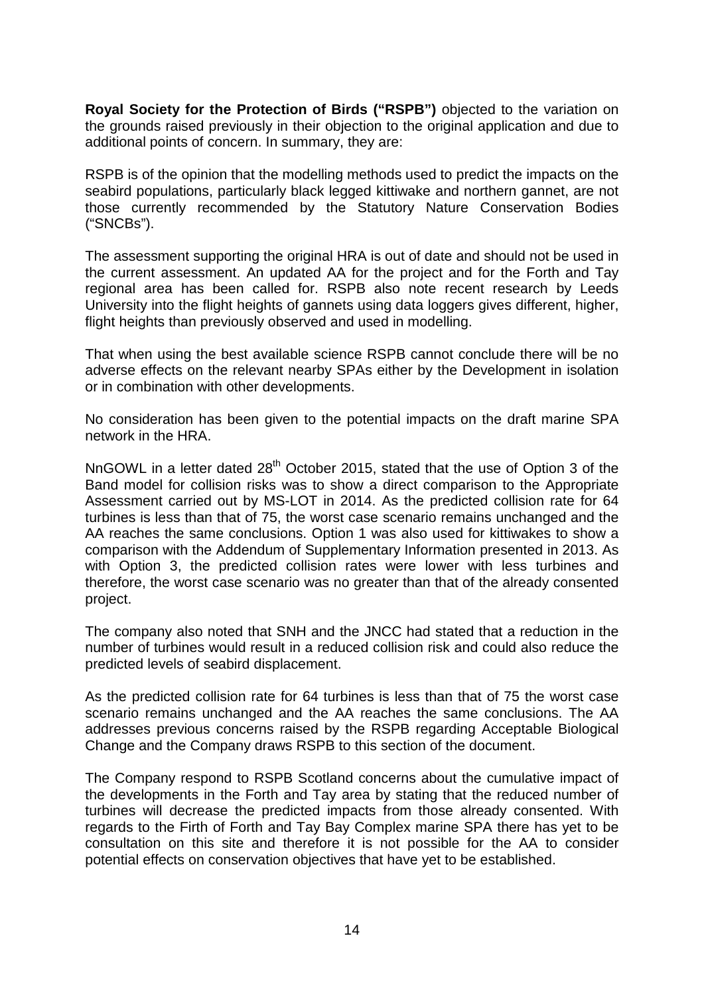**Royal Society for the Protection of Birds ("RSPB")** objected to the variation on the grounds raised previously in their objection to the original application and due to additional points of concern. In summary, they are:

RSPB is of the opinion that the modelling methods used to predict the impacts on the seabird populations, particularly black legged kittiwake and northern gannet, are not those currently recommended by the Statutory Nature Conservation Bodies ("SNCBs").

The assessment supporting the original HRA is out of date and should not be used in the current assessment. An updated AA for the project and for the Forth and Tay regional area has been called for. RSPB also note recent research by Leeds University into the flight heights of gannets using data loggers gives different, higher, flight heights than previously observed and used in modelling.

That when using the best available science RSPB cannot conclude there will be no adverse effects on the relevant nearby SPAs either by the Development in isolation or in combination with other developments.

No consideration has been given to the potential impacts on the draft marine SPA network in the HRA.

NnGOWL in a letter dated 28<sup>th</sup> October 2015, stated that the use of Option 3 of the Band model for collision risks was to show a direct comparison to the Appropriate Assessment carried out by MS-LOT in 2014. As the predicted collision rate for 64 turbines is less than that of 75, the worst case scenario remains unchanged and the AA reaches the same conclusions. Option 1 was also used for kittiwakes to show a comparison with the Addendum of Supplementary Information presented in 2013. As with Option 3, the predicted collision rates were lower with less turbines and therefore, the worst case scenario was no greater than that of the already consented project.

The company also noted that SNH and the JNCC had stated that a reduction in the number of turbines would result in a reduced collision risk and could also reduce the predicted levels of seabird displacement.

As the predicted collision rate for 64 turbines is less than that of 75 the worst case scenario remains unchanged and the AA reaches the same conclusions. The AA addresses previous concerns raised by the RSPB regarding Acceptable Biological Change and the Company draws RSPB to this section of the document.

The Company respond to RSPB Scotland concerns about the cumulative impact of the developments in the Forth and Tay area by stating that the reduced number of turbines will decrease the predicted impacts from those already consented. With regards to the Firth of Forth and Tay Bay Complex marine SPA there has yet to be consultation on this site and therefore it is not possible for the AA to consider potential effects on conservation objectives that have yet to be established.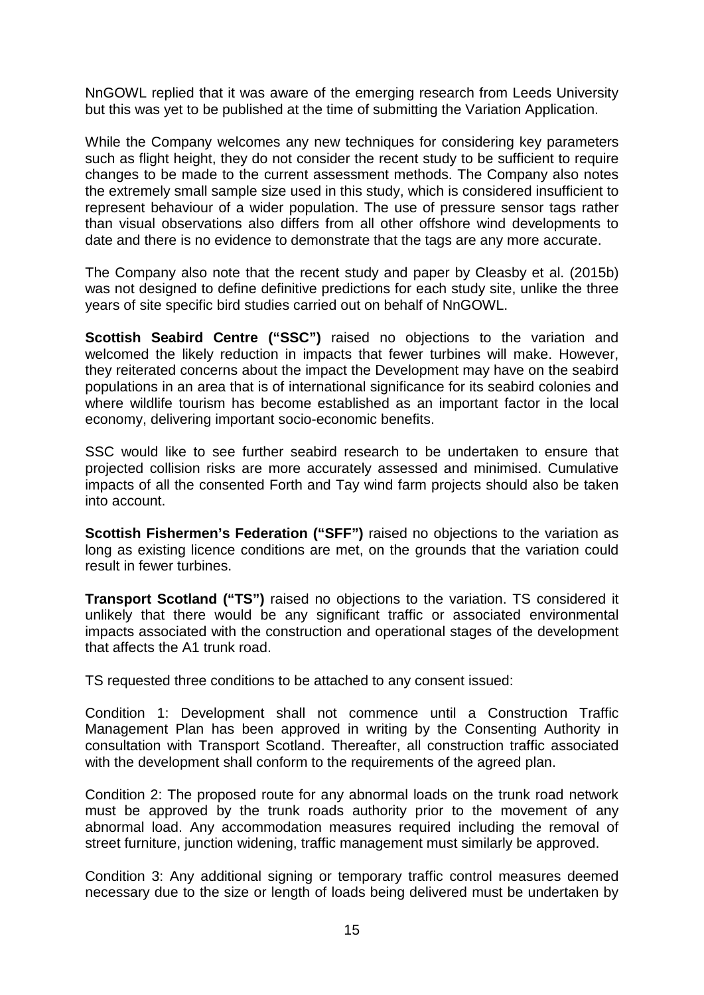NnGOWL replied that it was aware of the emerging research from Leeds University but this was yet to be published at the time of submitting the Variation Application.

While the Company welcomes any new techniques for considering key parameters such as flight height, they do not consider the recent study to be sufficient to require changes to be made to the current assessment methods. The Company also notes the extremely small sample size used in this study, which is considered insufficient to represent behaviour of a wider population. The use of pressure sensor tags rather than visual observations also differs from all other offshore wind developments to date and there is no evidence to demonstrate that the tags are any more accurate.

The Company also note that the recent study and paper by Cleasby et al. (2015b) was not designed to define definitive predictions for each study site, unlike the three years of site specific bird studies carried out on behalf of NnGOWL.

**Scottish Seabird Centre ("SSC")** raised no objections to the variation and welcomed the likely reduction in impacts that fewer turbines will make. However, they reiterated concerns about the impact the Development may have on the seabird populations in an area that is of international significance for its seabird colonies and where wildlife tourism has become established as an important factor in the local economy, delivering important socio-economic benefits.

SSC would like to see further seabird research to be undertaken to ensure that projected collision risks are more accurately assessed and minimised. Cumulative impacts of all the consented Forth and Tay wind farm projects should also be taken into account.

**Scottish Fishermen's Federation ("SFF")** raised no objections to the variation as long as existing licence conditions are met, on the grounds that the variation could result in fewer turbines.

**Transport Scotland ("TS")** raised no objections to the variation. TS considered it unlikely that there would be any significant traffic or associated environmental impacts associated with the construction and operational stages of the development that affects the A1 trunk road.

TS requested three conditions to be attached to any consent issued:

Condition 1: Development shall not commence until a Construction Traffic Management Plan has been approved in writing by the Consenting Authority in consultation with Transport Scotland. Thereafter, all construction traffic associated with the development shall conform to the requirements of the agreed plan.

Condition 2: The proposed route for any abnormal loads on the trunk road network must be approved by the trunk roads authority prior to the movement of any abnormal load. Any accommodation measures required including the removal of street furniture, junction widening, traffic management must similarly be approved.

Condition 3: Any additional signing or temporary traffic control measures deemed necessary due to the size or length of loads being delivered must be undertaken by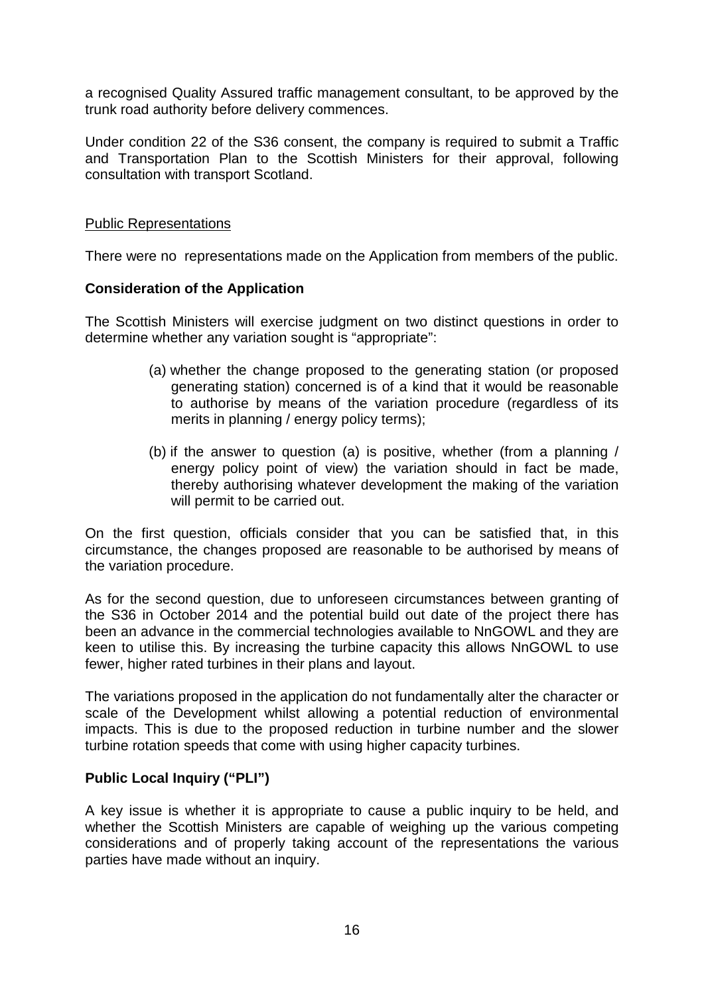a recognised Quality Assured traffic management consultant, to be approved by the trunk road authority before delivery commences.

Under condition 22 of the S36 consent, the company is required to submit a Traffic and Transportation Plan to the Scottish Ministers for their approval, following consultation with transport Scotland.

#### Public Representations

There were no representations made on the Application from members of the public.

#### **Consideration of the Application**

The Scottish Ministers will exercise judgment on two distinct questions in order to determine whether any variation sought is "appropriate":

- (a) whether the change proposed to the generating station (or proposed generating station) concerned is of a kind that it would be reasonable to authorise by means of the variation procedure (regardless of its merits in planning / energy policy terms);
- (b) if the answer to question (a) is positive, whether (from a planning / energy policy point of view) the variation should in fact be made, thereby authorising whatever development the making of the variation will permit to be carried out.

On the first question, officials consider that you can be satisfied that, in this circumstance, the changes proposed are reasonable to be authorised by means of the variation procedure.

As for the second question, due to unforeseen circumstances between granting of the S36 in October 2014 and the potential build out date of the project there has been an advance in the commercial technologies available to NnGOWL and they are keen to utilise this. By increasing the turbine capacity this allows NnGOWL to use fewer, higher rated turbines in their plans and layout.

The variations proposed in the application do not fundamentally alter the character or scale of the Development whilst allowing a potential reduction of environmental impacts. This is due to the proposed reduction in turbine number and the slower turbine rotation speeds that come with using higher capacity turbines.

#### **Public Local Inquiry ("PLI")**

A key issue is whether it is appropriate to cause a public inquiry to be held, and whether the Scottish Ministers are capable of weighing up the various competing considerations and of properly taking account of the representations the various parties have made without an inquiry.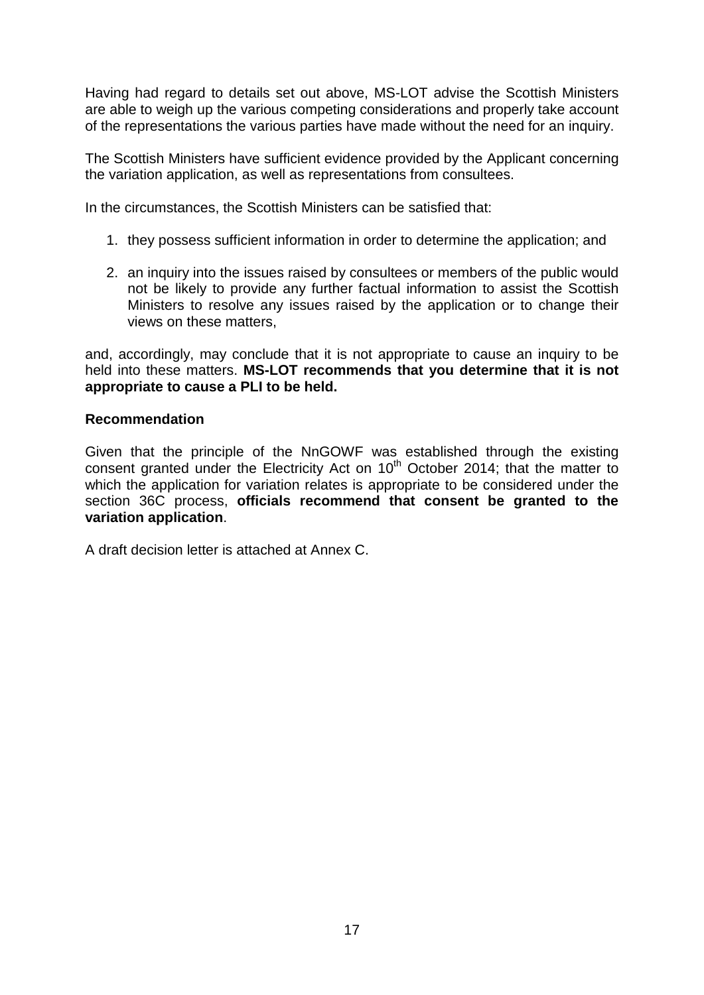Having had regard to details set out above, MS-LOT advise the Scottish Ministers are able to weigh up the various competing considerations and properly take account of the representations the various parties have made without the need for an inquiry.

The Scottish Ministers have sufficient evidence provided by the Applicant concerning the variation application, as well as representations from consultees.

In the circumstances, the Scottish Ministers can be satisfied that:

- 1. they possess sufficient information in order to determine the application; and
- 2. an inquiry into the issues raised by consultees or members of the public would not be likely to provide any further factual information to assist the Scottish Ministers to resolve any issues raised by the application or to change their views on these matters,

and, accordingly, may conclude that it is not appropriate to cause an inquiry to be held into these matters. **MS-LOT recommends that you determine that it is not appropriate to cause a PLI to be held.**

#### **Recommendation**

Given that the principle of the NnGOWF was established through the existing consent granted under the Electricity Act on 10<sup>th</sup> October 2014; that the matter to which the application for variation relates is appropriate to be considered under the section 36C process, **officials recommend that consent be granted to the variation application**.

A draft decision letter is attached at Annex C.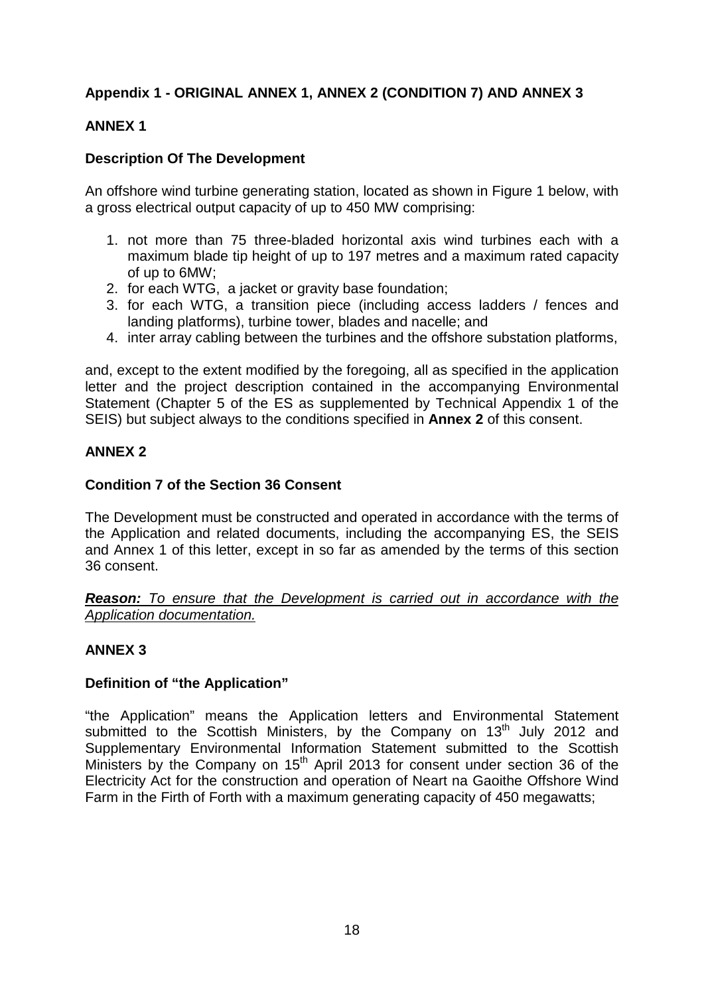# **Appendix 1 - ORIGINAL ANNEX 1, ANNEX 2 (CONDITION 7) AND ANNEX 3**

## **ANNEX 1**

#### **Description Of The Development**

An offshore wind turbine generating station, located as shown in Figure 1 below, with a gross electrical output capacity of up to 450 MW comprising:

- 1. not more than 75 three-bladed horizontal axis wind turbines each with a maximum blade tip height of up to 197 metres and a maximum rated capacity of up to 6MW;
- 2. for each WTG, a jacket or gravity base foundation;
- 3. for each WTG, a transition piece (including access ladders / fences and landing platforms), turbine tower, blades and nacelle; and
- 4. inter array cabling between the turbines and the offshore substation platforms,

and, except to the extent modified by the foregoing, all as specified in the application letter and the project description contained in the accompanying Environmental Statement (Chapter 5 of the ES as supplemented by Technical Appendix 1 of the SEIS) but subject always to the conditions specified in **Annex 2** of this consent.

#### **ANNEX 2**

#### **Condition 7 of the Section 36 Consent**

The Development must be constructed and operated in accordance with the terms of the Application and related documents, including the accompanying ES, the SEIS and Annex 1 of this letter, except in so far as amended by the terms of this section 36 consent.

*Reason: To ensure that the Development is carried out in accordance with the Application documentation.*

#### **ANNEX 3**

#### **Definition of "the Application"**

"the Application" means the Application letters and Environmental Statement submitted to the Scottish Ministers, by the Company on 13<sup>th</sup> July 2012 and Supplementary Environmental Information Statement submitted to the Scottish Ministers by the Company on  $15<sup>th</sup>$  April 2013 for consent under section 36 of the Electricity Act for the construction and operation of Neart na Gaoithe Offshore Wind Farm in the Firth of Forth with a maximum generating capacity of 450 megawatts;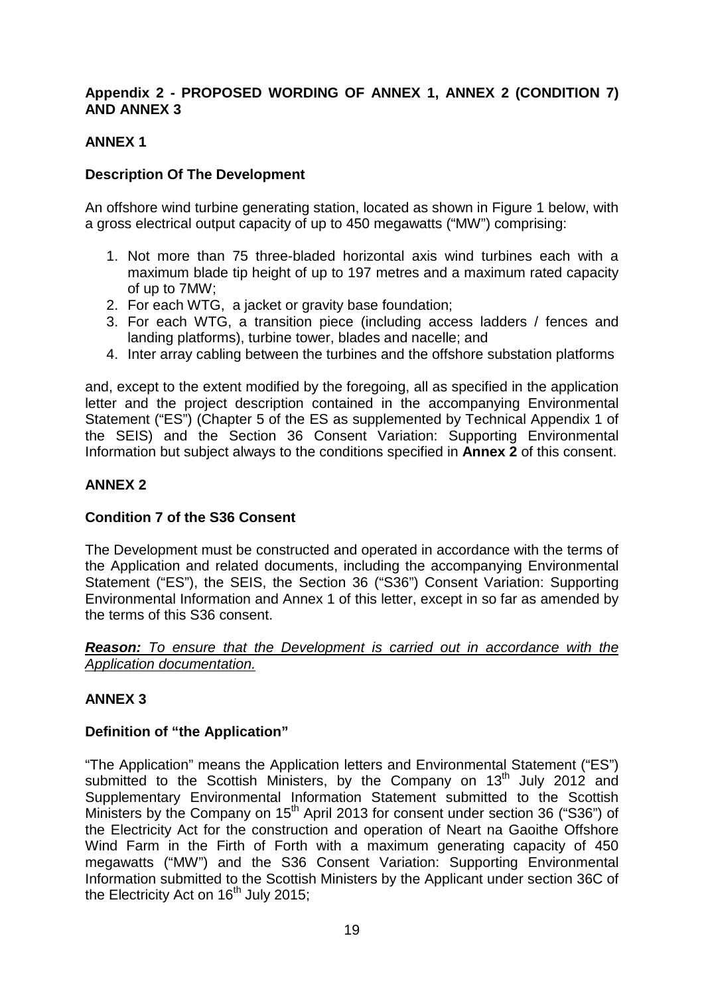## **Appendix 2 - PROPOSED WORDING OF ANNEX 1, ANNEX 2 (CONDITION 7) AND ANNEX 3**

# **ANNEX 1**

#### **Description Of The Development**

An offshore wind turbine generating station, located as shown in Figure 1 below, with a gross electrical output capacity of up to 450 megawatts ("MW") comprising:

- 1. Not more than 75 three-bladed horizontal axis wind turbines each with a maximum blade tip height of up to 197 metres and a maximum rated capacity of up to 7MW;
- 2. For each WTG, a jacket or gravity base foundation;
- 3. For each WTG, a transition piece (including access ladders / fences and landing platforms), turbine tower, blades and nacelle; and
- 4. Inter array cabling between the turbines and the offshore substation platforms

and, except to the extent modified by the foregoing, all as specified in the application letter and the project description contained in the accompanying Environmental Statement ("ES") (Chapter 5 of the ES as supplemented by Technical Appendix 1 of the SEIS) and the Section 36 Consent Variation: Supporting Environmental Information but subject always to the conditions specified in **Annex 2** of this consent.

#### **ANNEX 2**

#### **Condition 7 of the S36 Consent**

The Development must be constructed and operated in accordance with the terms of the Application and related documents, including the accompanying Environmental Statement ("ES"), the SEIS, the Section 36 ("S36") Consent Variation: Supporting Environmental Information and Annex 1 of this letter, except in so far as amended by the terms of this S36 consent.

*Reason: To ensure that the Development is carried out in accordance with the Application documentation.*

# **ANNEX 3**

#### **Definition of "the Application"**

"The Application" means the Application letters and Environmental Statement ("ES") submitted to the Scottish Ministers, by the Company on  $13<sup>th</sup>$  July 2012 and Supplementary Environmental Information Statement submitted to the Scottish Ministers by the Company on 15<sup>th</sup> April 2013 for consent under section 36 ("S36") of the Electricity Act for the construction and operation of Neart na Gaoithe Offshore Wind Farm in the Firth of Forth with a maximum generating capacity of 450 megawatts ("MW") and the S36 Consent Variation: Supporting Environmental Information submitted to the Scottish Ministers by the Applicant under section 36C of the Electricity Act on  $16<sup>th</sup>$  July 2015;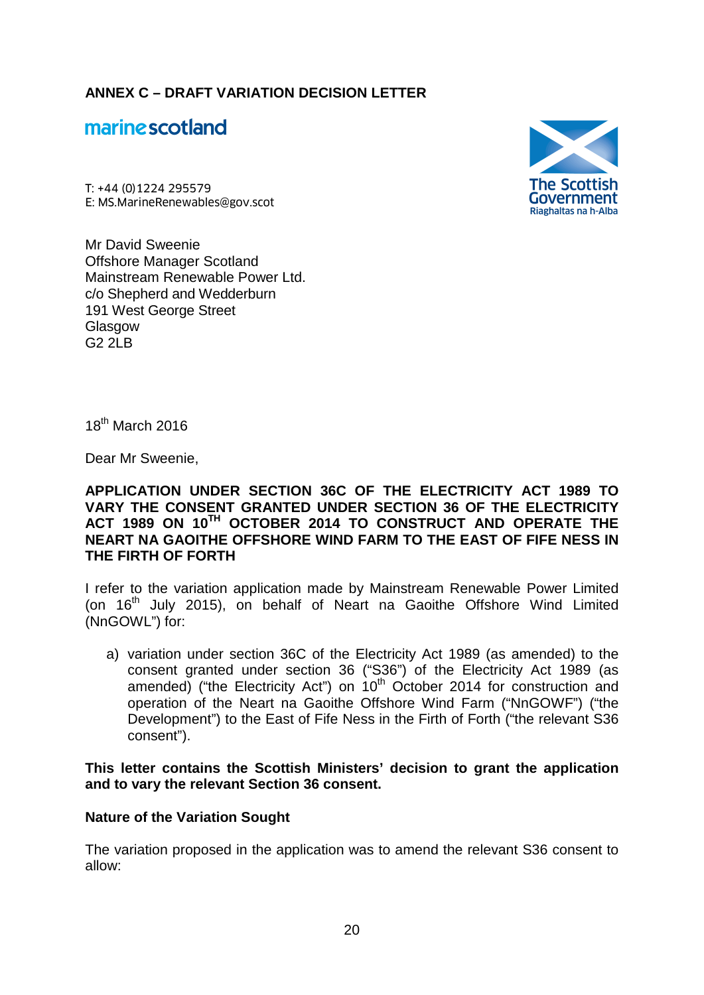**ANNEX C – DRAFT VARIATION DECISION LETTER**

# marine scotland

T: +44 (0)1224 295579 **marine scotland<br>
T: +44 (0)1224 295579<br>
E: MS.MarineRenewables@gov.scot (FREET CONSTRETE)** 

Mr David Sweenie Offshore Manager Scotland Mainstream Renewable Power Ltd. c/o Shepherd and Wedderburn 191 West George Street **Glasgow**  $G22IR$ 



 $18^{th}$  March 2016

Dear Mr Sweenie,

#### **APPLICATION UNDER SECTION 36C OF THE ELECTRICITY ACT 1989 TO VARY THE CONSENT GRANTED UNDER SECTION 36 OF THE ELECTRICITY ACT 1989 ON 10TH OCTOBER 2014 TO CONSTRUCT AND OPERATE THE NEART NA GAOITHE OFFSHORE WIND FARM TO THE EAST OF FIFE NESS IN THE FIRTH OF FORTH**

I refer to the variation application made by Mainstream Renewable Power Limited (on  $16<sup>th</sup>$  July 2015), on behalf of Neart na Gaoithe Offshore Wind Limited (NnGOWL") for:

a) variation under section 36C of the Electricity Act 1989 (as amended) to the consent granted under section 36 ("S36") of the Electricity Act 1989 (as amended) ("the Electricity Act") on 10<sup>th</sup> October 2014 for construction and operation of the Neart na Gaoithe Offshore Wind Farm ("NnGOWF") ("the Development") to the East of Fife Ness in the Firth of Forth ("the relevant S36 consent").

**This letter contains the Scottish Ministers' decision to grant the application and to vary the relevant Section 36 consent.**

#### **Nature of the Variation Sought**

The variation proposed in the application was to amend the relevant S36 consent to allow: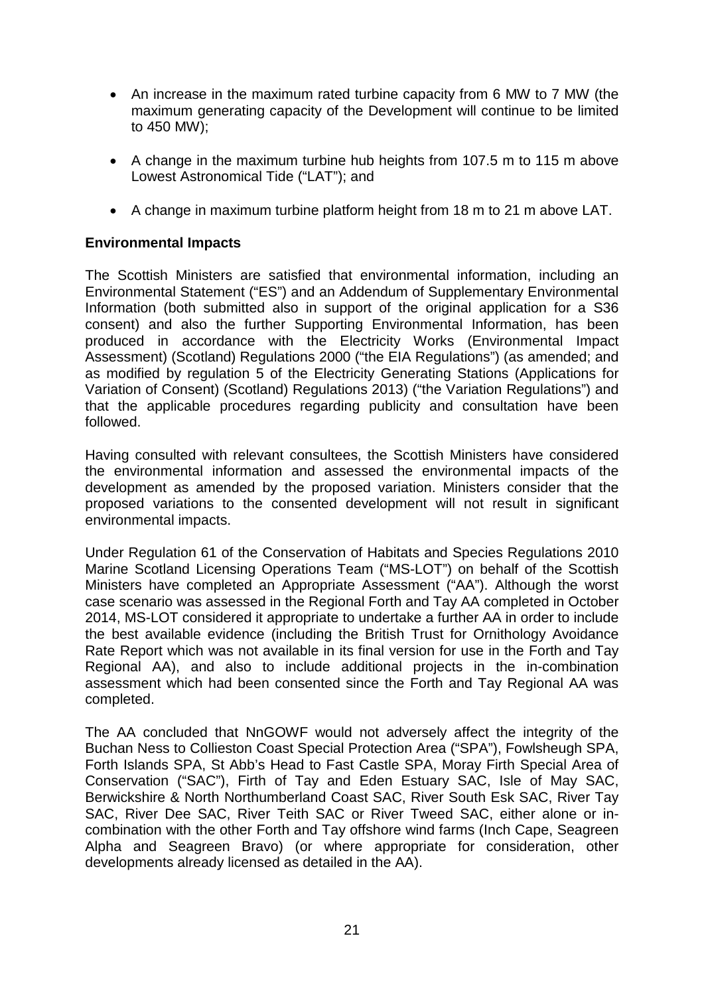- An increase in the maximum rated turbine capacity from 6 MW to 7 MW (the maximum generating capacity of the Development will continue to be limited to 450 MW);
- A change in the maximum turbine hub heights from 107.5 m to 115 m above Lowest Astronomical Tide ("LAT"); and
- A change in maximum turbine platform height from 18 m to 21 m above LAT.

#### **Environmental Impacts**

The Scottish Ministers are satisfied that environmental information, including an Environmental Statement ("ES") and an Addendum of Supplementary Environmental Information (both submitted also in support of the original application for a S36 consent) and also the further Supporting Environmental Information, has been produced in accordance with the Electricity Works (Environmental Impact Assessment) (Scotland) Regulations 2000 ("the EIA Regulations") (as amended; and as modified by regulation 5 of the Electricity Generating Stations (Applications for Variation of Consent) (Scotland) Regulations 2013) ("the Variation Regulations") and that the applicable procedures regarding publicity and consultation have been followed.

Having consulted with relevant consultees, the Scottish Ministers have considered the environmental information and assessed the environmental impacts of the development as amended by the proposed variation. Ministers consider that the proposed variations to the consented development will not result in significant environmental impacts.

Under Regulation 61 of the Conservation of Habitats and Species Regulations 2010 Marine Scotland Licensing Operations Team ("MS-LOT") on behalf of the Scottish Ministers have completed an Appropriate Assessment ("AA"). Although the worst case scenario was assessed in the Regional Forth and Tay AA completed in October 2014, MS-LOT considered it appropriate to undertake a further AA in order to include the best available evidence (including the British Trust for Ornithology Avoidance Rate Report which was not available in its final version for use in the Forth and Tay Regional AA), and also to include additional projects in the in-combination assessment which had been consented since the Forth and Tay Regional AA was completed.

The AA concluded that NnGOWF would not adversely affect the integrity of the Buchan Ness to Collieston Coast Special Protection Area ("SPA"), Fowlsheugh SPA, Forth Islands SPA, St Abb's Head to Fast Castle SPA, Moray Firth Special Area of Conservation ("SAC"), Firth of Tay and Eden Estuary SAC, Isle of May SAC, Berwickshire & North Northumberland Coast SAC, River South Esk SAC, River Tay SAC, River Dee SAC, River Teith SAC or River Tweed SAC, either alone or incombination with the other Forth and Tay offshore wind farms (Inch Cape, Seagreen Alpha and Seagreen Bravo) (or where appropriate for consideration, other developments already licensed as detailed in the AA).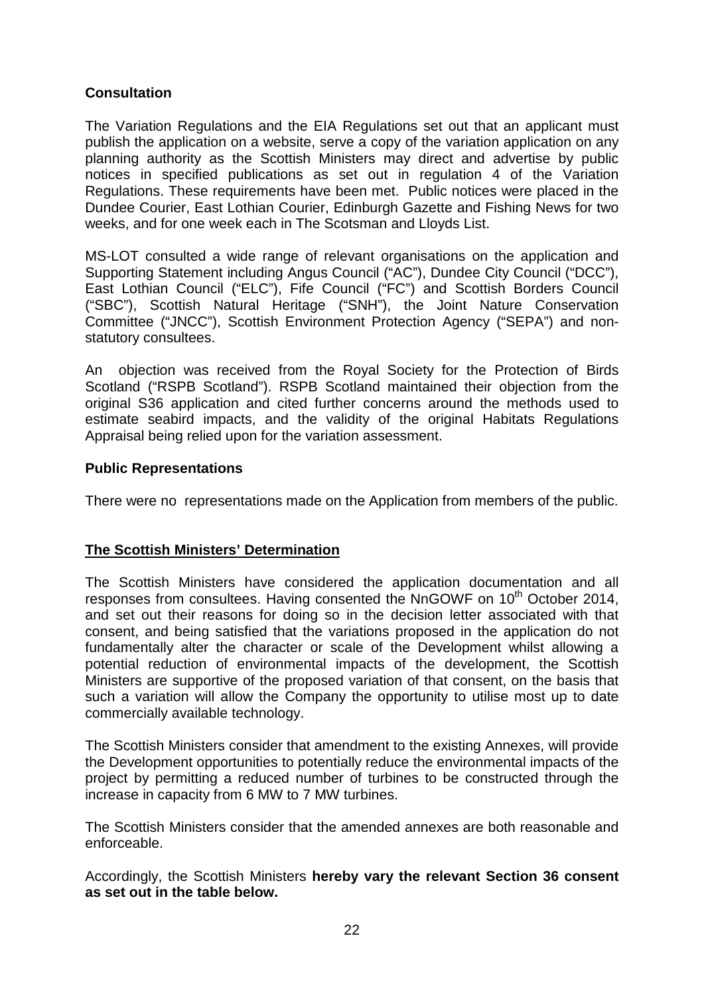## **Consultation**

The Variation Regulations and the EIA Regulations set out that an applicant must publish the application on a website, serve a copy of the variation application on any planning authority as the Scottish Ministers may direct and advertise by public notices in specified publications as set out in regulation 4 of the Variation Regulations. These requirements have been met. Public notices were placed in the Dundee Courier, East Lothian Courier, Edinburgh Gazette and Fishing News for two weeks, and for one week each in The Scotsman and Lloyds List.

MS-LOT consulted a wide range of relevant organisations on the application and Supporting Statement including Angus Council ("AC"), Dundee City Council ("DCC"), East Lothian Council ("ELC"), Fife Council ("FC") and Scottish Borders Council ("SBC"), Scottish Natural Heritage ("SNH"), the Joint Nature Conservation Committee ("JNCC"), Scottish Environment Protection Agency ("SEPA") and nonstatutory consultees.

An objection was received from the Royal Society for the Protection of Birds Scotland ("RSPB Scotland"). RSPB Scotland maintained their objection from the original S36 application and cited further concerns around the methods used to estimate seabird impacts, and the validity of the original Habitats Regulations Appraisal being relied upon for the variation assessment.

#### **Public Representations**

There were no representations made on the Application from members of the public.

#### **The Scottish Ministers' Determination**

The Scottish Ministers have considered the application documentation and all responses from consultees. Having consented the NnGOWF on 10<sup>th</sup> October 2014, and set out their reasons for doing so in the decision letter associated with that consent, and being satisfied that the variations proposed in the application do not fundamentally alter the character or scale of the Development whilst allowing a potential reduction of environmental impacts of the development, the Scottish Ministers are supportive of the proposed variation of that consent, on the basis that such a variation will allow the Company the opportunity to utilise most up to date commercially available technology.

The Scottish Ministers consider that amendment to the existing Annexes, will provide the Development opportunities to potentially reduce the environmental impacts of the project by permitting a reduced number of turbines to be constructed through the increase in capacity from 6 MW to 7 MW turbines.

The Scottish Ministers consider that the amended annexes are both reasonable and enforceable.

Accordingly, the Scottish Ministers **hereby vary the relevant Section 36 consent as set out in the table below.**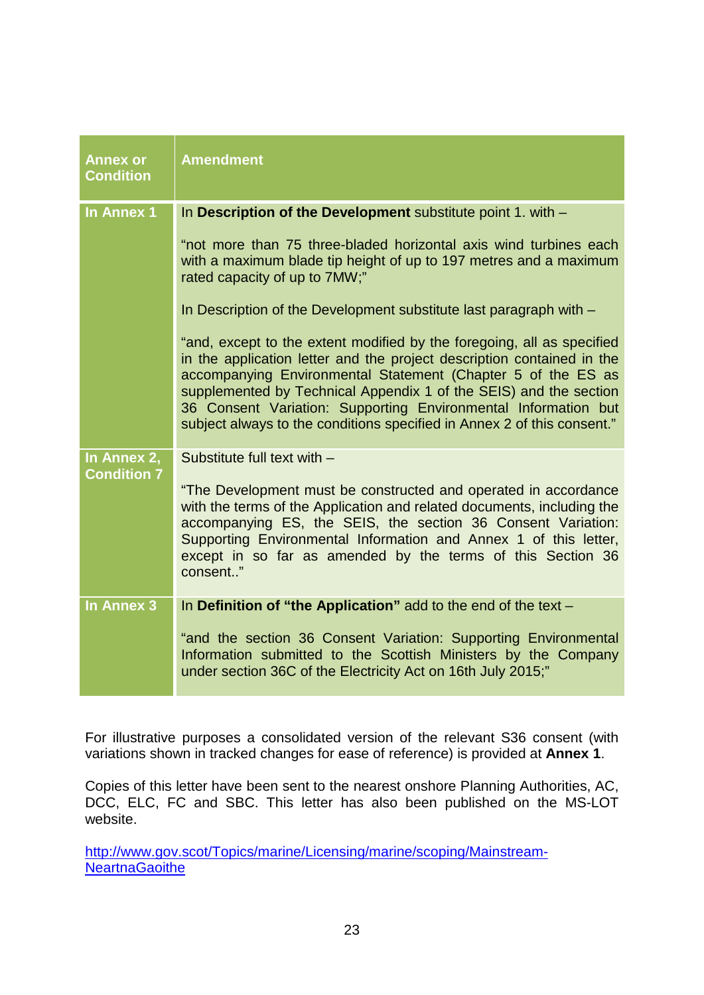| <b>Annex or</b><br><b>Condition</b> | <b>Amendment</b>                                                                                                                                                                                                                                                                                                                                                                                                                   |
|-------------------------------------|------------------------------------------------------------------------------------------------------------------------------------------------------------------------------------------------------------------------------------------------------------------------------------------------------------------------------------------------------------------------------------------------------------------------------------|
| In Annex 1                          | In Description of the Development substitute point 1. with -                                                                                                                                                                                                                                                                                                                                                                       |
|                                     | "not more than 75 three-bladed horizontal axis wind turbines each<br>with a maximum blade tip height of up to 197 metres and a maximum<br>rated capacity of up to 7MW;"                                                                                                                                                                                                                                                            |
|                                     | In Description of the Development substitute last paragraph with -                                                                                                                                                                                                                                                                                                                                                                 |
|                                     | "and, except to the extent modified by the foregoing, all as specified<br>in the application letter and the project description contained in the<br>accompanying Environmental Statement (Chapter 5 of the ES as<br>supplemented by Technical Appendix 1 of the SEIS) and the section<br>36 Consent Variation: Supporting Environmental Information but<br>subject always to the conditions specified in Annex 2 of this consent." |
| In Annex 2,<br><b>Condition 7</b>   | Substitute full text with -                                                                                                                                                                                                                                                                                                                                                                                                        |
|                                     | "The Development must be constructed and operated in accordance<br>with the terms of the Application and related documents, including the<br>accompanying ES, the SEIS, the section 36 Consent Variation:<br>Supporting Environmental Information and Annex 1 of this letter,<br>except in so far as amended by the terms of this Section 36<br>consent"                                                                           |
| <b>In Annex 3</b>                   | In Definition of "the Application" add to the end of the text -                                                                                                                                                                                                                                                                                                                                                                    |
|                                     | "and the section 36 Consent Variation: Supporting Environmental<br>Information submitted to the Scottish Ministers by the Company<br>under section 36C of the Electricity Act on 16th July 2015;"                                                                                                                                                                                                                                  |
|                                     |                                                                                                                                                                                                                                                                                                                                                                                                                                    |

For illustrative purposes a consolidated version of the relevant S36 consent (with variations shown in tracked changes for ease of reference) is provided at **Annex 1**.

Copies of this letter have been sent to the nearest onshore Planning Authorities, AC, DCC, ELC, FC and SBC. This letter has also been published on the MS-LOT website.

[http://www.gov.scot/Topics/marine/Licensing/marine/scoping/Mainstream-](http://www.gov.scot/Topics/marine/Licensing/marine/scoping/Mainstream-NeartnaGaoithe)**[NeartnaGaoithe](http://www.gov.scot/Topics/marine/Licensing/marine/scoping/Mainstream-NeartnaGaoithe)**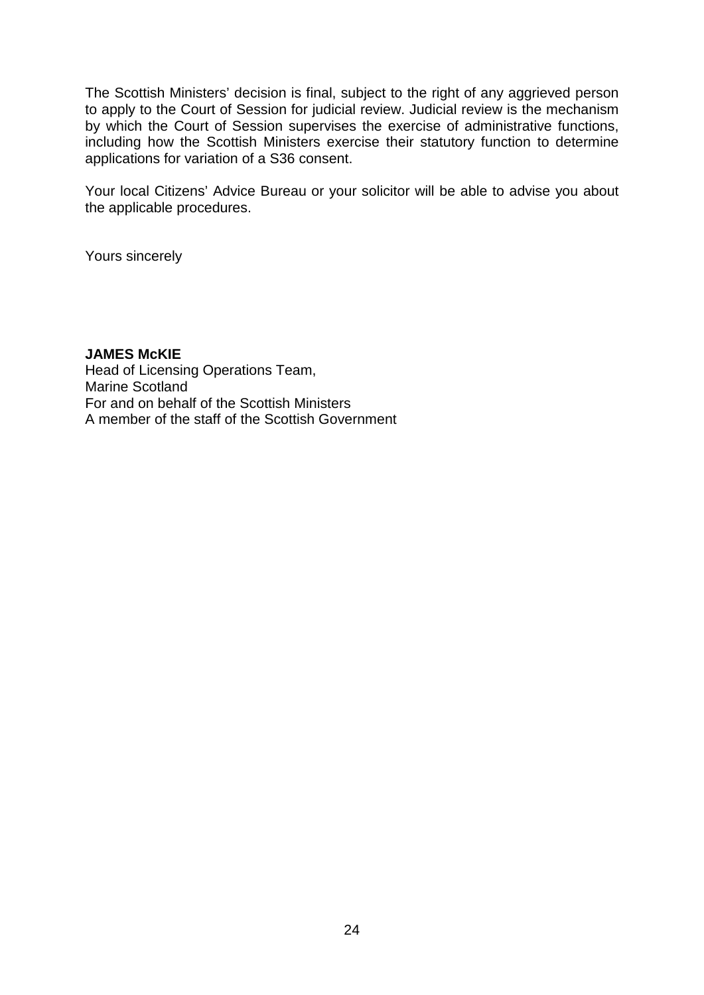The Scottish Ministers' decision is final, subject to the right of any aggrieved person to apply to the Court of Session for judicial review. Judicial review is the mechanism by which the Court of Session supervises the exercise of administrative functions, including how the Scottish Ministers exercise their statutory function to determine applications for variation of a S36 consent.

Your local Citizens' Advice Bureau or your solicitor will be able to advise you about the applicable procedures.

Yours sincerely

**JAMES McKIE** Head of Licensing Operations Team, Marine Scotland For and on behalf of the Scottish Ministers A member of the staff of the Scottish Government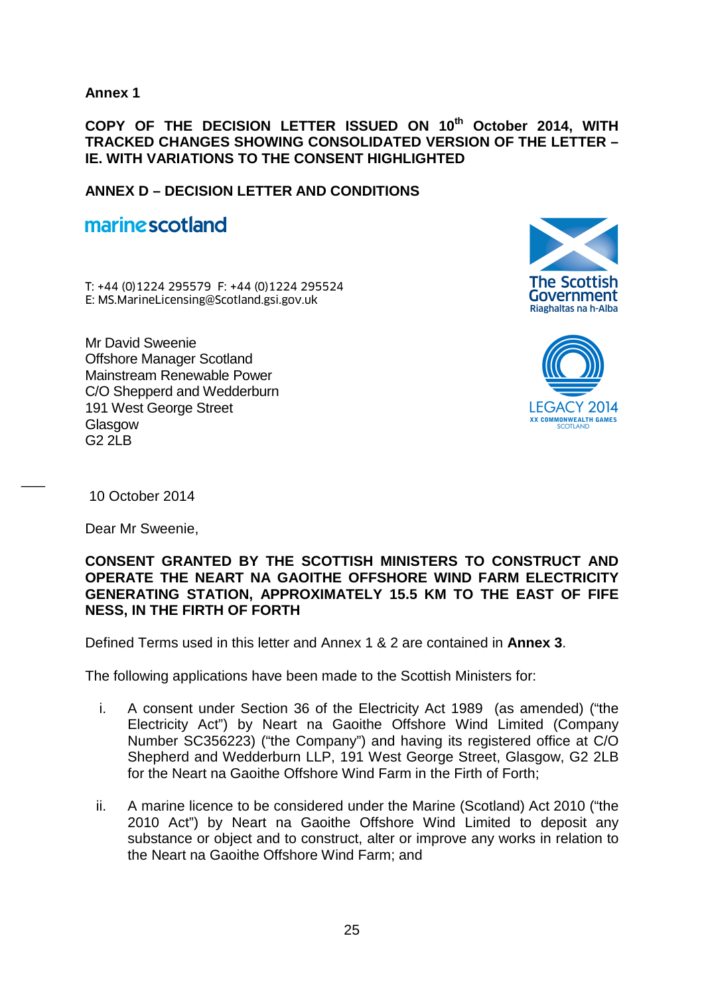**Annex 1** 

**COPY OF THE DECISION LETTER ISSUED ON 10th October 2014, WITH TRACKED CHANGES SHOWING CONSOLIDATED VERSION OF THE LETTER – IE. WITH VARIATIONS TO THE CONSENT HIGHLIGHTED**

**ANNEX D – DECISION LETTER AND CONDITIONS**

# marine scotland

T: +44 (0)1224 295579 F: +44 (0)1224 295524 **marine scotland**<br>T: +44 (0)1224 295579 F: +44 (0)1224 295524<br>E: MS.MarineLicensing@Scotland.gsi.gov.uk

Mr David Sweenie Offshore Manager Scotland Mainstream Renewable Power C/O Shepperd and Wedderburn 191 West George Street Glasgow  $G22IR$ 





10 October 2014

 $\overline{\phantom{a}}$ 

Dear Mr Sweenie,

#### **CONSENT GRANTED BY THE SCOTTISH MINISTERS TO CONSTRUCT AND OPERATE THE NEART NA GAOITHE OFFSHORE WIND FARM ELECTRICITY GENERATING STATION, APPROXIMATELY 15.5 KM TO THE EAST OF FIFE NESS, IN THE FIRTH OF FORTH**

Defined Terms used in this letter and Annex 1 & 2 are contained in **Annex 3**.

The following applications have been made to the Scottish Ministers for:

- i. A consent under Section 36 of the Electricity Act 1989 (as amended) ("the Electricity Act") by Neart na Gaoithe Offshore Wind Limited (Company Number SC356223) ("the Company") and having its registered office at C/O Shepherd and Wedderburn LLP, 191 West George Street, Glasgow, G2 2LB for the Neart na Gaoithe Offshore Wind Farm in the Firth of Forth;
- ii. A marine licence to be considered under the Marine (Scotland) Act 2010 ("the 2010 Act") by Neart na Gaoithe Offshore Wind Limited to deposit any substance or object and to construct, alter or improve any works in relation to the Neart na Gaoithe Offshore Wind Farm; and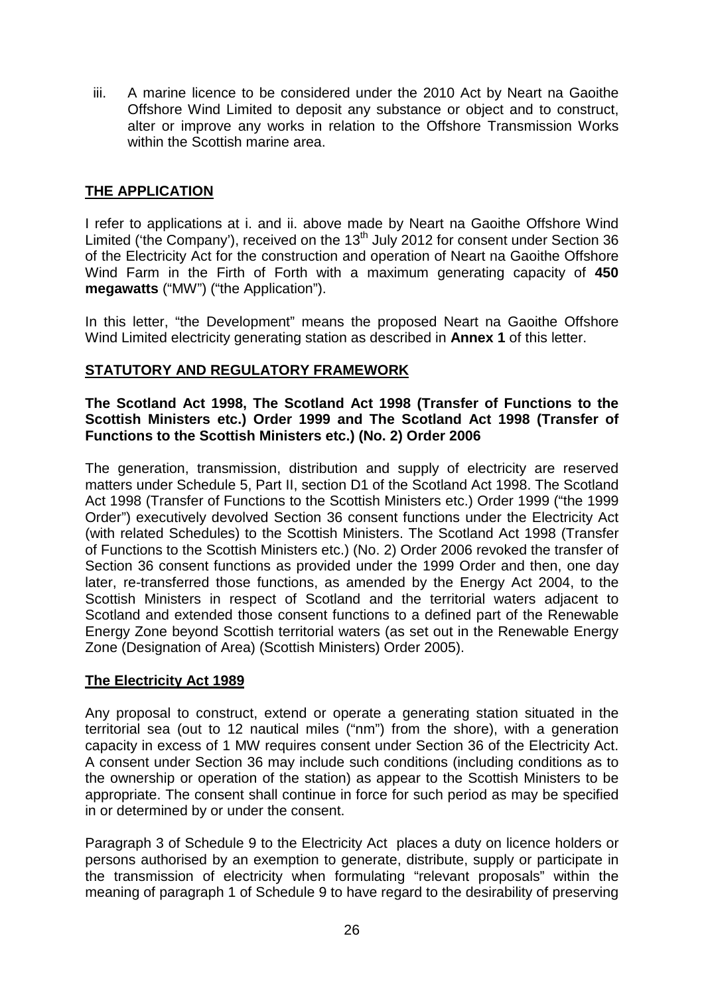iii. A marine licence to be considered under the 2010 Act by Neart na Gaoithe Offshore Wind Limited to deposit any substance or object and to construct, alter or improve any works in relation to the Offshore Transmission Works within the Scottish marine area.

## **THE APPLICATION**

I refer to applications at i. and ii. above made by Neart na Gaoithe Offshore Wind Limited ('the Company'), received on the  $13<sup>th</sup>$  July 2012 for consent under Section 36 of the Electricity Act for the construction and operation of Neart na Gaoithe Offshore Wind Farm in the Firth of Forth with a maximum generating capacity of **450 megawatts** ("MW") ("the Application").

In this letter, "the Development" means the proposed Neart na Gaoithe Offshore Wind Limited electricity generating station as described in **Annex 1** of this letter.

#### **STATUTORY AND REGULATORY FRAMEWORK**

#### **The Scotland Act 1998, The Scotland Act 1998 (Transfer of Functions to the Scottish Ministers etc.) Order 1999 and The Scotland Act 1998 (Transfer of Functions to the Scottish Ministers etc.) (No. 2) Order 2006**

The generation, transmission, distribution and supply of electricity are reserved matters under Schedule 5, Part II, section D1 of the Scotland Act 1998. The Scotland Act 1998 (Transfer of Functions to the Scottish Ministers etc.) Order 1999 ("the 1999 Order") executively devolved Section 36 consent functions under the Electricity Act (with related Schedules) to the Scottish Ministers. The Scotland Act 1998 (Transfer of Functions to the Scottish Ministers etc.) (No. 2) Order 2006 revoked the transfer of Section 36 consent functions as provided under the 1999 Order and then, one day later, re-transferred those functions, as amended by the Energy Act 2004, to the Scottish Ministers in respect of Scotland and the territorial waters adjacent to Scotland and extended those consent functions to a defined part of the Renewable Energy Zone beyond Scottish territorial waters (as set out in the Renewable Energy Zone (Designation of Area) (Scottish Ministers) Order 2005).

#### **The Electricity Act 1989**

Any proposal to construct, extend or operate a generating station situated in the territorial sea (out to 12 nautical miles ("nm") from the shore), with a generation capacity in excess of 1 MW requires consent under Section 36 of the Electricity Act. A consent under Section 36 may include such conditions (including conditions as to the ownership or operation of the station) as appear to the Scottish Ministers to be appropriate. The consent shall continue in force for such period as may be specified in or determined by or under the consent.

Paragraph 3 of Schedule 9 to the Electricity Act places a duty on licence holders or persons authorised by an exemption to generate, distribute, supply or participate in the transmission of electricity when formulating "relevant proposals" within the meaning of paragraph 1 of Schedule 9 to have regard to the desirability of preserving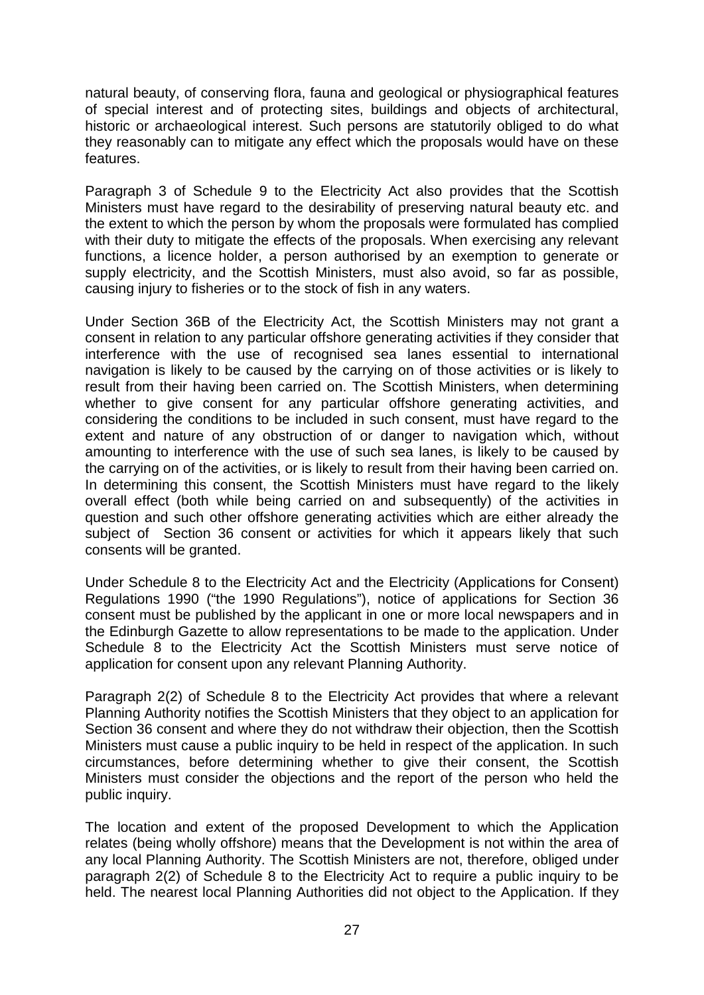natural beauty, of conserving flora, fauna and geological or physiographical features of special interest and of protecting sites, buildings and objects of architectural, historic or archaeological interest. Such persons are statutorily obliged to do what they reasonably can to mitigate any effect which the proposals would have on these features.

Paragraph 3 of Schedule 9 to the Electricity Act also provides that the Scottish Ministers must have regard to the desirability of preserving natural beauty etc. and the extent to which the person by whom the proposals were formulated has complied with their duty to mitigate the effects of the proposals. When exercising any relevant functions, a licence holder, a person authorised by an exemption to generate or supply electricity, and the Scottish Ministers, must also avoid, so far as possible, causing injury to fisheries or to the stock of fish in any waters.

Under Section 36B of the Electricity Act, the Scottish Ministers may not grant a consent in relation to any particular offshore generating activities if they consider that interference with the use of recognised sea lanes essential to international navigation is likely to be caused by the carrying on of those activities or is likely to result from their having been carried on. The Scottish Ministers, when determining whether to give consent for any particular offshore generating activities, and considering the conditions to be included in such consent, must have regard to the extent and nature of any obstruction of or danger to navigation which, without amounting to interference with the use of such sea lanes, is likely to be caused by the carrying on of the activities, or is likely to result from their having been carried on. In determining this consent, the Scottish Ministers must have regard to the likely overall effect (both while being carried on and subsequently) of the activities in question and such other offshore generating activities which are either already the subject of Section 36 consent or activities for which it appears likely that such consents will be granted.

Under Schedule 8 to the Electricity Act and the Electricity (Applications for Consent) Regulations 1990 ("the 1990 Regulations"), notice of applications for Section 36 consent must be published by the applicant in one or more local newspapers and in the Edinburgh Gazette to allow representations to be made to the application. Under Schedule 8 to the Electricity Act the Scottish Ministers must serve notice of application for consent upon any relevant Planning Authority.

Paragraph 2(2) of Schedule 8 to the Electricity Act provides that where a relevant Planning Authority notifies the Scottish Ministers that they object to an application for Section 36 consent and where they do not withdraw their objection, then the Scottish Ministers must cause a public inquiry to be held in respect of the application. In such circumstances, before determining whether to give their consent, the Scottish Ministers must consider the objections and the report of the person who held the public inquiry.

The location and extent of the proposed Development to which the Application relates (being wholly offshore) means that the Development is not within the area of any local Planning Authority. The Scottish Ministers are not, therefore, obliged under paragraph 2(2) of Schedule 8 to the Electricity Act to require a public inquiry to be held. The nearest local Planning Authorities did not object to the Application. If they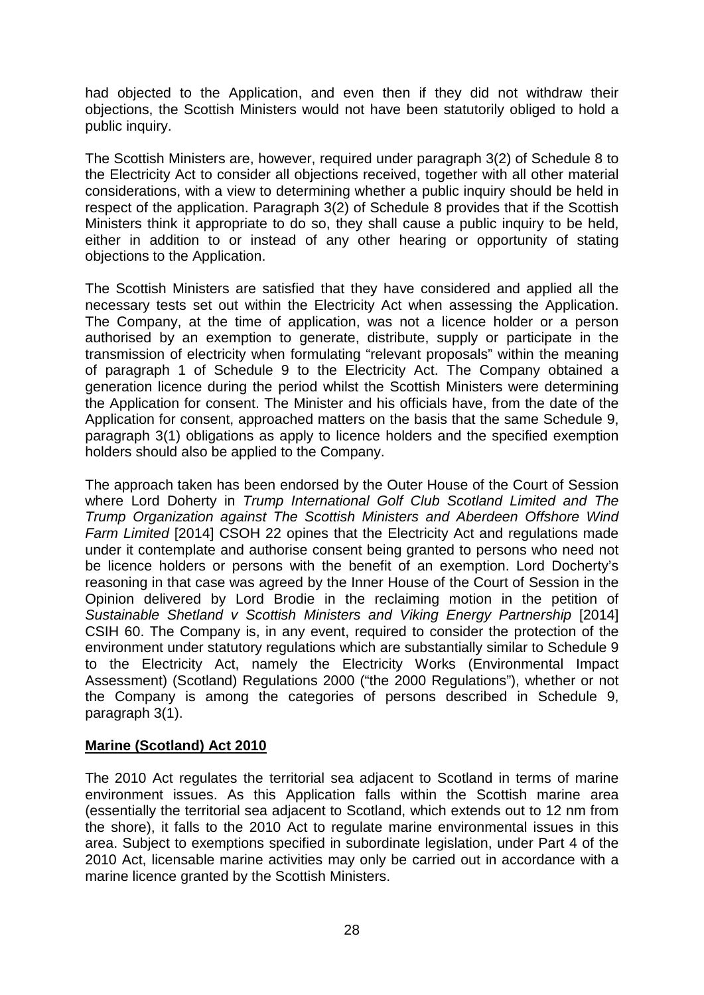had objected to the Application, and even then if they did not withdraw their objections, the Scottish Ministers would not have been statutorily obliged to hold a public inquiry.

The Scottish Ministers are, however, required under paragraph 3(2) of Schedule 8 to the Electricity Act to consider all objections received, together with all other material considerations, with a view to determining whether a public inquiry should be held in respect of the application. Paragraph 3(2) of Schedule 8 provides that if the Scottish Ministers think it appropriate to do so, they shall cause a public inquiry to be held, either in addition to or instead of any other hearing or opportunity of stating objections to the Application.

The Scottish Ministers are satisfied that they have considered and applied all the necessary tests set out within the Electricity Act when assessing the Application. The Company, at the time of application, was not a licence holder or a person authorised by an exemption to generate, distribute, supply or participate in the transmission of electricity when formulating "relevant proposals" within the meaning of paragraph 1 of Schedule 9 to the Electricity Act. The Company obtained a generation licence during the period whilst the Scottish Ministers were determining the Application for consent. The Minister and his officials have, from the date of the Application for consent, approached matters on the basis that the same Schedule 9, paragraph 3(1) obligations as apply to licence holders and the specified exemption holders should also be applied to the Company.

The approach taken has been endorsed by the Outer House of the Court of Session where Lord Doherty in *Trump International Golf Club Scotland Limited and The Trump Organization against The Scottish Ministers and Aberdeen Offshore Wind Farm Limited* [2014] CSOH 22 opines that the Electricity Act and regulations made under it contemplate and authorise consent being granted to persons who need not be licence holders or persons with the benefit of an exemption. Lord Docherty's reasoning in that case was agreed by the Inner House of the Court of Session in the Opinion delivered by Lord Brodie in the reclaiming motion in the petition of Sustainable Shetland v Scottish Ministers and Viking Energy Partnership [2014] CSIH 60. The Company is, in any event, required to consider the protection of the environment under statutory regulations which are substantially similar to Schedule 9 to the Electricity Act, namely the Electricity Works (Environmental Impact Assessment) (Scotland) Regulations 2000 ("the 2000 Regulations"), whether or not the Company is among the categories of persons described in Schedule 9, paragraph 3(1).

#### **Marine (Scotland) Act 2010**

The 2010 Act regulates the territorial sea adjacent to Scotland in terms of marine environment issues. As this Application falls within the Scottish marine area (essentially the territorial sea adjacent to Scotland, which extends out to 12 nm from the shore), it falls to the 2010 Act to regulate marine environmental issues in this area. Subject to exemptions specified in subordinate legislation, under Part 4 of the 2010 Act, licensable marine activities may only be carried out in accordance with a marine licence granted by the Scottish Ministers.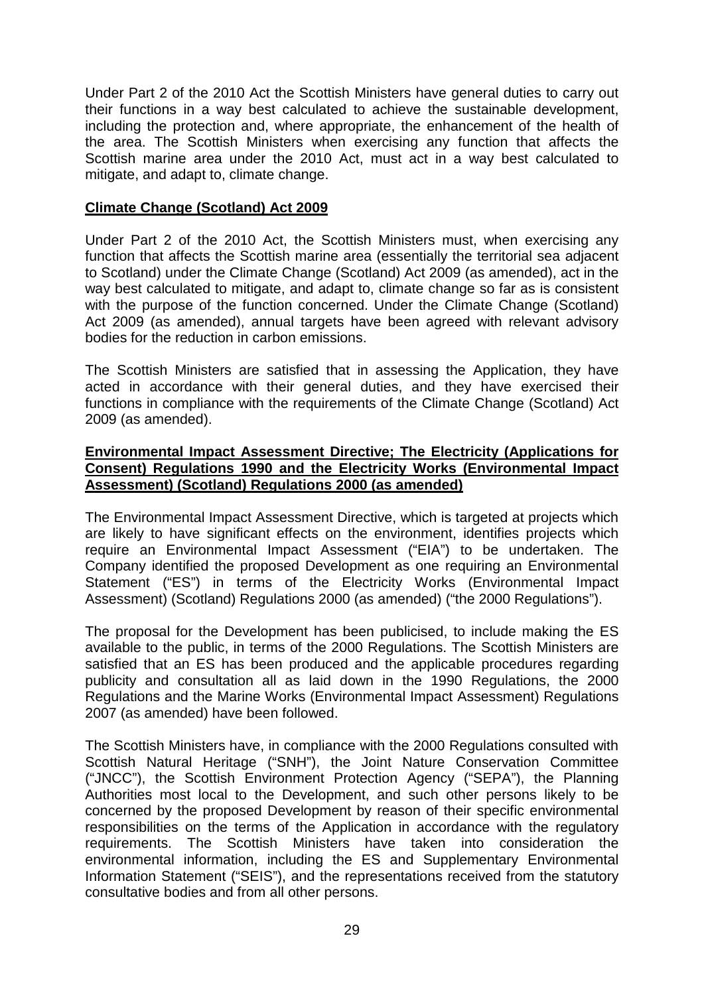Under Part 2 of the 2010 Act the Scottish Ministers have general duties to carry out their functions in a way best calculated to achieve the sustainable development, including the protection and, where appropriate, the enhancement of the health of the area. The Scottish Ministers when exercising any function that affects the Scottish marine area under the 2010 Act, must act in a way best calculated to mitigate, and adapt to, climate change.

#### **Climate Change (Scotland) Act 2009**

Under Part 2 of the 2010 Act, the Scottish Ministers must, when exercising any function that affects the Scottish marine area (essentially the territorial sea adjacent to Scotland) under the Climate Change (Scotland) Act 2009 (as amended), act in the way best calculated to mitigate, and adapt to, climate change so far as is consistent with the purpose of the function concerned. Under the Climate Change (Scotland) Act 2009 (as amended), annual targets have been agreed with relevant advisory bodies for the reduction in carbon emissions.

The Scottish Ministers are satisfied that in assessing the Application, they have acted in accordance with their general duties, and they have exercised their functions in compliance with the requirements of the Climate Change (Scotland) Act 2009 (as amended).

#### **Environmental Impact Assessment Directive; The Electricity (Applications for Consent) Regulations 1990 and the Electricity Works (Environmental Impact Assessment) (Scotland) Regulations 2000 (as amended)**

The Environmental Impact Assessment Directive, which is targeted at projects which are likely to have significant effects on the environment, identifies projects which require an Environmental Impact Assessment ("EIA") to be undertaken. The Company identified the proposed Development as one requiring an Environmental Statement ("ES") in terms of the Electricity Works (Environmental Impact Assessment) (Scotland) Regulations 2000 (as amended) ("the 2000 Regulations").

The proposal for the Development has been publicised, to include making the ES available to the public, in terms of the 2000 Regulations. The Scottish Ministers are satisfied that an ES has been produced and the applicable procedures regarding publicity and consultation all as laid down in the 1990 Regulations, the 2000 Regulations and the Marine Works (Environmental Impact Assessment) Regulations 2007 (as amended) have been followed.

The Scottish Ministers have, in compliance with the 2000 Regulations consulted with Scottish Natural Heritage ("SNH"), the Joint Nature Conservation Committee ("JNCC"), the Scottish Environment Protection Agency ("SEPA"), the Planning Authorities most local to the Development, and such other persons likely to be concerned by the proposed Development by reason of their specific environmental responsibilities on the terms of the Application in accordance with the regulatory requirements. The Scottish Ministers have taken into consideration the environmental information, including the ES and Supplementary Environmental Information Statement ("SEIS"), and the representations received from the statutory consultative bodies and from all other persons.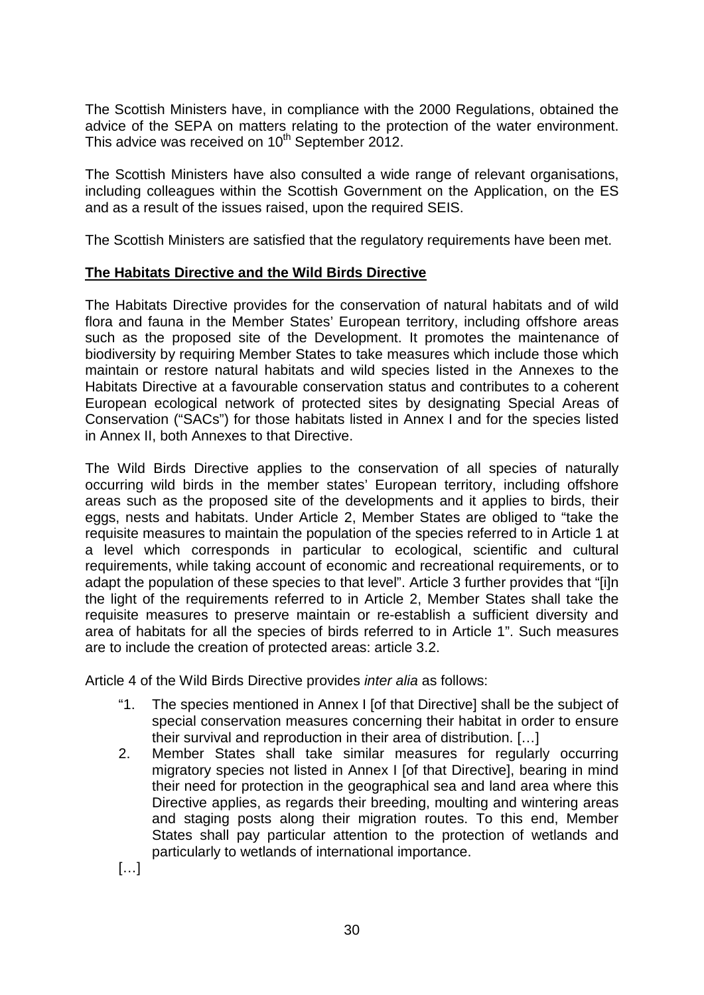The Scottish Ministers have, in compliance with the 2000 Regulations, obtained the advice of the SEPA on matters relating to the protection of the water environment. This advice was received on 10<sup>th</sup> September 2012.

The Scottish Ministers have also consulted a wide range of relevant organisations, including colleagues within the Scottish Government on the Application, on the ES and as a result of the issues raised, upon the required SEIS.

The Scottish Ministers are satisfied that the regulatory requirements have been met.

# **The Habitats Directive and the Wild Birds Directive**

The Habitats Directive provides for the conservation of natural habitats and of wild flora and fauna in the Member States' European territory, including offshore areas such as the proposed site of the Development. It promotes the maintenance of biodiversity by requiring Member States to take measures which include those which maintain or restore natural habitats and wild species listed in the Annexes to the Habitats Directive at a favourable conservation status and contributes to a coherent European ecological network of protected sites by designating Special Areas of Conservation ("SACs") for those habitats listed in Annex I and for the species listed in Annex II, both Annexes to that Directive.

The Wild Birds Directive applies to the conservation of all species of naturally occurring wild birds in the member states' European territory, including offshore areas such as the proposed site of the developments and it applies to birds, their eggs, nests and habitats. Under Article 2, Member States are obliged to "take the requisite measures to maintain the population of the species referred to in Article 1 at a level which corresponds in particular to ecological, scientific and cultural requirements, while taking account of economic and recreational requirements, or to adapt the population of these species to that level". Article 3 further provides that "[i]n the light of the requirements referred to in Article 2, Member States shall take the requisite measures to preserve maintain or re-establish a sufficient diversity and area of habitats for all the species of birds referred to in Article 1". Such measures are to include the creation of protected areas: article 3.2.

Article 4 of the Wild Birds Directive provides *inter alia* as follows:

- "1. The species mentioned in Annex I [of that Directive] shall be the subject of special conservation measures concerning their habitat in order to ensure their survival and reproduction in their area of distribution. […]
- 2. Member States shall take similar measures for regularly occurring migratory species not listed in Annex I [of that Directive], bearing in mind their need for protection in the geographical sea and land area where this Directive applies, as regards their breeding, moulting and wintering areas and staging posts along their migration routes. To this end, Member States shall pay particular attention to the protection of wetlands and particularly to wetlands of international importance.

[…]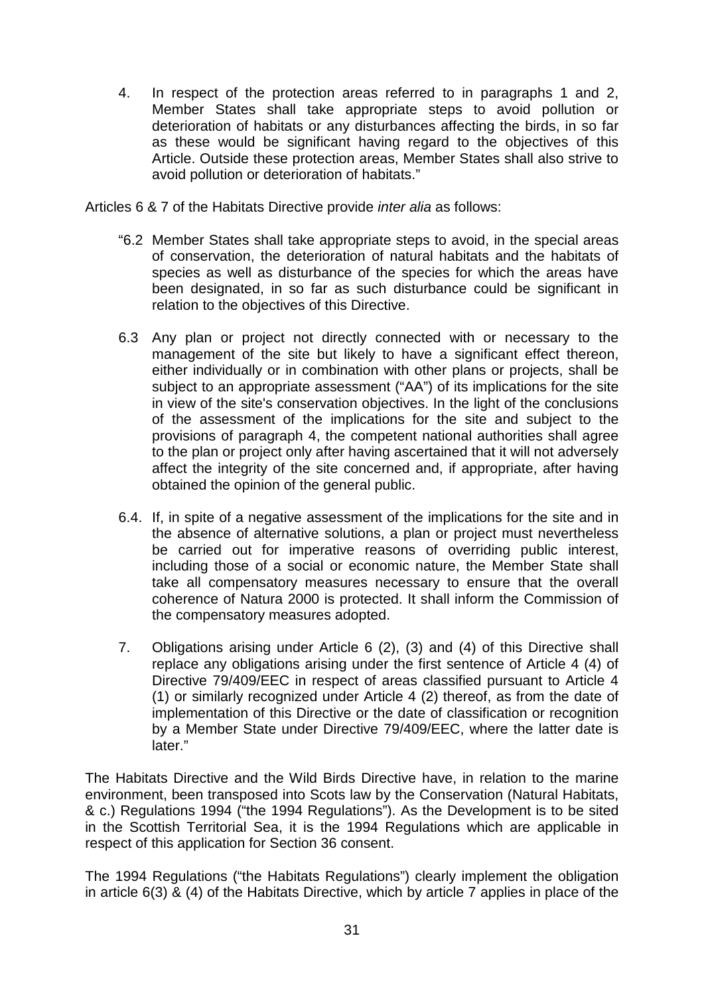4. In respect of the protection areas referred to in paragraphs 1 and 2, Member States shall take appropriate steps to avoid pollution or deterioration of habitats or any disturbances affecting the birds, in so far as these would be significant having regard to the objectives of this Article. Outside these protection areas, Member States shall also strive to avoid pollution or deterioration of habitats."

Articles 6 & 7 of the Habitats Directive provide *inter alia* as follows:

- "6.2 Member States shall take appropriate steps to avoid, in the special areas of conservation, the deterioration of natural habitats and the habitats of species as well as disturbance of the species for which the areas have been designated, in so far as such disturbance could be significant in relation to the objectives of this Directive.
- 6.3 Any plan or project not directly connected with or necessary to the management of the site but likely to have a significant effect thereon, either individually or in combination with other plans or projects, shall be subject to an appropriate assessment ("AA") of its implications for the site in view of the site's conservation objectives. In the light of the conclusions of the assessment of the implications for the site and subject to the provisions of paragraph 4, the competent national authorities shall agree to the plan or project only after having ascertained that it will not adversely affect the integrity of the site concerned and, if appropriate, after having obtained the opinion of the general public.
- 6.4. If, in spite of a negative assessment of the implications for the site and in the absence of alternative solutions, a plan or project must nevertheless be carried out for imperative reasons of overriding public interest, including those of a social or economic nature, the Member State shall take all compensatory measures necessary to ensure that the overall coherence of Natura 2000 is protected. It shall inform the Commission of the compensatory measures adopted.
- 7. Obligations arising under Article 6 (2), (3) and (4) of this Directive shall replace any obligations arising under the first sentence of Article 4 (4) of Directive 79/409/EEC in respect of areas classified pursuant to Article 4 (1) or similarly recognized under Article 4 (2) thereof, as from the date of implementation of this Directive or the date of classification or recognition by a Member State under Directive 79/409/EEC, where the latter date is later."

The Habitats Directive and the Wild Birds Directive have, in relation to the marine environment, been transposed into Scots law by the Conservation (Natural Habitats, & c.) Regulations 1994 ("the 1994 Regulations"). As the Development is to be sited in the Scottish Territorial Sea, it is the 1994 Regulations which are applicable in respect of this application for Section 36 consent.

The 1994 Regulations ("the Habitats Regulations") clearly implement the obligation in article 6(3) & (4) of the Habitats Directive, which by article 7 applies in place of the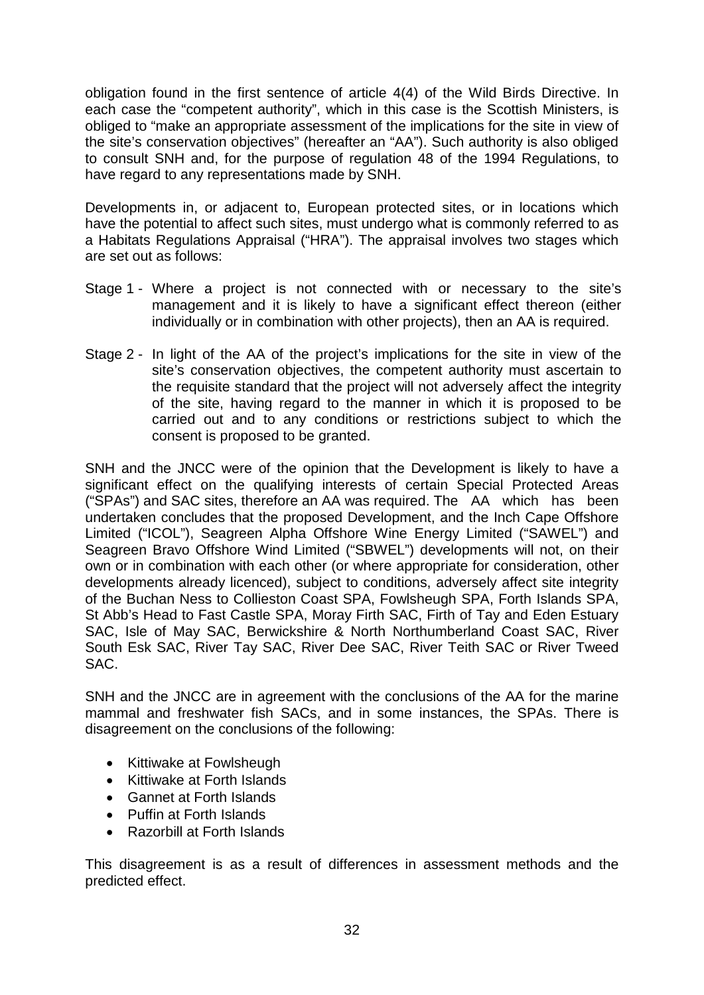obligation found in the first sentence of article 4(4) of the Wild Birds Directive. In each case the "competent authority", which in this case is the Scottish Ministers, is obliged to "make an appropriate assessment of the implications for the site in view of the site's conservation objectives" (hereafter an "AA"). Such authority is also obliged to consult SNH and, for the purpose of regulation 48 of the 1994 Regulations, to have regard to any representations made by SNH.

Developments in, or adjacent to, European protected sites, or in locations which have the potential to affect such sites, must undergo what is commonly referred to as a Habitats Regulations Appraisal ("HRA"). The appraisal involves two stages which are set out as follows:

- Stage 1 Where a project is not connected with or necessary to the site's management and it is likely to have a significant effect thereon (either individually or in combination with other projects), then an AA is required.
- Stage 2 In light of the AA of the project's implications for the site in view of the site's conservation objectives, the competent authority must ascertain to the requisite standard that the project will not adversely affect the integrity of the site, having regard to the manner in which it is proposed to be carried out and to any conditions or restrictions subject to which the consent is proposed to be granted.

SNH and the JNCC were of the opinion that the Development is likely to have a significant effect on the qualifying interests of certain Special Protected Areas ("SPAs") and SAC sites, therefore an AA was required. The AA which has been undertaken concludes that the proposed Development, and the Inch Cape Offshore Limited ("ICOL"), Seagreen Alpha Offshore Wine Energy Limited ("SAWEL") and Seagreen Bravo Offshore Wind Limited ("SBWEL") developments will not, on their own or in combination with each other (or where appropriate for consideration, other developments already licenced), subject to conditions, adversely affect site integrity of the Buchan Ness to Collieston Coast SPA, Fowlsheugh SPA, Forth Islands SPA, St Abb's Head to Fast Castle SPA, Moray Firth SAC, Firth of Tay and Eden Estuary SAC, Isle of May SAC, Berwickshire & North Northumberland Coast SAC, River South Esk SAC, River Tay SAC, River Dee SAC, River Teith SAC or River Tweed SAC.

SNH and the JNCC are in agreement with the conclusions of the AA for the marine mammal and freshwater fish SACs, and in some instances, the SPAs. There is disagreement on the conclusions of the following:

- Kittiwake at Fowlsheugh
- Kittiwake at Forth Islands
- Gannet at Forth Islands
- Puffin at Forth Islands
- Razorbill at Forth Islands

This disagreement is as a result of differences in assessment methods and the predicted effect.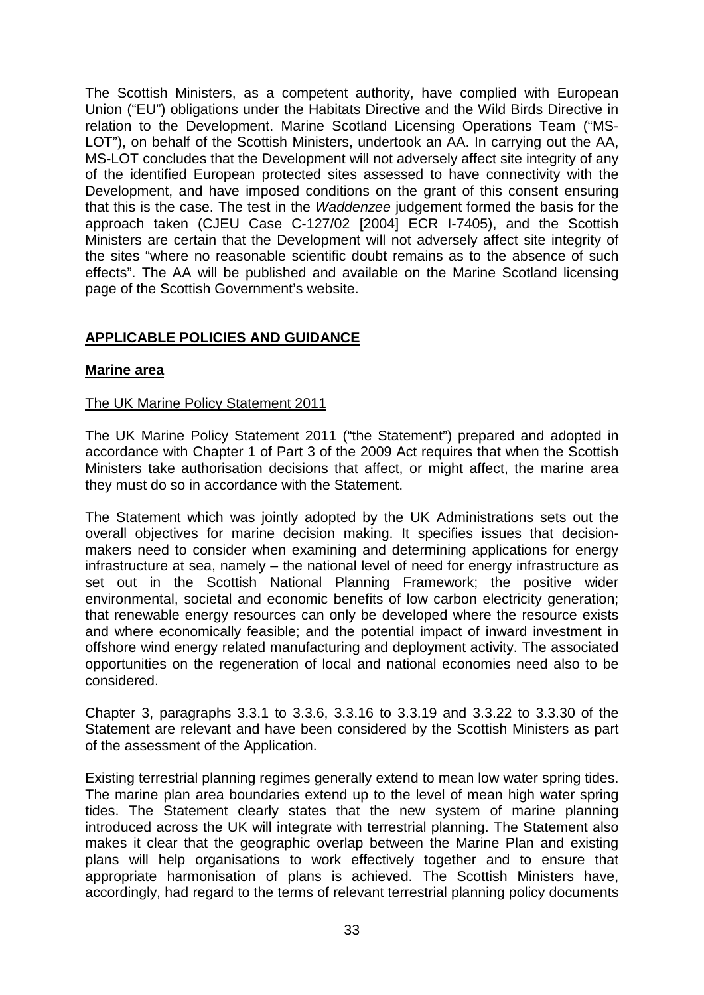The Scottish Ministers, as a competent authority, have complied with European Union ("EU") obligations under the Habitats Directive and the Wild Birds Directive in relation to the Development. Marine Scotland Licensing Operations Team ("MS-LOT"), on behalf of the Scottish Ministers, undertook an AA. In carrying out the AA, MS-LOT concludes that the Development will not adversely affect site integrity of any of the identified European protected sites assessed to have connectivity with the Development, and have imposed conditions on the grant of this consent ensuring that this is the case. The test in the *Waddenzee* judgement formed the basis for the approach taken (CJEU Case C-127/02 [2004] ECR I-7405), and the Scottish Ministers are certain that the Development will not adversely affect site integrity of the sites "where no reasonable scientific doubt remains as to the absence of such effects". The AA will be published and available on the Marine Scotland licensing page of the Scottish Government's website.

# **APPLICABLE POLICIES AND GUIDANCE**

#### **Marine area**

#### The UK Marine Policy Statement 2011

The UK Marine Policy Statement 2011 ("the Statement") prepared and adopted in accordance with Chapter 1 of Part 3 of the 2009 Act requires that when the Scottish Ministers take authorisation decisions that affect, or might affect, the marine area they must do so in accordance with the Statement.

The Statement which was jointly adopted by the UK Administrations sets out the overall objectives for marine decision making. It specifies issues that decisionmakers need to consider when examining and determining applications for energy infrastructure at sea, namely – the national level of need for energy infrastructure as set out in the Scottish National Planning Framework; the positive wider environmental, societal and economic benefits of low carbon electricity generation; that renewable energy resources can only be developed where the resource exists and where economically feasible; and the potential impact of inward investment in offshore wind energy related manufacturing and deployment activity. The associated opportunities on the regeneration of local and national economies need also to be considered.

Chapter 3, paragraphs 3.3.1 to 3.3.6, 3.3.16 to 3.3.19 and 3.3.22 to 3.3.30 of the Statement are relevant and have been considered by the Scottish Ministers as part of the assessment of the Application.

Existing terrestrial planning regimes generally extend to mean low water spring tides. The marine plan area boundaries extend up to the level of mean high water spring tides. The Statement clearly states that the new system of marine planning introduced across the UK will integrate with terrestrial planning. The Statement also makes it clear that the geographic overlap between the Marine Plan and existing plans will help organisations to work effectively together and to ensure that appropriate harmonisation of plans is achieved. The Scottish Ministers have, accordingly, had regard to the terms of relevant terrestrial planning policy documents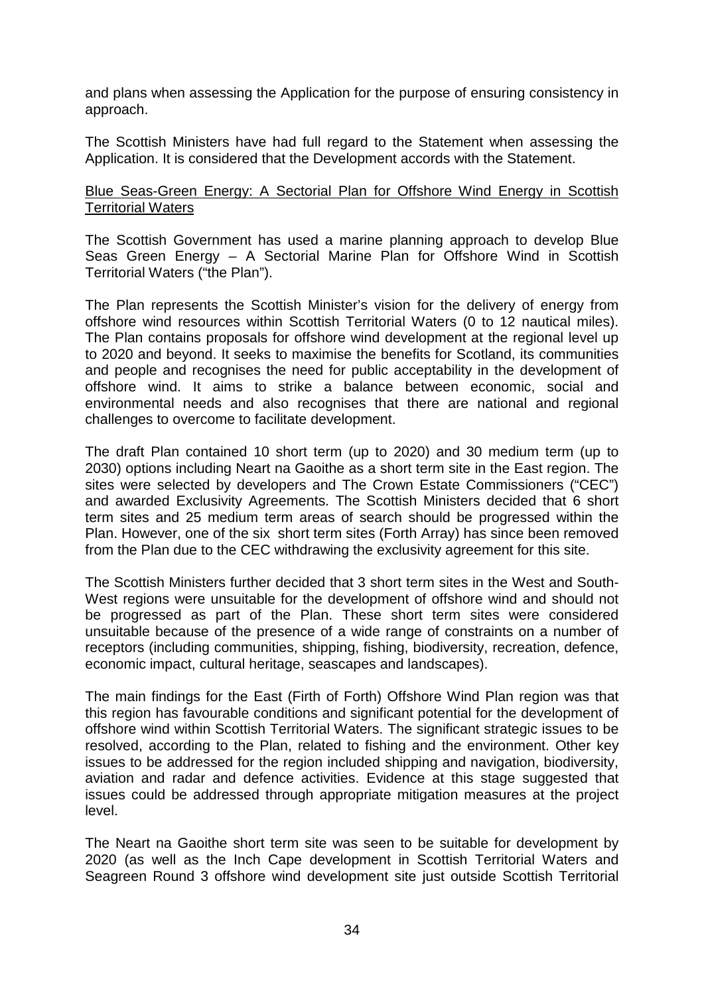and plans when assessing the Application for the purpose of ensuring consistency in approach.

The Scottish Ministers have had full regard to the Statement when assessing the Application. It is considered that the Development accords with the Statement.

#### Blue Seas-Green Energy: A Sectorial Plan for Offshore Wind Energy in Scottish Territorial Waters

The Scottish Government has used a marine planning approach to develop Blue Seas Green Energy – A Sectorial Marine Plan for Offshore Wind in Scottish Territorial Waters ("the Plan").

The Plan represents the Scottish Minister's vision for the delivery of energy from offshore wind resources within Scottish Territorial Waters (0 to 12 nautical miles). The Plan contains proposals for offshore wind development at the regional level up to 2020 and beyond. It seeks to maximise the benefits for Scotland, its communities and people and recognises the need for public acceptability in the development of offshore wind. It aims to strike a balance between economic, social and environmental needs and also recognises that there are national and regional challenges to overcome to facilitate development.

The draft Plan contained 10 short term (up to 2020) and 30 medium term (up to 2030) options including Neart na Gaoithe as a short term site in the East region. The sites were selected by developers and The Crown Estate Commissioners ("CEC") and awarded Exclusivity Agreements. The Scottish Ministers decided that 6 short term sites and 25 medium term areas of search should be progressed within the Plan. However, one of the six short term sites (Forth Array) has since been removed from the Plan due to the CEC withdrawing the exclusivity agreement for this site.

The Scottish Ministers further decided that 3 short term sites in the West and South-West regions were unsuitable for the development of offshore wind and should not be progressed as part of the Plan. These short term sites were considered unsuitable because of the presence of a wide range of constraints on a number of receptors (including communities, shipping, fishing, biodiversity, recreation, defence, economic impact, cultural heritage, seascapes and landscapes).

The main findings for the East (Firth of Forth) Offshore Wind Plan region was that this region has favourable conditions and significant potential for the development of offshore wind within Scottish Territorial Waters. The significant strategic issues to be resolved, according to the Plan, related to fishing and the environment. Other key issues to be addressed for the region included shipping and navigation, biodiversity, aviation and radar and defence activities. Evidence at this stage suggested that issues could be addressed through appropriate mitigation measures at the project level.

The Neart na Gaoithe short term site was seen to be suitable for development by 2020 (as well as the Inch Cape development in Scottish Territorial Waters and Seagreen Round 3 offshore wind development site just outside Scottish Territorial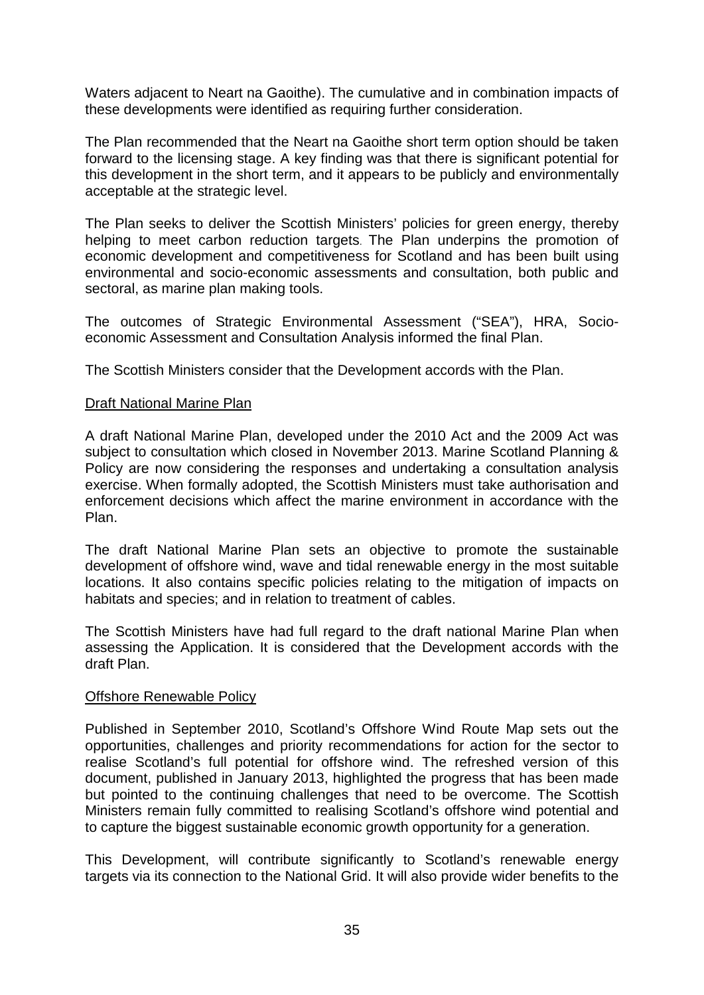Waters adjacent to Neart na Gaoithe). The cumulative and in combination impacts of these developments were identified as requiring further consideration.

The Plan recommended that the Neart na Gaoithe short term option should be taken forward to the licensing stage. A key finding was that there is significant potential for this development in the short term, and it appears to be publicly and environmentally acceptable at the strategic level.

The Plan seeks to deliver the Scottish Ministers' policies for green energy, thereby helping to meet carbon reduction targets. The Plan underpins the promotion of economic development and competitiveness for Scotland and has been built using environmental and socio-economic assessments and consultation, both public and sectoral, as marine plan making tools.

The outcomes of Strategic Environmental Assessment ("SEA"), HRA, Socioeconomic Assessment and Consultation Analysis informed the final Plan.

The Scottish Ministers consider that the Development accords with the Plan.

#### **Draft National Marine Plan**

A draft National Marine Plan, developed under the 2010 Act and the 2009 Act was subject to consultation which closed in November 2013. Marine Scotland Planning & Policy are now considering the responses and undertaking a consultation analysis exercise. When formally adopted, the Scottish Ministers must take authorisation and enforcement decisions which affect the marine environment in accordance with the Plan.

The draft National Marine Plan sets an objective to promote the sustainable development of offshore wind, wave and tidal renewable energy in the most suitable locations. It also contains specific policies relating to the mitigation of impacts on habitats and species; and in relation to treatment of cables.

The Scottish Ministers have had full regard to the draft national Marine Plan when assessing the Application. It is considered that the Development accords with the draft Plan.

#### Offshore Renewable Policy

Published in September 2010, Scotland's Offshore Wind Route Map sets out the opportunities, challenges and priority recommendations for action for the sector to realise Scotland's full potential for offshore wind. The refreshed version of this document, published in January 2013, highlighted the progress that has been made but pointed to the continuing challenges that need to be overcome. The Scottish Ministers remain fully committed to realising Scotland's offshore wind potential and to capture the biggest sustainable economic growth opportunity for a generation.

This Development, will contribute significantly to Scotland's renewable energy targets via its connection to the National Grid. It will also provide wider benefits to the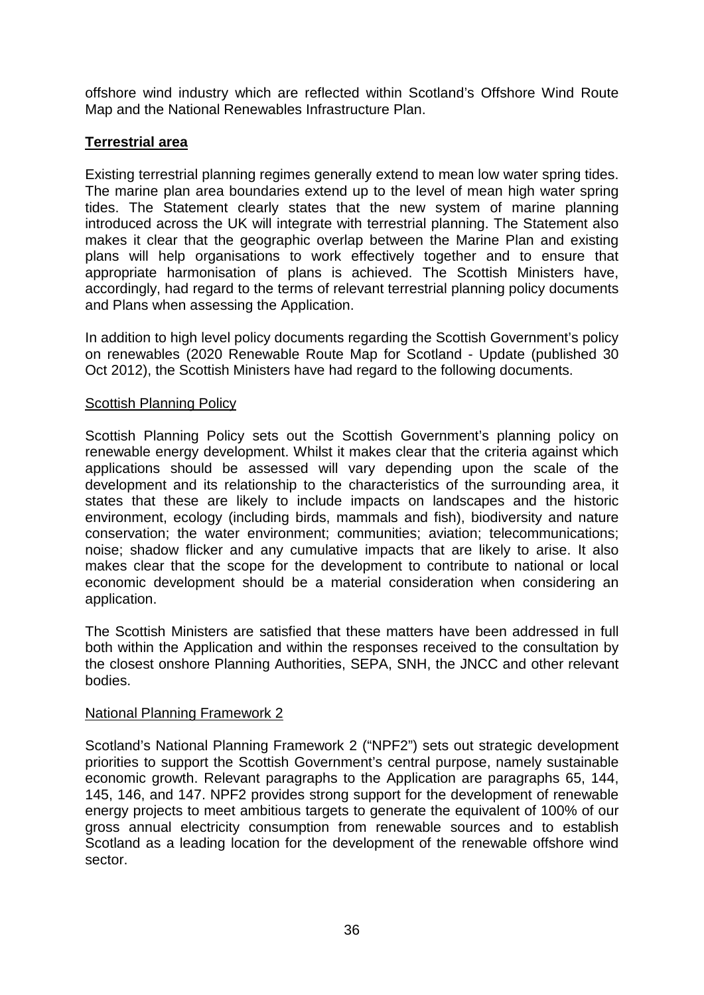offshore wind industry which are reflected within Scotland's Offshore Wind Route Map and the National Renewables Infrastructure Plan.

# **Terrestrial area**

Existing terrestrial planning regimes generally extend to mean low water spring tides. The marine plan area boundaries extend up to the level of mean high water spring tides. The Statement clearly states that the new system of marine planning introduced across the UK will integrate with terrestrial planning. The Statement also makes it clear that the geographic overlap between the Marine Plan and existing plans will help organisations to work effectively together and to ensure that appropriate harmonisation of plans is achieved. The Scottish Ministers have, accordingly, had regard to the terms of relevant terrestrial planning policy documents and Plans when assessing the Application.

In addition to high level policy documents regarding the Scottish Government's policy on renewables (2020 Renewable Route Map for Scotland - Update (published 30 Oct 2012), the Scottish Ministers have had regard to the following documents.

#### **Scottish Planning Policy**

Scottish Planning Policy sets out the Scottish Government's planning policy on renewable energy development. Whilst it makes clear that the criteria against which applications should be assessed will vary depending upon the scale of the development and its relationship to the characteristics of the surrounding area, it states that these are likely to include impacts on landscapes and the historic environment, ecology (including birds, mammals and fish), biodiversity and nature conservation; the water environment; communities; aviation; telecommunications; noise; shadow flicker and any cumulative impacts that are likely to arise. It also makes clear that the scope for the development to contribute to national or local economic development should be a material consideration when considering an application.

The Scottish Ministers are satisfied that these matters have been addressed in full both within the Application and within the responses received to the consultation by the closest onshore Planning Authorities, SEPA, SNH, the JNCC and other relevant bodies.

#### National Planning Framework 2

Scotland's National Planning Framework 2 ("NPF2") sets out strategic development priorities to support the Scottish Government's central purpose, namely sustainable economic growth. Relevant paragraphs to the Application are paragraphs 65, 144, 145, 146, and 147. NPF2 provides strong support for the development of renewable energy projects to meet ambitious targets to generate the equivalent of 100% of our gross annual electricity consumption from renewable sources and to establish Scotland as a leading location for the development of the renewable offshore wind sector.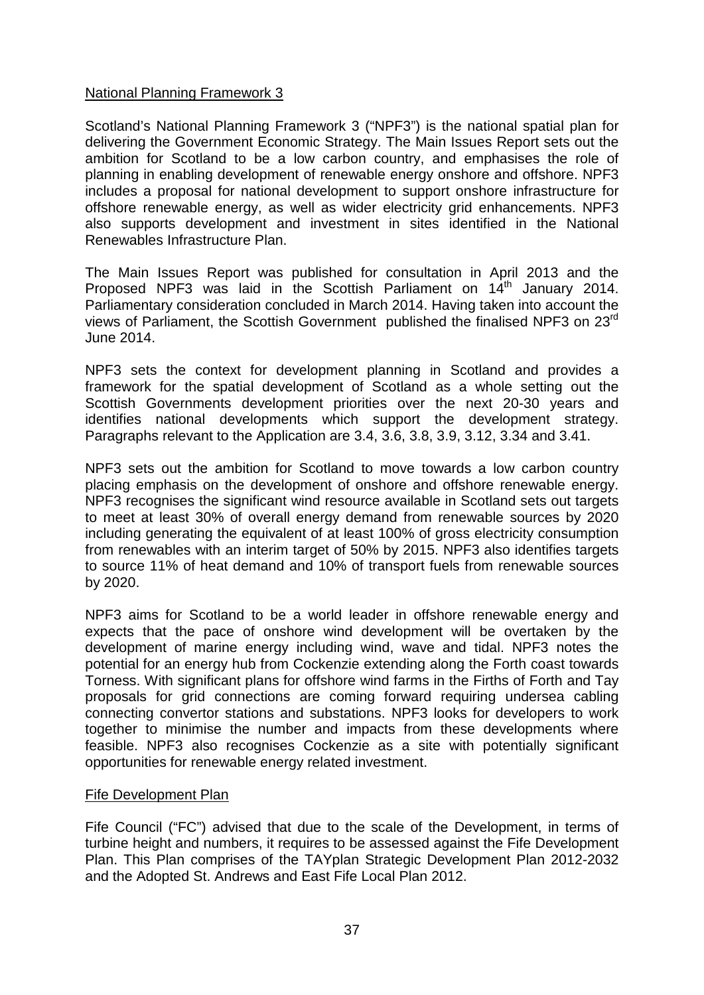#### National Planning Framework 3

Scotland's National Planning Framework 3 ("NPF3") is the national spatial plan for delivering the Government Economic Strategy. The Main Issues Report sets out the ambition for Scotland to be a low carbon country, and emphasises the role of planning in enabling development of renewable energy onshore and offshore. NPF3 includes a proposal for national development to support onshore infrastructure for offshore renewable energy, as well as wider electricity grid enhancements. NPF3 also supports development and investment in sites identified in the National Renewables Infrastructure Plan.

The Main Issues Report was published for consultation in April 2013 and the Proposed NPF3 was laid in the Scottish Parliament on 14<sup>th</sup> January 2014. Parliamentary consideration concluded in March 2014. Having taken into account the views of Parliament, the Scottish Government published the finalised NPF3 on 23rd June 2014.

NPF3 sets the context for development planning in Scotland and provides a framework for the spatial development of Scotland as a whole setting out the Scottish Governments development priorities over the next 20-30 years and identifies national developments which support the development strategy. Paragraphs relevant to the Application are 3.4, 3.6, 3.8, 3.9, 3.12, 3.34 and 3.41.

NPF3 sets out the ambition for Scotland to move towards a low carbon country placing emphasis on the development of onshore and offshore renewable energy. NPF3 recognises the significant wind resource available in Scotland sets out targets to meet at least 30% of overall energy demand from renewable sources by 2020 including generating the equivalent of at least 100% of gross electricity consumption from renewables with an interim target of 50% by 2015. NPF3 also identifies targets to source 11% of heat demand and 10% of transport fuels from renewable sources by 2020.

NPF3 aims for Scotland to be a world leader in offshore renewable energy and expects that the pace of onshore wind development will be overtaken by the development of marine energy including wind, wave and tidal. NPF3 notes the potential for an energy hub from Cockenzie extending along the Forth coast towards Torness. With significant plans for offshore wind farms in the Firths of Forth and Tay proposals for grid connections are coming forward requiring undersea cabling connecting convertor stations and substations. NPF3 looks for developers to work together to minimise the number and impacts from these developments where feasible. NPF3 also recognises Cockenzie as a site with potentially significant opportunities for renewable energy related investment.

#### Fife Development Plan

Fife Council ("FC") advised that due to the scale of the Development, in terms of turbine height and numbers, it requires to be assessed against the Fife Development Plan. This Plan comprises of the TAYplan Strategic Development Plan 2012-2032 and the Adopted St. Andrews and East Fife Local Plan 2012.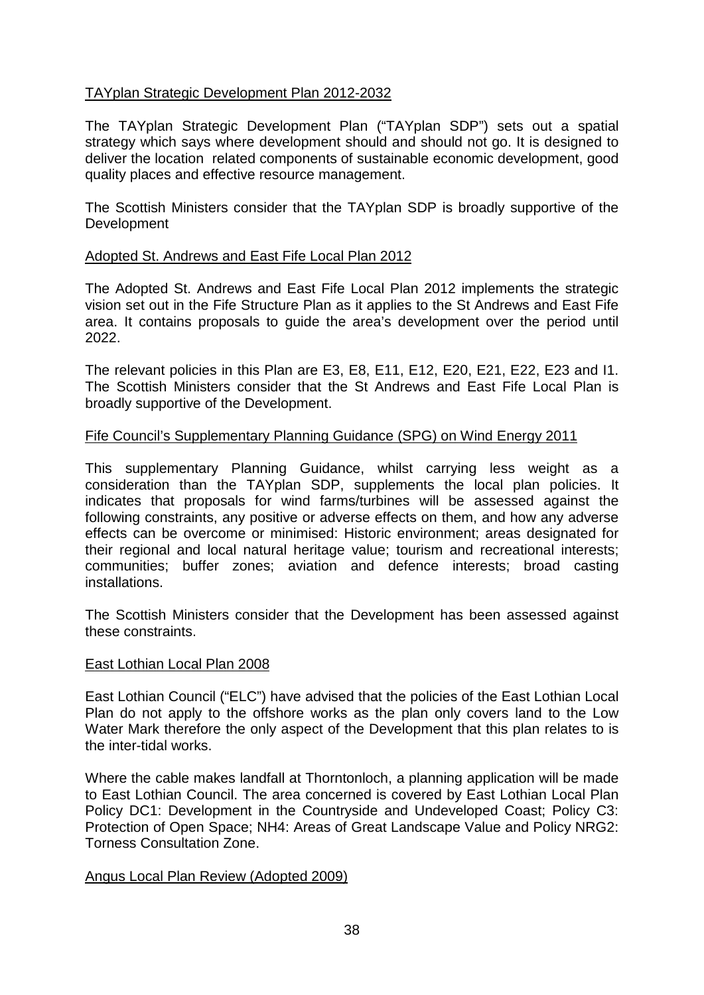## TAYplan Strategic Development Plan 2012-2032

The TAYplan Strategic Development Plan ("TAYplan SDP") sets out a spatial strategy which says where development should and should not go. It is designed to deliver the location related components of sustainable economic development, good quality places and effective resource management.

The Scottish Ministers consider that the TAYplan SDP is broadly supportive of the Development

#### Adopted St. Andrews and East Fife Local Plan 2012

The Adopted St. Andrews and East Fife Local Plan 2012 implements the strategic vision set out in the Fife Structure Plan as it applies to the St Andrews and East Fife area. It contains proposals to guide the area's development over the period until 2022.

The relevant policies in this Plan are E3, E8, E11, E12, E20, E21, E22, E23 and I1. The Scottish Ministers consider that the St Andrews and East Fife Local Plan is broadly supportive of the Development.

#### Fife Council's Supplementary Planning Guidance (SPG) on Wind Energy 2011

This supplementary Planning Guidance, whilst carrying less weight as a consideration than the TAYplan SDP, supplements the local plan policies. It indicates that proposals for wind farms/turbines will be assessed against the following constraints, any positive or adverse effects on them, and how any adverse effects can be overcome or minimised: Historic environment; areas designated for their regional and local natural heritage value; tourism and recreational interests; communities; buffer zones; aviation and defence interests; broad casting installations.

The Scottish Ministers consider that the Development has been assessed against these constraints.

#### East Lothian Local Plan 2008

East Lothian Council ("ELC") have advised that the policies of the East Lothian Local Plan do not apply to the offshore works as the plan only covers land to the Low Water Mark therefore the only aspect of the Development that this plan relates to is the inter-tidal works.

Where the cable makes landfall at Thorntonloch, a planning application will be made to East Lothian Council. The area concerned is covered by East Lothian Local Plan Policy DC1: Development in the Countryside and Undeveloped Coast; Policy C3: Protection of Open Space; NH4: Areas of Great Landscape Value and Policy NRG2: Torness Consultation Zone.

#### Angus Local Plan Review (Adopted 2009)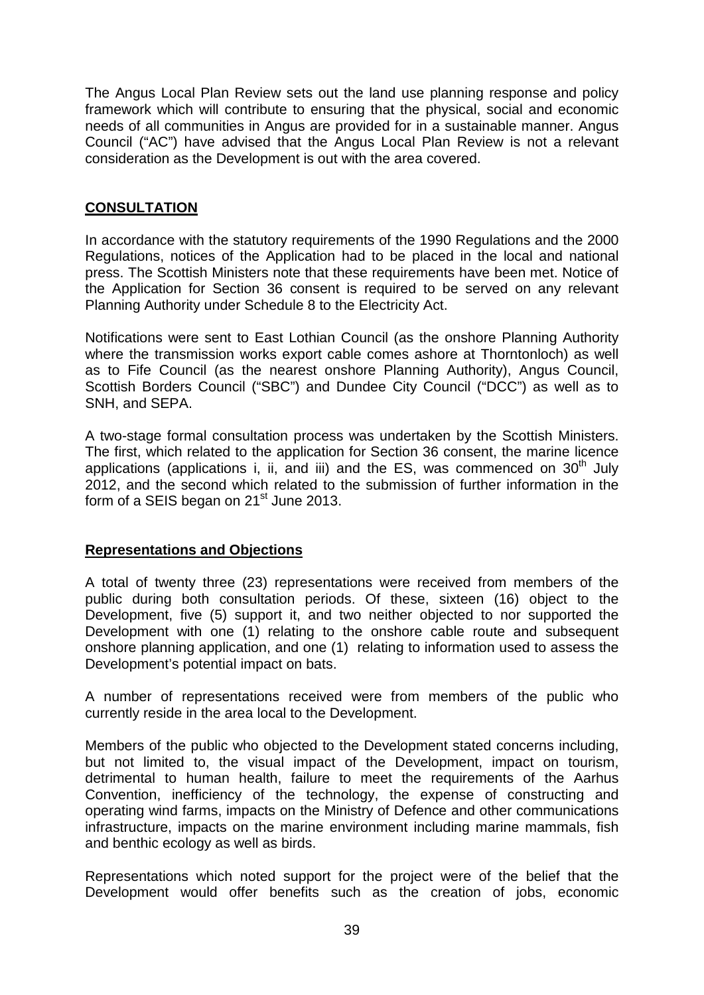The Angus Local Plan Review sets out the land use planning response and policy framework which will contribute to ensuring that the physical, social and economic needs of all communities in Angus are provided for in a sustainable manner. Angus Council ("AC") have advised that the Angus Local Plan Review is not a relevant consideration as the Development is out with the area covered.

## **CONSULTATION**

In accordance with the statutory requirements of the 1990 Regulations and the 2000 Regulations, notices of the Application had to be placed in the local and national press. The Scottish Ministers note that these requirements have been met. Notice of the Application for Section 36 consent is required to be served on any relevant Planning Authority under Schedule 8 to the Electricity Act.

Notifications were sent to East Lothian Council (as the onshore Planning Authority where the transmission works export cable comes ashore at Thorntonloch) as well as to Fife Council (as the nearest onshore Planning Authority), Angus Council, Scottish Borders Council ("SBC") and Dundee City Council ("DCC") as well as to SNH, and SEPA.

A two-stage formal consultation process was undertaken by the Scottish Ministers. The first, which related to the application for Section 36 consent, the marine licence applications (applications i, ii, and iii) and the ES, was commenced on  $30<sup>th</sup>$  July 2012, and the second which related to the submission of further information in the form of a SEIS began on  $21<sup>st</sup>$  June 2013.

#### **Representations and Objections**

A total of twenty three (23) representations were received from members of the public during both consultation periods. Of these, sixteen (16) object to the Development, five (5) support it, and two neither objected to nor supported the Development with one (1) relating to the onshore cable route and subsequent onshore planning application, and one (1) relating to information used to assess the Development's potential impact on bats.

A number of representations received were from members of the public who currently reside in the area local to the Development.

Members of the public who objected to the Development stated concerns including, but not limited to, the visual impact of the Development, impact on tourism, detrimental to human health, failure to meet the requirements of the Aarhus Convention, inefficiency of the technology, the expense of constructing and operating wind farms, impacts on the Ministry of Defence and other communications infrastructure, impacts on the marine environment including marine mammals, fish and benthic ecology as well as birds.

Representations which noted support for the project were of the belief that the Development would offer benefits such as the creation of jobs, economic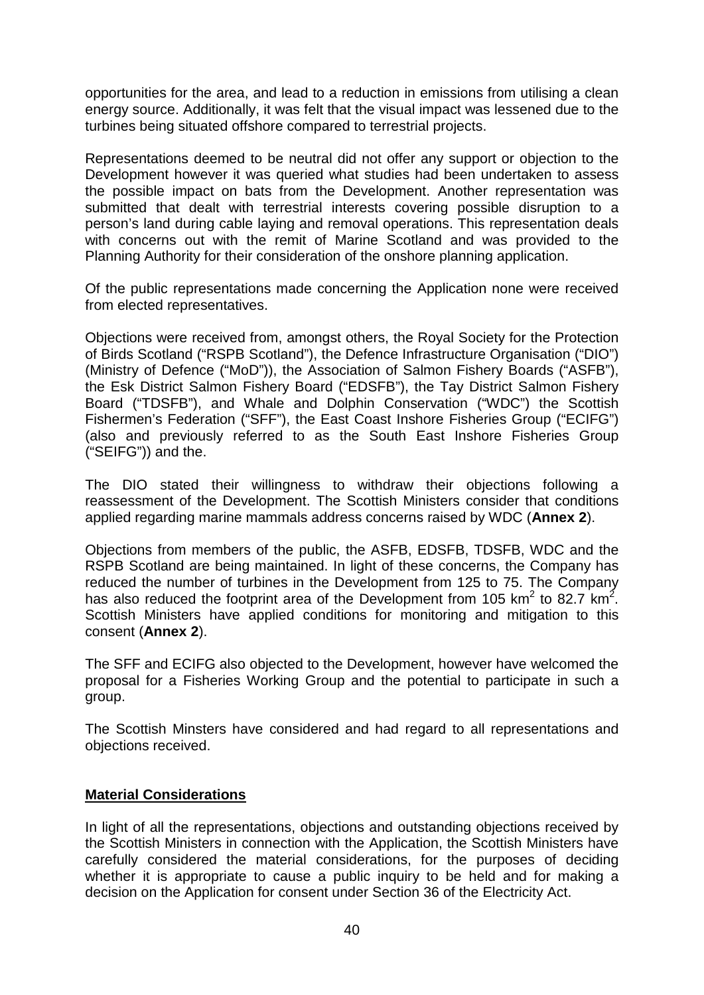opportunities for the area, and lead to a reduction in emissions from utilising a clean energy source. Additionally, it was felt that the visual impact was lessened due to the turbines being situated offshore compared to terrestrial projects.

Representations deemed to be neutral did not offer any support or objection to the Development however it was queried what studies had been undertaken to assess the possible impact on bats from the Development. Another representation was submitted that dealt with terrestrial interests covering possible disruption to a person's land during cable laying and removal operations. This representation deals with concerns out with the remit of Marine Scotland and was provided to the Planning Authority for their consideration of the onshore planning application.

Of the public representations made concerning the Application none were received from elected representatives.

Objections were received from, amongst others, the Royal Society for the Protection of Birds Scotland ("RSPB Scotland"), the Defence Infrastructure Organisation ("DIO") (Ministry of Defence ("MoD")), the Association of Salmon Fishery Boards ("ASFB"), the Esk District Salmon Fishery Board ("EDSFB"), the Tay District Salmon Fishery Board ("TDSFB"), and Whale and Dolphin Conservation ("WDC") the Scottish Fishermen's Federation ("SFF"), the East Coast Inshore Fisheries Group ("ECIFG") (also and previously referred to as the South East Inshore Fisheries Group ("SEIFG")) and the.

The DIO stated their willingness to withdraw their objections following a reassessment of the Development. The Scottish Ministers consider that conditions applied regarding marine mammals address concerns raised by WDC (**Annex 2**).

Objections from members of the public, the ASFB, EDSFB, TDSFB, WDC and the RSPB Scotland are being maintained. In light of these concerns, the Company has reduced the number of turbines in the Development from 125 to 75. The Company has also reduced the footprint area of the Development from 105 km<sup>2</sup> to 82.7 km<sup>2</sup>. Scottish Ministers have applied conditions for monitoring and mitigation to this consent (**Annex 2**).

The SFF and ECIFG also objected to the Development, however have welcomed the proposal for a Fisheries Working Group and the potential to participate in such a group.

The Scottish Minsters have considered and had regard to all representations and objections received.

#### **Material Considerations**

In light of all the representations, objections and outstanding objections received by the Scottish Ministers in connection with the Application, the Scottish Ministers have carefully considered the material considerations, for the purposes of deciding whether it is appropriate to cause a public inquiry to be held and for making a decision on the Application for consent under Section 36 of the Electricity Act.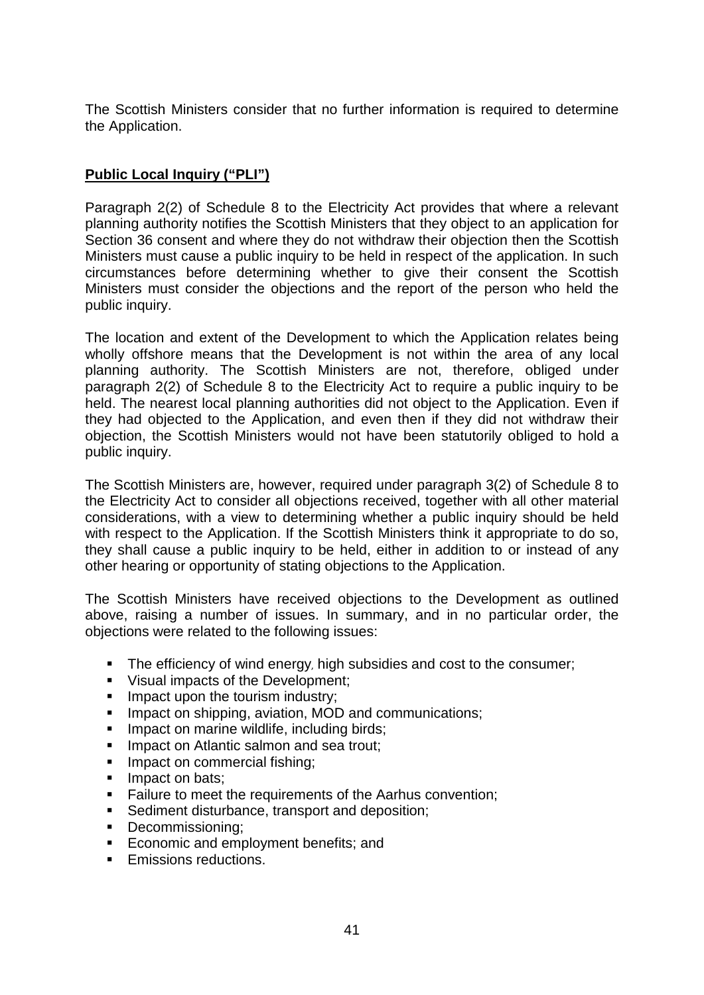The Scottish Ministers consider that no further information is required to determine the Application.

# **Public Local Inquiry ("PLI")**

Paragraph 2(2) of Schedule 8 to the Electricity Act provides that where a relevant planning authority notifies the Scottish Ministers that they object to an application for Section 36 consent and where they do not withdraw their objection then the Scottish Ministers must cause a public inquiry to be held in respect of the application. In such circumstances before determining whether to give their consent the Scottish Ministers must consider the objections and the report of the person who held the public inquiry.

The location and extent of the Development to which the Application relates being wholly offshore means that the Development is not within the area of any local planning authority. The Scottish Ministers are not, therefore, obliged under paragraph 2(2) of Schedule 8 to the Electricity Act to require a public inquiry to be held. The nearest local planning authorities did not object to the Application. Even if they had objected to the Application, and even then if they did not withdraw their objection, the Scottish Ministers would not have been statutorily obliged to hold a public inquiry.

The Scottish Ministers are, however, required under paragraph 3(2) of Schedule 8 to the Electricity Act to consider all objections received, together with all other material considerations, with a view to determining whether a public inquiry should be held with respect to the Application. If the Scottish Ministers think it appropriate to do so, they shall cause a public inquiry to be held, either in addition to or instead of any other hearing or opportunity of stating objections to the Application.

The Scottish Ministers have received objections to the Development as outlined above, raising a number of issues. In summary, and in no particular order, the objections were related to the following issues:

- The efficiency of wind energy, high subsidies and cost to the consumer;
- Visual impacts of the Development:
- **IMPACT UPON the tourism industry;**
- **IMPACT ON SHIPPING, AVIATION, MOD and communications;**
- **IMPACT ON MARING WILD WEIGHT MARYIES:** Including birds;
- **Impact on Atlantic salmon and sea trout:**
- **Impact on commercial fishing:**
- **Impact on bats;**
- **Failure to meet the requirements of the Aarhus convention;**
- **Sediment disturbance, transport and deposition;**
- Decommissioning;
- **Economic and employment benefits; and**
- **Emissions reductions.**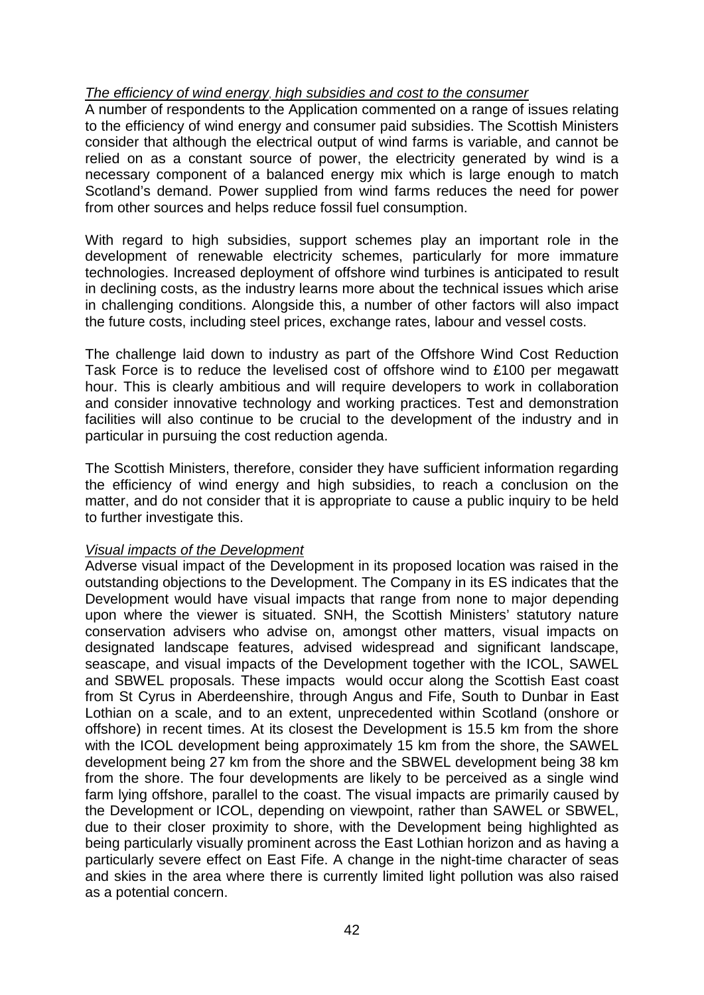#### *The efficiency of wind energy*, *high subsidies and cost to the consumer*

A number of respondents to the Application commented on a range of issues relating to the efficiency of wind energy and consumer paid subsidies. The Scottish Ministers consider that although the electrical output of wind farms is variable, and cannot be relied on as a constant source of power, the electricity generated by wind is a necessary component of a balanced energy mix which is large enough to match Scotland's demand. Power supplied from wind farms reduces the need for power from other sources and helps reduce fossil fuel consumption.

With regard to high subsidies, support schemes play an important role in the development of renewable electricity schemes, particularly for more immature technologies. Increased deployment of offshore wind turbines is anticipated to result in declining costs, as the industry learns more about the technical issues which arise in challenging conditions. Alongside this, a number of other factors will also impact the future costs, including steel prices, exchange rates, labour and vessel costs.

The challenge laid down to industry as part of the Offshore Wind Cost Reduction Task Force is to reduce the levelised cost of offshore wind to £100 per megawatt hour. This is clearly ambitious and will require developers to work in collaboration and consider innovative technology and working practices. Test and demonstration facilities will also continue to be crucial to the development of the industry and in particular in pursuing the cost reduction agenda.

The Scottish Ministers, therefore, consider they have sufficient information regarding the efficiency of wind energy and high subsidies, to reach a conclusion on the matter, and do not consider that it is appropriate to cause a public inquiry to be held to further investigate this.

#### *Visual impacts of the Development*

Adverse visual impact of the Development in its proposed location was raised in the outstanding objections to the Development. The Company in its ES indicates that the Development would have visual impacts that range from none to major depending upon where the viewer is situated. SNH, the Scottish Ministers' statutory nature conservation advisers who advise on, amongst other matters, visual impacts on designated landscape features, advised widespread and significant landscape, seascape, and visual impacts of the Development together with the ICOL, SAWEL and SBWEL proposals. These impacts would occur along the Scottish East coast from St Cyrus in Aberdeenshire, through Angus and Fife, South to Dunbar in East Lothian on a scale, and to an extent, unprecedented within Scotland (onshore or offshore) in recent times. At its closest the Development is 15.5 km from the shore with the ICOL development being approximately 15 km from the shore, the SAWEL development being 27 km from the shore and the SBWEL development being 38 km from the shore. The four developments are likely to be perceived as a single wind farm lying offshore, parallel to the coast. The visual impacts are primarily caused by the Development or ICOL, depending on viewpoint, rather than SAWEL or SBWEL, due to their closer proximity to shore, with the Development being highlighted as being particularly visually prominent across the East Lothian horizon and as having a particularly severe effect on East Fife. A change in the night-time character of seas and skies in the area where there is currently limited light pollution was also raised as a potential concern.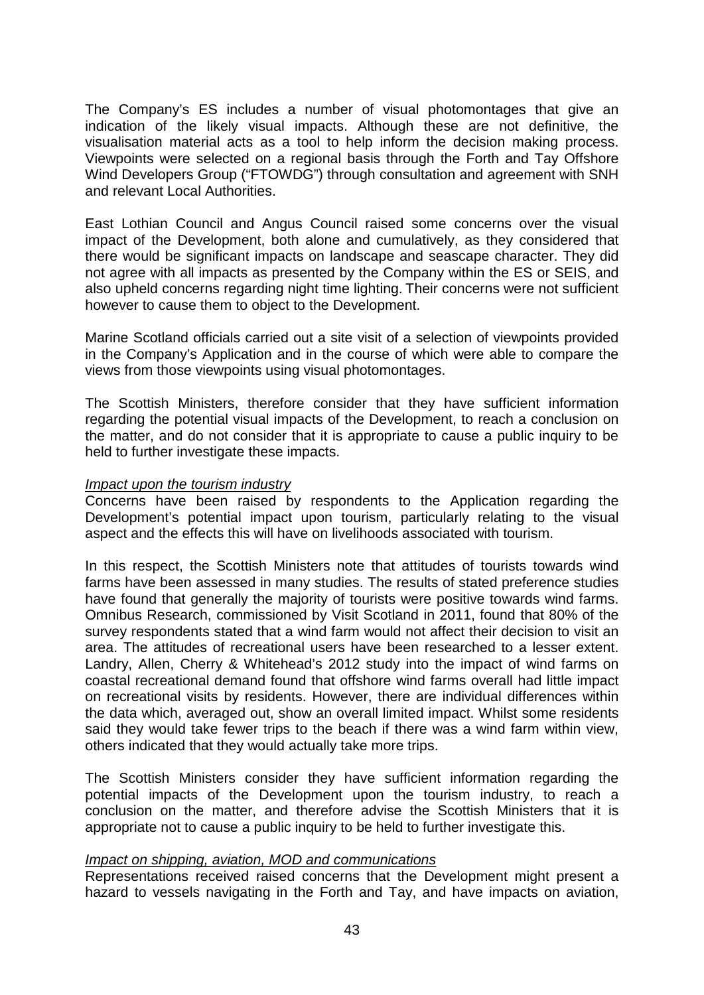The Company's ES includes a number of visual photomontages that give an indication of the likely visual impacts. Although these are not definitive, the visualisation material acts as a tool to help inform the decision making process. Viewpoints were selected on a regional basis through the Forth and Tay Offshore Wind Developers Group ("FTOWDG") through consultation and agreement with SNH and relevant Local Authorities.

East Lothian Council and Angus Council raised some concerns over the visual impact of the Development, both alone and cumulatively, as they considered that there would be significant impacts on landscape and seascape character. They did not agree with all impacts as presented by the Company within the ES or SEIS, and also upheld concerns regarding night time lighting. Their concerns were not sufficient however to cause them to object to the Development.

Marine Scotland officials carried out a site visit of a selection of viewpoints provided in the Company's Application and in the course of which were able to compare the views from those viewpoints using visual photomontages.

The Scottish Ministers, therefore consider that they have sufficient information regarding the potential visual impacts of the Development, to reach a conclusion on the matter, and do not consider that it is appropriate to cause a public inquiry to be held to further investigate these impacts.

#### *Impact upon the tourism industry*

Concerns have been raised by respondents to the Application regarding the Development's potential impact upon tourism, particularly relating to the visual aspect and the effects this will have on livelihoods associated with tourism.

In this respect, the Scottish Ministers note that attitudes of tourists towards wind farms have been assessed in many studies. The results of stated preference studies have found that generally the majority of tourists were positive towards wind farms. Omnibus Research, commissioned by Visit Scotland in 2011, found that 80% of the survey respondents stated that a wind farm would not affect their decision to visit an area. The attitudes of recreational users have been researched to a lesser extent. Landry, Allen, Cherry & Whitehead's 2012 study into the impact of wind farms on coastal recreational demand found that offshore wind farms overall had little impact on recreational visits by residents. However, there are individual differences within the data which, averaged out, show an overall limited impact. Whilst some residents said they would take fewer trips to the beach if there was a wind farm within view, others indicated that they would actually take more trips.

The Scottish Ministers consider they have sufficient information regarding the potential impacts of the Development upon the tourism industry, to reach a conclusion on the matter, and therefore advise the Scottish Ministers that it is appropriate not to cause a public inquiry to be held to further investigate this.

#### *Impact on shipping, aviation, MOD and communications*

Representations received raised concerns that the Development might present a hazard to vessels navigating in the Forth and Tay, and have impacts on aviation,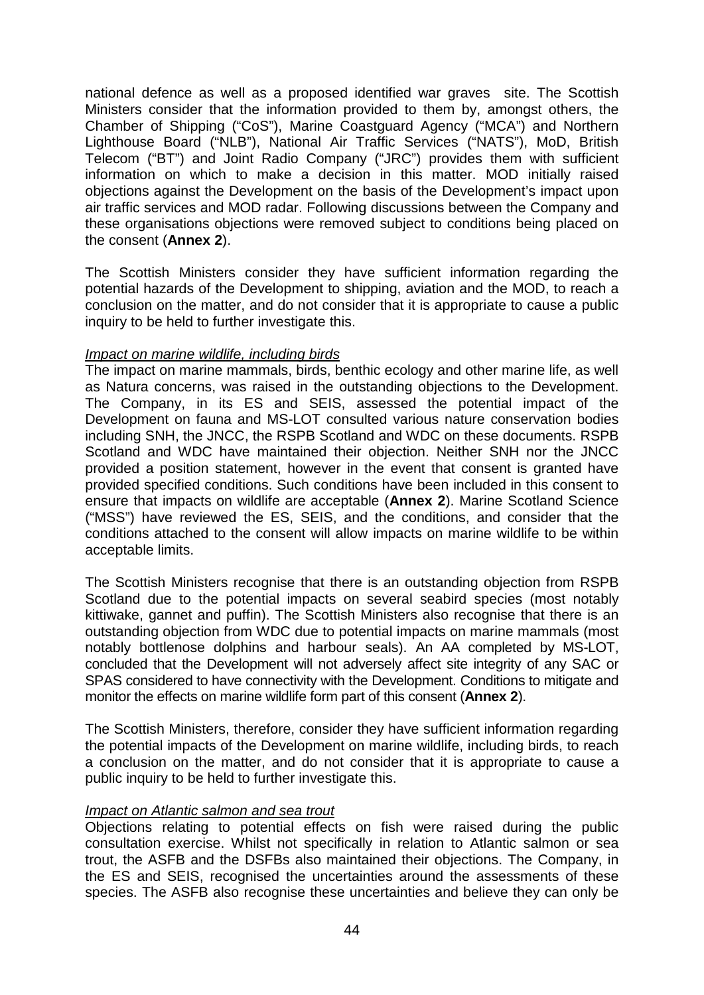national defence as well as a proposed identified war graves site. The Scottish Ministers consider that the information provided to them by, amongst others, the Chamber of Shipping ("CoS"), Marine Coastguard Agency ("MCA") and Northern Lighthouse Board ("NLB"), National Air Traffic Services ("NATS"), MoD, British Telecom ("BT") and Joint Radio Company ("JRC") provides them with sufficient information on which to make a decision in this matter. MOD initially raised objections against the Development on the basis of the Development's impact upon air traffic services and MOD radar. Following discussions between the Company and these organisations objections were removed subject to conditions being placed on the consent (**Annex 2**).

The Scottish Ministers consider they have sufficient information regarding the potential hazards of the Development to shipping, aviation and the MOD, to reach a conclusion on the matter, and do not consider that it is appropriate to cause a public inquiry to be held to further investigate this.

#### *Impact on marine wildlife, including birds*

The impact on marine mammals, birds, benthic ecology and other marine life, as well as Natura concerns, was raised in the outstanding objections to the Development. The Company, in its ES and SEIS, assessed the potential impact of the Development on fauna and MS-LOT consulted various nature conservation bodies including SNH, the JNCC, the RSPB Scotland and WDC on these documents. RSPB Scotland and WDC have maintained their objection. Neither SNH nor the JNCC provided a position statement, however in the event that consent is granted have provided specified conditions. Such conditions have been included in this consent to ensure that impacts on wildlife are acceptable (**Annex 2**). Marine Scotland Science ("MSS") have reviewed the ES, SEIS, and the conditions, and consider that the conditions attached to the consent will allow impacts on marine wildlife to be within acceptable limits.

The Scottish Ministers recognise that there is an outstanding objection from RSPB Scotland due to the potential impacts on several seabird species (most notably kittiwake, gannet and puffin). The Scottish Ministers also recognise that there is an outstanding objection from WDC due to potential impacts on marine mammals (most notably bottlenose dolphins and harbour seals). An AA completed by MS-LOT, concluded that the Development will not adversely affect site integrity of any SAC or SPAS considered to have connectivity with the Development. Conditions to mitigate and monitor the effects on marine wildlife form part of this consent (**Annex 2**).

The Scottish Ministers, therefore, consider they have sufficient information regarding the potential impacts of the Development on marine wildlife, including birds, to reach a conclusion on the matter, and do not consider that it is appropriate to cause a public inquiry to be held to further investigate this.

#### *Impact on Atlantic salmon and sea trout*

Objections relating to potential effects on fish were raised during the public consultation exercise. Whilst not specifically in relation to Atlantic salmon or sea trout, the ASFB and the DSFBs also maintained their objections. The Company, in the ES and SEIS, recognised the uncertainties around the assessments of these species. The ASFB also recognise these uncertainties and believe they can only be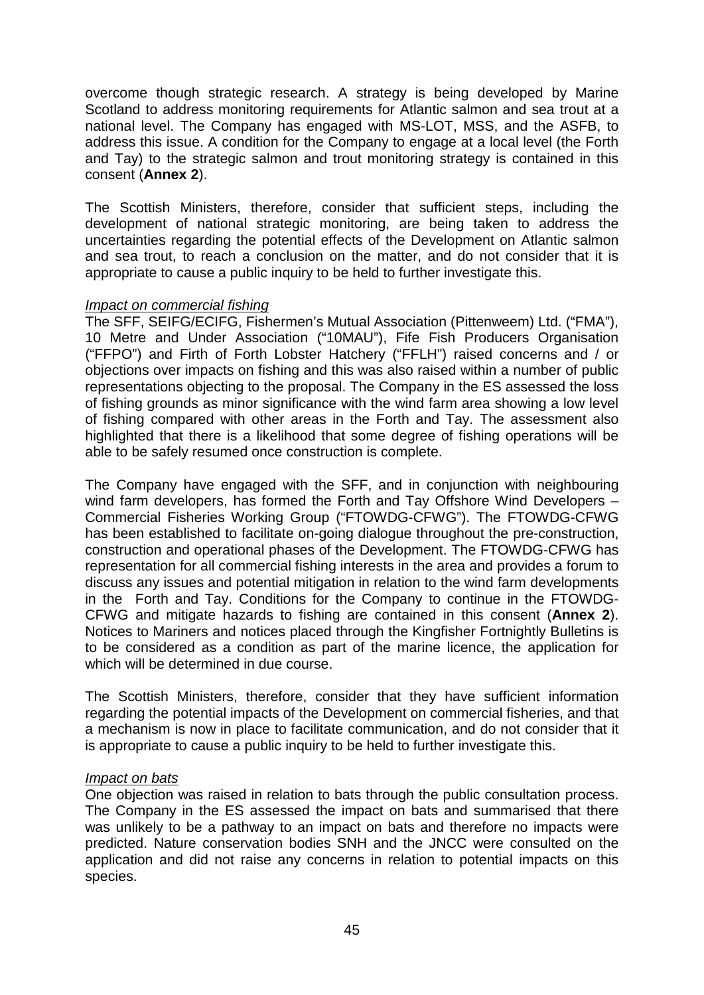overcome though strategic research. A strategy is being developed by Marine Scotland to address monitoring requirements for Atlantic salmon and sea trout at a national level. The Company has engaged with MS-LOT, MSS, and the ASFB, to address this issue. A condition for the Company to engage at a local level (the Forth and Tay) to the strategic salmon and trout monitoring strategy is contained in this consent (**Annex 2**).

The Scottish Ministers, therefore, consider that sufficient steps, including the development of national strategic monitoring, are being taken to address the uncertainties regarding the potential effects of the Development on Atlantic salmon and sea trout, to reach a conclusion on the matter, and do not consider that it is appropriate to cause a public inquiry to be held to further investigate this.

#### *Impact on commercial fishing*

The SFF, SEIFG/ECIFG, Fishermen's Mutual Association (Pittenweem) Ltd. ("FMA"), 10 Metre and Under Association ("10MAU"), Fife Fish Producers Organisation ("FFPO") and Firth of Forth Lobster Hatchery ("FFLH") raised concerns and / or objections over impacts on fishing and this was also raised within a number of public representations objecting to the proposal. The Company in the ES assessed the loss of fishing grounds as minor significance with the wind farm area showing a low level of fishing compared with other areas in the Forth and Tay. The assessment also highlighted that there is a likelihood that some degree of fishing operations will be able to be safely resumed once construction is complete.

The Company have engaged with the SFF, and in conjunction with neighbouring wind farm developers, has formed the Forth and Tay Offshore Wind Developers – Commercial Fisheries Working Group ("FTOWDG-CFWG"). The FTOWDG-CFWG has been established to facilitate on-going dialogue throughout the pre-construction, construction and operational phases of the Development. The FTOWDG-CFWG has representation for all commercial fishing interests in the area and provides a forum to discuss any issues and potential mitigation in relation to the wind farm developments in the Forth and Tay. Conditions for the Company to continue in the FTOWDG-CFWG and mitigate hazards to fishing are contained in this consent (**Annex 2**). Notices to Mariners and notices placed through the Kingfisher Fortnightly Bulletins is to be considered as a condition as part of the marine licence, the application for which will be determined in due course.

The Scottish Ministers, therefore, consider that they have sufficient information regarding the potential impacts of the Development on commercial fisheries, and that a mechanism is now in place to facilitate communication, and do not consider that it is appropriate to cause a public inquiry to be held to further investigate this.

#### *Impact on bats*

One objection was raised in relation to bats through the public consultation process. The Company in the ES assessed the impact on bats and summarised that there was unlikely to be a pathway to an impact on bats and therefore no impacts were predicted. Nature conservation bodies SNH and the JNCC were consulted on the application and did not raise any concerns in relation to potential impacts on this species.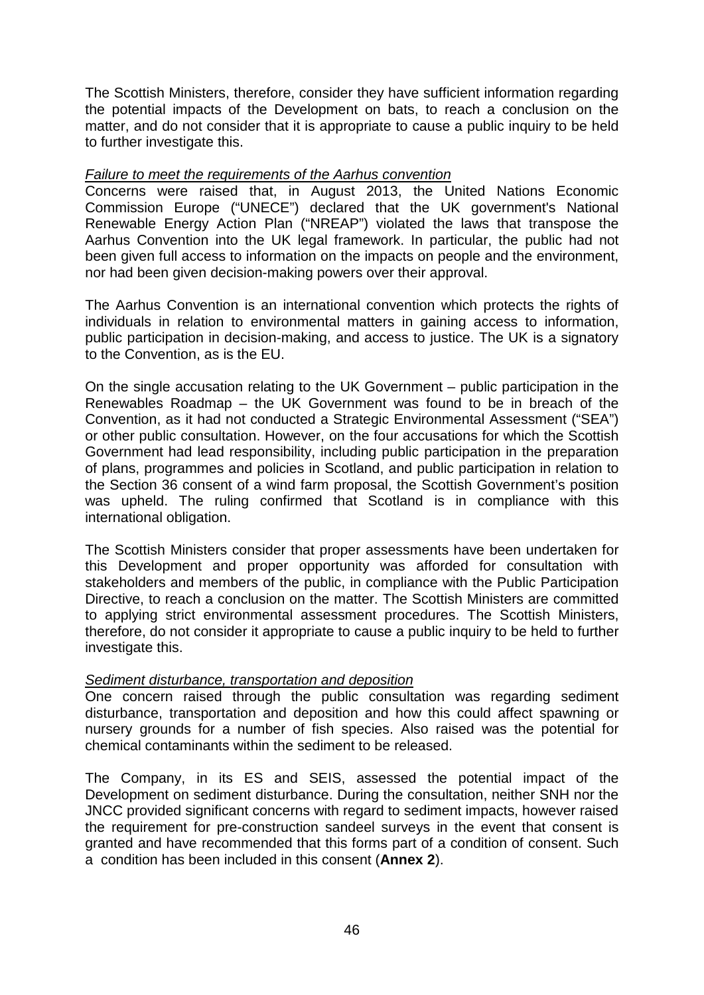The Scottish Ministers, therefore, consider they have sufficient information regarding the potential impacts of the Development on bats, to reach a conclusion on the matter, and do not consider that it is appropriate to cause a public inquiry to be held to further investigate this.

#### *Failure to meet the requirements of the Aarhus convention*

Concerns were raised that, in August 2013, the United Nations Economic Commission Europe ("UNECE") declared that the UK government's National Renewable Energy Action Plan ("NREAP") violated the laws that transpose the Aarhus Convention into the UK legal framework. In particular, the public had not been given full access to information on the impacts on people and the environment, nor had been given decision-making powers over their approval.

The Aarhus Convention is an international convention which protects the rights of individuals in relation to environmental matters in gaining access to information, public participation in decision-making, and access to justice. The UK is a signatory to the Convention, as is the EU.

On the single accusation relating to the UK Government – public participation in the Renewables Roadmap – the UK Government was found to be in breach of the Convention, as it had not conducted a Strategic Environmental Assessment ("SEA") or other public consultation. However, on the four accusations for which the Scottish Government had lead responsibility, including public participation in the preparation of plans, programmes and policies in Scotland, and public participation in relation to the Section 36 consent of a wind farm proposal, the Scottish Government's position was upheld. The ruling confirmed that Scotland is in compliance with this international obligation.

The Scottish Ministers consider that proper assessments have been undertaken for this Development and proper opportunity was afforded for consultation with stakeholders and members of the public, in compliance with the Public Participation Directive, to reach a conclusion on the matter. The Scottish Ministers are committed to applying strict environmental assessment procedures. The Scottish Ministers, therefore, do not consider it appropriate to cause a public inquiry to be held to further investigate this.

#### *Sediment disturbance, transportation and deposition*

One concern raised through the public consultation was regarding sediment disturbance, transportation and deposition and how this could affect spawning or nursery grounds for a number of fish species. Also raised was the potential for chemical contaminants within the sediment to be released.

The Company, in its ES and SEIS, assessed the potential impact of the Development on sediment disturbance. During the consultation, neither SNH nor the JNCC provided significant concerns with regard to sediment impacts, however raised the requirement for pre-construction sandeel surveys in the event that consent is granted and have recommended that this forms part of a condition of consent. Such a condition has been included in this consent (**Annex 2**).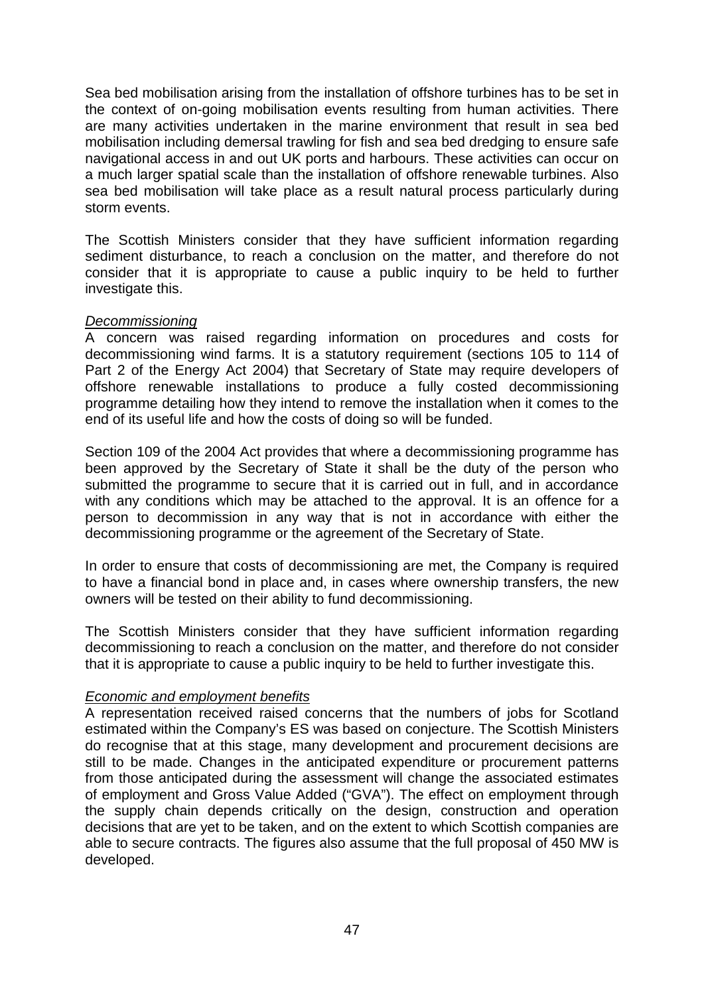Sea bed mobilisation arising from the installation of offshore turbines has to be set in the context of on-going mobilisation events resulting from human activities. There are many activities undertaken in the marine environment that result in sea bed mobilisation including demersal trawling for fish and sea bed dredging to ensure safe navigational access in and out UK ports and harbours. These activities can occur on a much larger spatial scale than the installation of offshore renewable turbines. Also sea bed mobilisation will take place as a result natural process particularly during storm events.

The Scottish Ministers consider that they have sufficient information regarding sediment disturbance, to reach a conclusion on the matter, and therefore do not consider that it is appropriate to cause a public inquiry to be held to further investigate this.

#### *Decommissioning*

A concern was raised regarding information on procedures and costs for decommissioning wind farms. It is a statutory requirement (sections 105 to 114 of Part 2 of the Energy Act 2004) that Secretary of State may require developers of offshore renewable installations to produce a fully costed decommissioning programme detailing how they intend to remove the installation when it comes to the end of its useful life and how the costs of doing so will be funded.

Section 109 of the 2004 Act provides that where a decommissioning programme has been approved by the Secretary of State it shall be the duty of the person who submitted the programme to secure that it is carried out in full, and in accordance with any conditions which may be attached to the approval. It is an offence for a person to decommission in any way that is not in accordance with either the decommissioning programme or the agreement of the Secretary of State.

In order to ensure that costs of decommissioning are met, the Company is required to have a financial bond in place and, in cases where ownership transfers, the new owners will be tested on their ability to fund decommissioning.

The Scottish Ministers consider that they have sufficient information regarding decommissioning to reach a conclusion on the matter, and therefore do not consider that it is appropriate to cause a public inquiry to be held to further investigate this.

#### *Economic and employment benefits*

A representation received raised concerns that the numbers of jobs for Scotland estimated within the Company's ES was based on conjecture. The Scottish Ministers do recognise that at this stage, many development and procurement decisions are still to be made. Changes in the anticipated expenditure or procurement patterns from those anticipated during the assessment will change the associated estimates of employment and Gross Value Added ("GVA"). The effect on employment through the supply chain depends critically on the design, construction and operation decisions that are yet to be taken, and on the extent to which Scottish companies are able to secure contracts. The figures also assume that the full proposal of 450 MW is developed.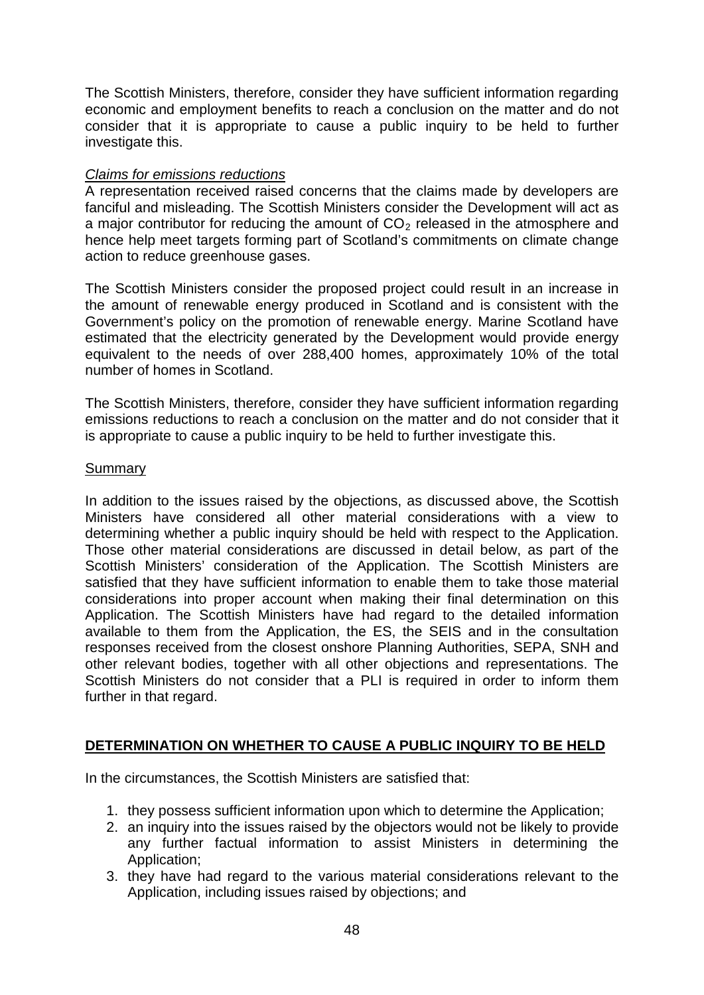The Scottish Ministers, therefore, consider they have sufficient information regarding economic and employment benefits to reach a conclusion on the matter and do not consider that it is appropriate to cause a public inquiry to be held to further investigate this.

#### *Claims for emissions reductions*

A representation received raised concerns that the claims made by developers are fanciful and misleading. The Scottish Ministers consider the Development will act as a major contributor for reducing the amount of  $CO<sub>2</sub>$  released in the atmosphere and hence help meet targets forming part of Scotland's commitments on climate change action to reduce greenhouse gases.

The Scottish Ministers consider the proposed project could result in an increase in the amount of renewable energy produced in Scotland and is consistent with the Government's policy on the promotion of renewable energy. Marine Scotland have estimated that the electricity generated by the Development would provide energy equivalent to the needs of over 288,400 homes, approximately 10% of the total number of homes in Scotland.

The Scottish Ministers, therefore, consider they have sufficient information regarding emissions reductions to reach a conclusion on the matter and do not consider that it is appropriate to cause a public inquiry to be held to further investigate this.

#### Summary

In addition to the issues raised by the objections, as discussed above, the Scottish Ministers have considered all other material considerations with a view to determining whether a public inquiry should be held with respect to the Application. Those other material considerations are discussed in detail below, as part of the Scottish Ministers' consideration of the Application. The Scottish Ministers are satisfied that they have sufficient information to enable them to take those material considerations into proper account when making their final determination on this Application. The Scottish Ministers have had regard to the detailed information available to them from the Application, the ES, the SEIS and in the consultation responses received from the closest onshore Planning Authorities, SEPA, SNH and other relevant bodies, together with all other objections and representations. The Scottish Ministers do not consider that a PLI is required in order to inform them further in that regard.

#### **DETERMINATION ON WHETHER TO CAUSE A PUBLIC INQUIRY TO BE HELD**

In the circumstances, the Scottish Ministers are satisfied that:

- 1. they possess sufficient information upon which to determine the Application;
- 2. an inquiry into the issues raised by the objectors would not be likely to provide any further factual information to assist Ministers in determining the Application;
- 3. they have had regard to the various material considerations relevant to the Application, including issues raised by objections; and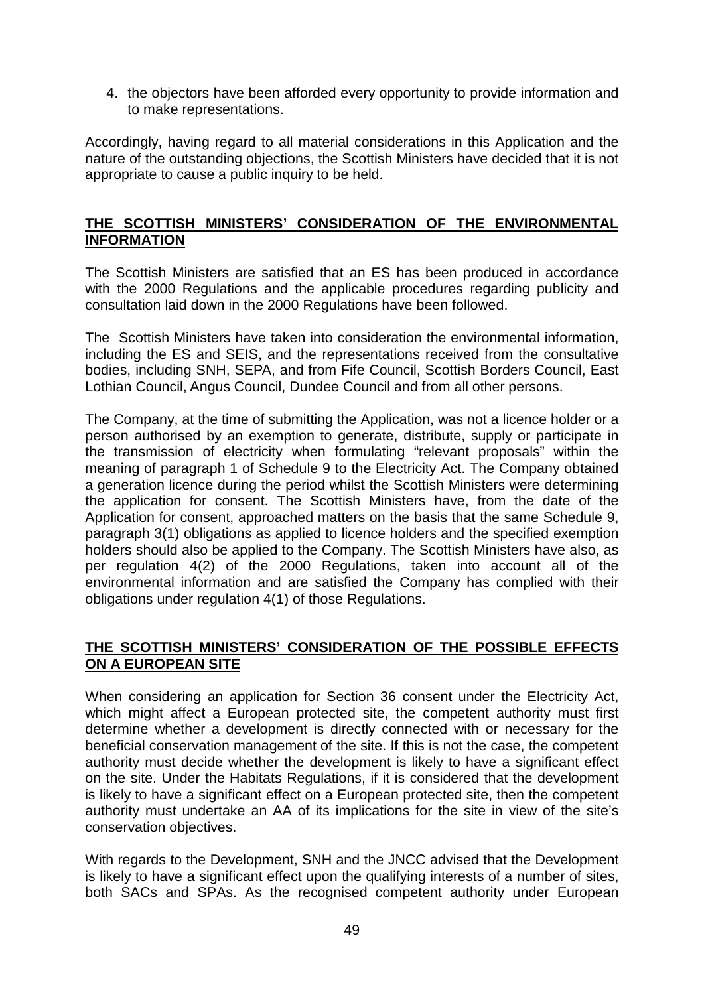4. the objectors have been afforded every opportunity to provide information and to make representations.

Accordingly, having regard to all material considerations in this Application and the nature of the outstanding objections, the Scottish Ministers have decided that it is not appropriate to cause a public inquiry to be held.

#### **THE SCOTTISH MINISTERS' CONSIDERATION OF THE ENVIRONMENTAL INFORMATION**

The Scottish Ministers are satisfied that an ES has been produced in accordance with the 2000 Regulations and the applicable procedures regarding publicity and consultation laid down in the 2000 Regulations have been followed.

The Scottish Ministers have taken into consideration the environmental information, including the ES and SEIS, and the representations received from the consultative bodies, including SNH, SEPA, and from Fife Council, Scottish Borders Council, East Lothian Council, Angus Council, Dundee Council and from all other persons.

The Company, at the time of submitting the Application, was not a licence holder or a person authorised by an exemption to generate, distribute, supply or participate in the transmission of electricity when formulating "relevant proposals" within the meaning of paragraph 1 of Schedule 9 to the Electricity Act. The Company obtained a generation licence during the period whilst the Scottish Ministers were determining the application for consent. The Scottish Ministers have, from the date of the Application for consent, approached matters on the basis that the same Schedule 9, paragraph 3(1) obligations as applied to licence holders and the specified exemption holders should also be applied to the Company. The Scottish Ministers have also, as per regulation 4(2) of the 2000 Regulations, taken into account all of the environmental information and are satisfied the Company has complied with their obligations under regulation 4(1) of those Regulations.

## **THE SCOTTISH MINISTERS' CONSIDERATION OF THE POSSIBLE EFFECTS ON A EUROPEAN SITE**

When considering an application for Section 36 consent under the Electricity Act, which might affect a European protected site, the competent authority must first determine whether a development is directly connected with or necessary for the beneficial conservation management of the site. If this is not the case, the competent authority must decide whether the development is likely to have a significant effect on the site. Under the Habitats Regulations, if it is considered that the development is likely to have a significant effect on a European protected site, then the competent authority must undertake an AA of its implications for the site in view of the site's conservation objectives.

With regards to the Development, SNH and the JNCC advised that the Development is likely to have a significant effect upon the qualifying interests of a number of sites, both SACs and SPAs. As the recognised competent authority under European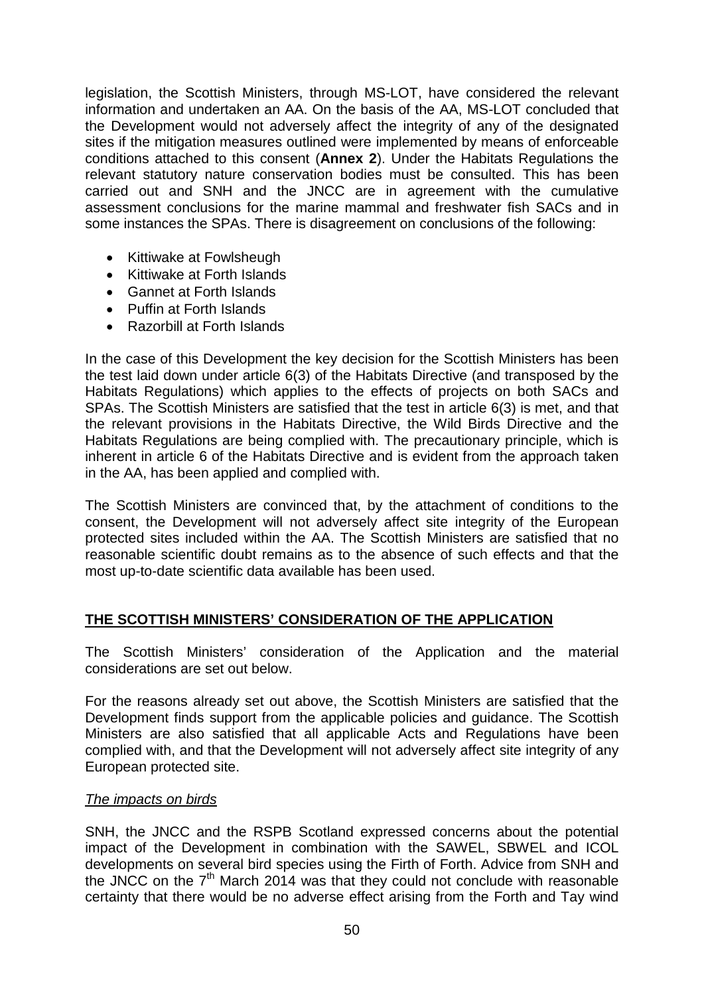legislation, the Scottish Ministers, through MS-LOT, have considered the relevant information and undertaken an AA. On the basis of the AA, MS-LOT concluded that the Development would not adversely affect the integrity of any of the designated sites if the mitigation measures outlined were implemented by means of enforceable conditions attached to this consent (**Annex 2**). Under the Habitats Regulations the relevant statutory nature conservation bodies must be consulted. This has been carried out and SNH and the JNCC are in agreement with the cumulative assessment conclusions for the marine mammal and freshwater fish SACs and in some instances the SPAs. There is disagreement on conclusions of the following:

- Kittiwake at Fowlsheugh
- Kittiwake at Forth Islands
- Gannet at Forth Islands
- Puffin at Forth Islands
- Razorbill at Forth Islands

In the case of this Development the key decision for the Scottish Ministers has been the test laid down under article 6(3) of the Habitats Directive (and transposed by the Habitats Regulations) which applies to the effects of projects on both SACs and SPAs. The Scottish Ministers are satisfied that the test in article 6(3) is met, and that the relevant provisions in the Habitats Directive, the Wild Birds Directive and the Habitats Regulations are being complied with. The precautionary principle, which is inherent in article 6 of the Habitats Directive and is evident from the approach taken in the AA, has been applied and complied with.

The Scottish Ministers are convinced that, by the attachment of conditions to the consent, the Development will not adversely affect site integrity of the European protected sites included within the AA. The Scottish Ministers are satisfied that no reasonable scientific doubt remains as to the absence of such effects and that the most up-to-date scientific data available has been used.

#### **THE SCOTTISH MINISTERS' CONSIDERATION OF THE APPLICATION**

The Scottish Ministers' consideration of the Application and the material considerations are set out below.

For the reasons already set out above, the Scottish Ministers are satisfied that the Development finds support from the applicable policies and guidance. The Scottish Ministers are also satisfied that all applicable Acts and Regulations have been complied with, and that the Development will not adversely affect site integrity of any European protected site.

#### *The impacts on birds*

SNH, the JNCC and the RSPB Scotland expressed concerns about the potential impact of the Development in combination with the SAWEL, SBWEL and ICOL developments on several bird species using the Firth of Forth. Advice from SNH and the JNCC on the  $7<sup>th</sup>$  March 2014 was that they could not conclude with reasonable certainty that there would be no adverse effect arising from the Forth and Tay wind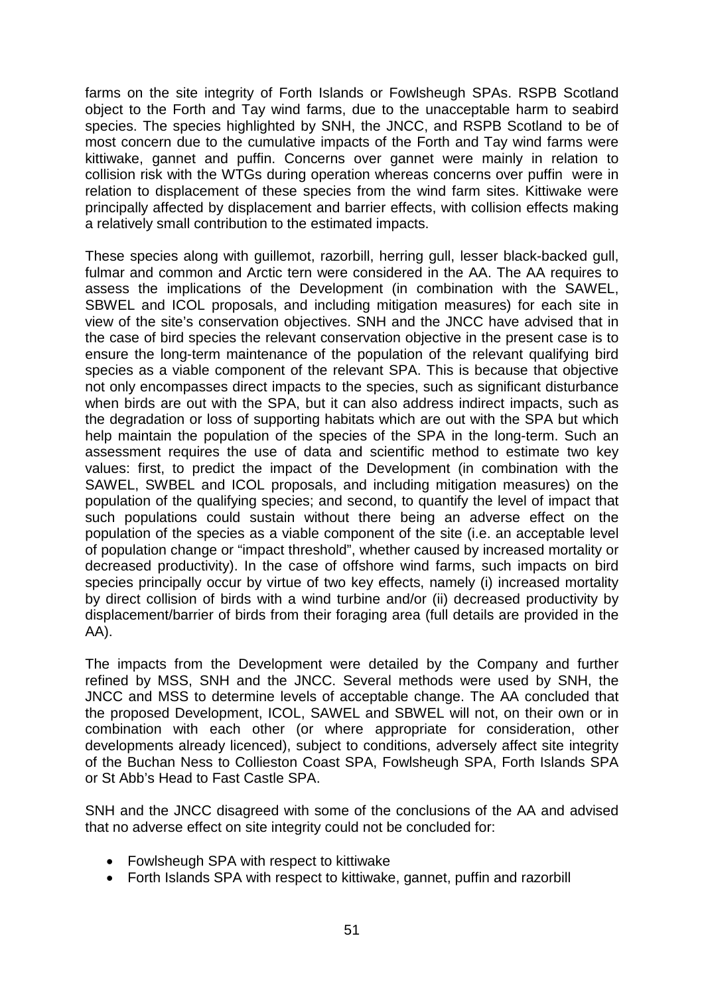farms on the site integrity of Forth Islands or Fowlsheugh SPAs. RSPB Scotland object to the Forth and Tay wind farms, due to the unacceptable harm to seabird species. The species highlighted by SNH, the JNCC, and RSPB Scotland to be of most concern due to the cumulative impacts of the Forth and Tay wind farms were kittiwake, gannet and puffin. Concerns over gannet were mainly in relation to collision risk with the WTGs during operation whereas concerns over puffin were in relation to displacement of these species from the wind farm sites. Kittiwake were principally affected by displacement and barrier effects, with collision effects making a relatively small contribution to the estimated impacts.

These species along with guillemot, razorbill, herring gull, lesser black-backed gull, fulmar and common and Arctic tern were considered in the AA. The AA requires to assess the implications of the Development (in combination with the SAWEL, SBWEL and ICOL proposals, and including mitigation measures) for each site in view of the site's conservation objectives. SNH and the JNCC have advised that in the case of bird species the relevant conservation objective in the present case is to ensure the long-term maintenance of the population of the relevant qualifying bird species as a viable component of the relevant SPA. This is because that objective not only encompasses direct impacts to the species, such as significant disturbance when birds are out with the SPA, but it can also address indirect impacts, such as the degradation or loss of supporting habitats which are out with the SPA but which help maintain the population of the species of the SPA in the long-term. Such an assessment requires the use of data and scientific method to estimate two key values: first, to predict the impact of the Development (in combination with the SAWEL, SWBEL and ICOL proposals, and including mitigation measures) on the population of the qualifying species; and second, to quantify the level of impact that such populations could sustain without there being an adverse effect on the population of the species as a viable component of the site (i.e. an acceptable level of population change or "impact threshold", whether caused by increased mortality or decreased productivity). In the case of offshore wind farms, such impacts on bird species principally occur by virtue of two key effects, namely (i) increased mortality by direct collision of birds with a wind turbine and/or (ii) decreased productivity by displacement/barrier of birds from their foraging area (full details are provided in the AA).

The impacts from the Development were detailed by the Company and further refined by MSS, SNH and the JNCC. Several methods were used by SNH, the JNCC and MSS to determine levels of acceptable change. The AA concluded that the proposed Development, ICOL, SAWEL and SBWEL will not, on their own or in combination with each other (or where appropriate for consideration, other developments already licenced), subject to conditions, adversely affect site integrity of the Buchan Ness to Collieston Coast SPA, Fowlsheugh SPA, Forth Islands SPA or St Abb's Head to Fast Castle SPA.

SNH and the JNCC disagreed with some of the conclusions of the AA and advised that no adverse effect on site integrity could not be concluded for:

- Fowlsheugh SPA with respect to kittiwake
- Forth Islands SPA with respect to kittiwake, gannet, puffin and razorbill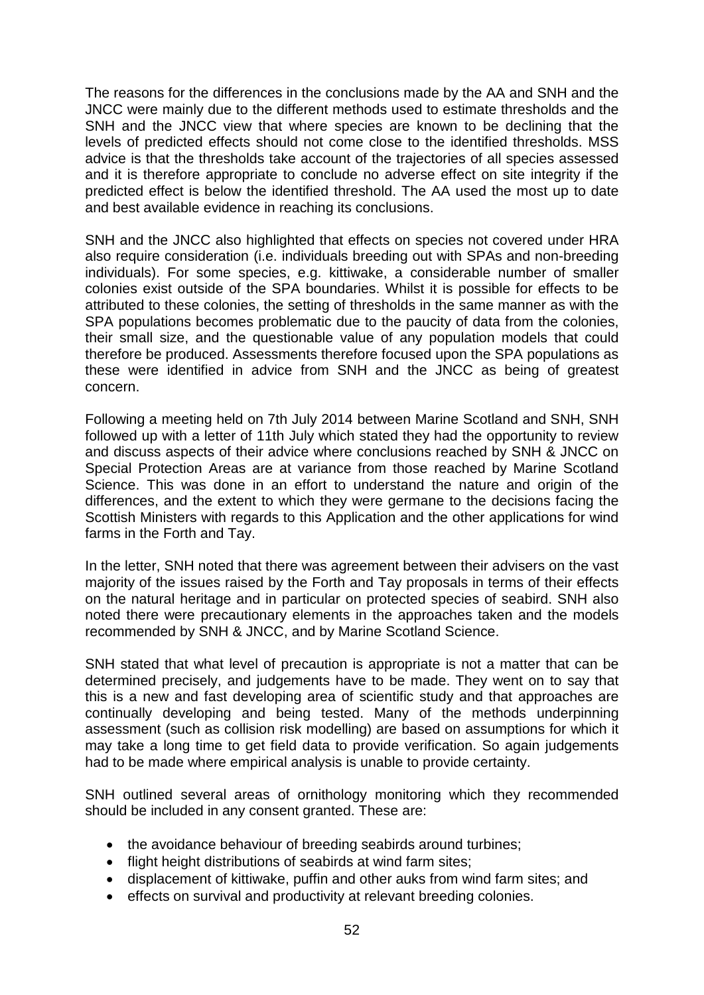The reasons for the differences in the conclusions made by the AA and SNH and the JNCC were mainly due to the different methods used to estimate thresholds and the SNH and the JNCC view that where species are known to be declining that the levels of predicted effects should not come close to the identified thresholds. MSS advice is that the thresholds take account of the trajectories of all species assessed and it is therefore appropriate to conclude no adverse effect on site integrity if the predicted effect is below the identified threshold. The AA used the most up to date and best available evidence in reaching its conclusions.

SNH and the JNCC also highlighted that effects on species not covered under HRA also require consideration (i.e. individuals breeding out with SPAs and non-breeding individuals). For some species, e.g. kittiwake, a considerable number of smaller colonies exist outside of the SPA boundaries. Whilst it is possible for effects to be attributed to these colonies, the setting of thresholds in the same manner as with the SPA populations becomes problematic due to the paucity of data from the colonies, their small size, and the questionable value of any population models that could therefore be produced. Assessments therefore focused upon the SPA populations as these were identified in advice from SNH and the JNCC as being of greatest concern.

Following a meeting held on 7th July 2014 between Marine Scotland and SNH, SNH followed up with a letter of 11th July which stated they had the opportunity to review and discuss aspects of their advice where conclusions reached by SNH & JNCC on Special Protection Areas are at variance from those reached by Marine Scotland Science. This was done in an effort to understand the nature and origin of the differences, and the extent to which they were germane to the decisions facing the Scottish Ministers with regards to this Application and the other applications for wind farms in the Forth and Tay.

In the letter, SNH noted that there was agreement between their advisers on the vast majority of the issues raised by the Forth and Tay proposals in terms of their effects on the natural heritage and in particular on protected species of seabird. SNH also noted there were precautionary elements in the approaches taken and the models recommended by SNH & JNCC, and by Marine Scotland Science.

SNH stated that what level of precaution is appropriate is not a matter that can be determined precisely, and judgements have to be made. They went on to say that this is a new and fast developing area of scientific study and that approaches are continually developing and being tested. Many of the methods underpinning assessment (such as collision risk modelling) are based on assumptions for which it may take a long time to get field data to provide verification. So again judgements had to be made where empirical analysis is unable to provide certainty.

SNH outlined several areas of ornithology monitoring which they recommended should be included in any consent granted. These are:

- the avoidance behaviour of breeding seabirds around turbines;
- flight height distributions of seabirds at wind farm sites;
- displacement of kittiwake, puffin and other auks from wind farm sites; and
- effects on survival and productivity at relevant breeding colonies.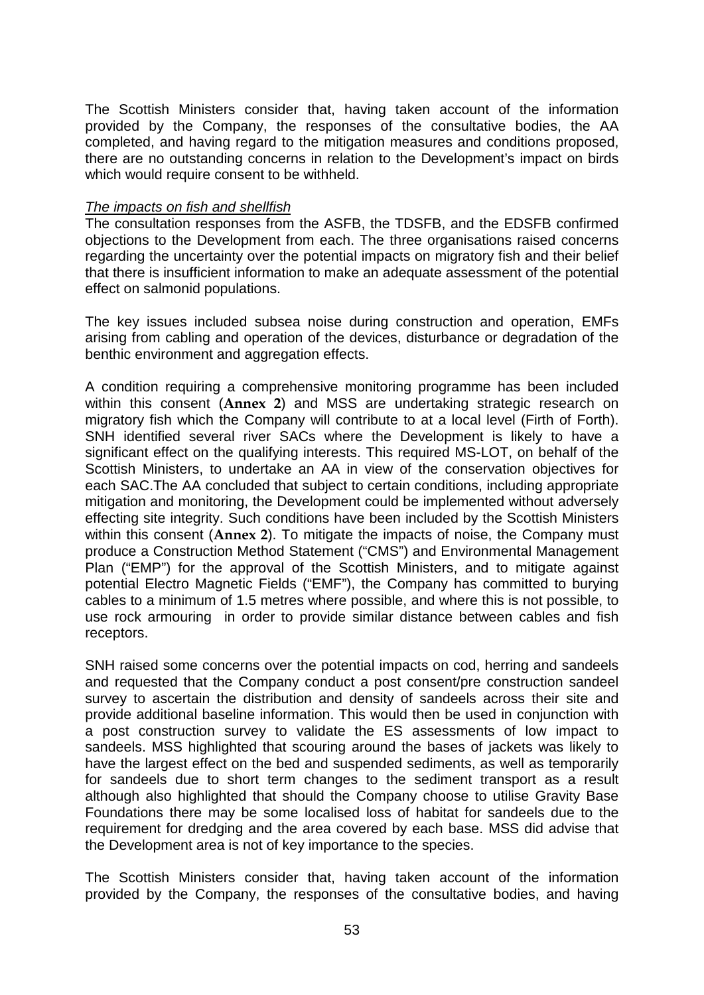The Scottish Ministers consider that, having taken account of the information provided by the Company, the responses of the consultative bodies, the AA completed, and having regard to the mitigation measures and conditions proposed, there are no outstanding concerns in relation to the Development's impact on birds which would require consent to be withheld.

#### *The impacts on fish and shellfish*

The consultation responses from the ASFB, the TDSFB, and the EDSFB confirmed objections to the Development from each. The three organisations raised concerns regarding the uncertainty over the potential impacts on migratory fish and their belief that there is insufficient information to make an adequate assessment of the potential effect on salmonid populations.

The key issues included subsea noise during construction and operation, EMFs arising from cabling and operation of the devices, disturbance or degradation of the benthic environment and aggregation effects.

A condition requiring a comprehensive monitoring programme has been included within this consent (**Annex 2**) and MSS are undertaking strategic research on migratory fish which the Company will contribute to at a local level (Firth of Forth). SNH identified several river SACs where the Development is likely to have a significant effect on the qualifying interests. This required MS-LOT, on behalf of the Scottish Ministers, to undertake an AA in view of the conservation objectives for each SAC.The AA concluded that subject to certain conditions, including appropriate mitigation and monitoring, the Development could be implemented without adversely effecting site integrity. Such conditions have been included by the Scottish Ministers within this consent (**Annex 2**). To mitigate the impacts of noise, the Company must produce a Construction Method Statement ("CMS") and Environmental Management Plan ("EMP") for the approval of the Scottish Ministers, and to mitigate against potential Electro Magnetic Fields ("EMF"), the Company has committed to burying cables to a minimum of 1.5 metres where possible, and where this is not possible, to use rock armouring in order to provide similar distance between cables and fish receptors.

SNH raised some concerns over the potential impacts on cod, herring and sandeels and requested that the Company conduct a post consent/pre construction sandeel survey to ascertain the distribution and density of sandeels across their site and provide additional baseline information. This would then be used in conjunction with a post construction survey to validate the ES assessments of low impact to sandeels. MSS highlighted that scouring around the bases of jackets was likely to have the largest effect on the bed and suspended sediments, as well as temporarily for sandeels due to short term changes to the sediment transport as a result although also highlighted that should the Company choose to utilise Gravity Base Foundations there may be some localised loss of habitat for sandeels due to the requirement for dredging and the area covered by each base. MSS did advise that the Development area is not of key importance to the species.

The Scottish Ministers consider that, having taken account of the information provided by the Company, the responses of the consultative bodies, and having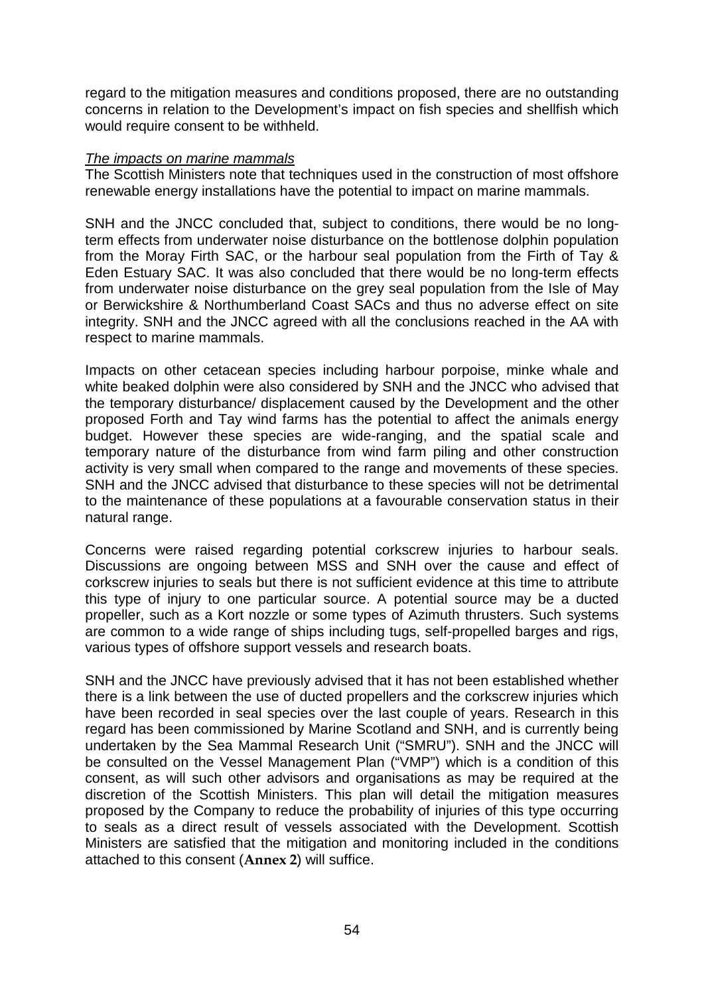regard to the mitigation measures and conditions proposed, there are no outstanding concerns in relation to the Development's impact on fish species and shellfish which would require consent to be withheld.

#### *The impacts on marine mammals*

The Scottish Ministers note that techniques used in the construction of most offshore renewable energy installations have the potential to impact on marine mammals.

SNH and the JNCC concluded that, subject to conditions, there would be no longterm effects from underwater noise disturbance on the bottlenose dolphin population from the Moray Firth SAC, or the harbour seal population from the Firth of Tay & Eden Estuary SAC. It was also concluded that there would be no long-term effects from underwater noise disturbance on the grey seal population from the Isle of May or Berwickshire & Northumberland Coast SACs and thus no adverse effect on site integrity. SNH and the JNCC agreed with all the conclusions reached in the AA with respect to marine mammals.

Impacts on other cetacean species including harbour porpoise, minke whale and white beaked dolphin were also considered by SNH and the JNCC who advised that the temporary disturbance/ displacement caused by the Development and the other proposed Forth and Tay wind farms has the potential to affect the animals energy budget. However these species are wide-ranging, and the spatial scale and temporary nature of the disturbance from wind farm piling and other construction activity is very small when compared to the range and movements of these species. SNH and the JNCC advised that disturbance to these species will not be detrimental to the maintenance of these populations at a favourable conservation status in their natural range.

Concerns were raised regarding potential corkscrew injuries to harbour seals. Discussions are ongoing between MSS and SNH over the cause and effect of corkscrew injuries to seals but there is not sufficient evidence at this time to attribute this type of injury to one particular source. A potential source may be a ducted propeller, such as a Kort nozzle or some types of Azimuth thrusters. Such systems are common to a wide range of ships including tugs, self-propelled barges and rigs, various types of offshore support vessels and research boats.

SNH and the JNCC have previously advised that it has not been established whether there is a link between the use of ducted propellers and the corkscrew injuries which have been recorded in seal species over the last couple of years. Research in this regard has been commissioned by Marine Scotland and SNH, and is currently being undertaken by the Sea Mammal Research Unit ("SMRU"). SNH and the JNCC will be consulted on the Vessel Management Plan ("VMP") which is a condition of this consent, as will such other advisors and organisations as may be required at the discretion of the Scottish Ministers. This plan will detail the mitigation measures proposed by the Company to reduce the probability of injuries of this type occurring to seals as a direct result of vessels associated with the Development. Scottish Ministers are satisfied that the mitigation and monitoring included in the conditions attached to this consent (**Annex 2**) will suffice.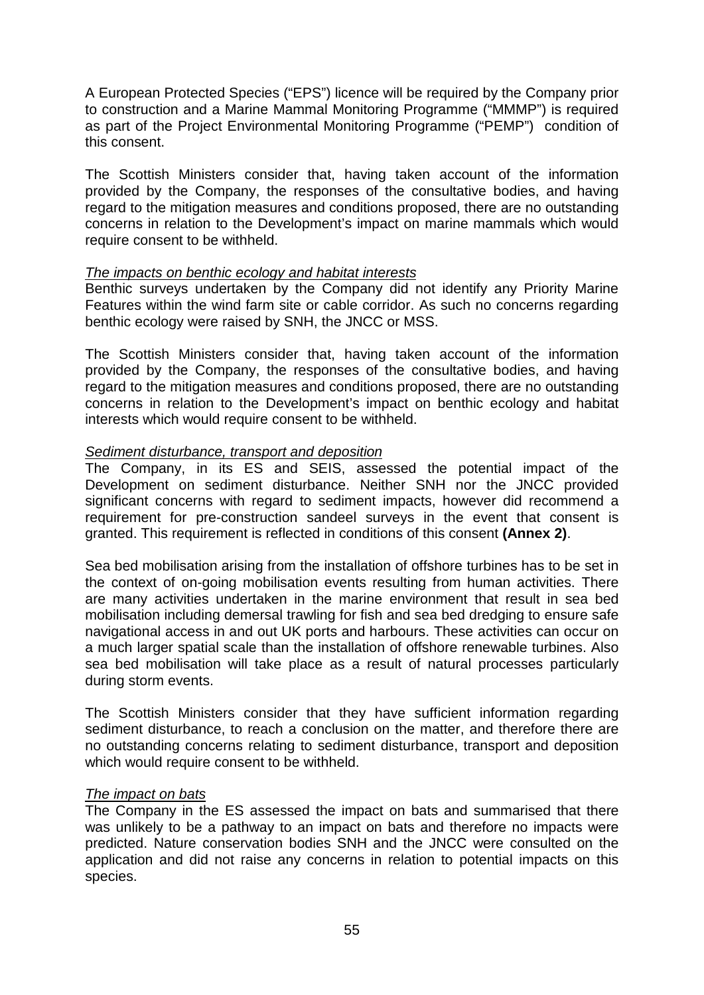A European Protected Species ("EPS") licence will be required by the Company prior to construction and a Marine Mammal Monitoring Programme ("MMMP") is required as part of the Project Environmental Monitoring Programme ("PEMP") condition of this consent.

The Scottish Ministers consider that, having taken account of the information provided by the Company, the responses of the consultative bodies, and having regard to the mitigation measures and conditions proposed, there are no outstanding concerns in relation to the Development's impact on marine mammals which would require consent to be withheld.

#### *The impacts on benthic ecology and habitat interests*

Benthic surveys undertaken by the Company did not identify any Priority Marine Features within the wind farm site or cable corridor. As such no concerns regarding benthic ecology were raised by SNH, the JNCC or MSS.

The Scottish Ministers consider that, having taken account of the information provided by the Company, the responses of the consultative bodies, and having regard to the mitigation measures and conditions proposed, there are no outstanding concerns in relation to the Development's impact on benthic ecology and habitat interests which would require consent to be withheld.

#### *Sediment disturbance, transport and deposition*

The Company, in its ES and SEIS, assessed the potential impact of the Development on sediment disturbance. Neither SNH nor the JNCC provided significant concerns with regard to sediment impacts, however did recommend a requirement for pre-construction sandeel surveys in the event that consent is granted. This requirement is reflected in conditions of this consent **(Annex 2)**.

Sea bed mobilisation arising from the installation of offshore turbines has to be set in the context of on-going mobilisation events resulting from human activities. There are many activities undertaken in the marine environment that result in sea bed mobilisation including demersal trawling for fish and sea bed dredging to ensure safe navigational access in and out UK ports and harbours. These activities can occur on a much larger spatial scale than the installation of offshore renewable turbines. Also sea bed mobilisation will take place as a result of natural processes particularly during storm events.

The Scottish Ministers consider that they have sufficient information regarding sediment disturbance, to reach a conclusion on the matter, and therefore there are no outstanding concerns relating to sediment disturbance, transport and deposition which would require consent to be withheld.

#### *The impact on bats*

The Company in the ES assessed the impact on bats and summarised that there was unlikely to be a pathway to an impact on bats and therefore no impacts were predicted. Nature conservation bodies SNH and the JNCC were consulted on the application and did not raise any concerns in relation to potential impacts on this species.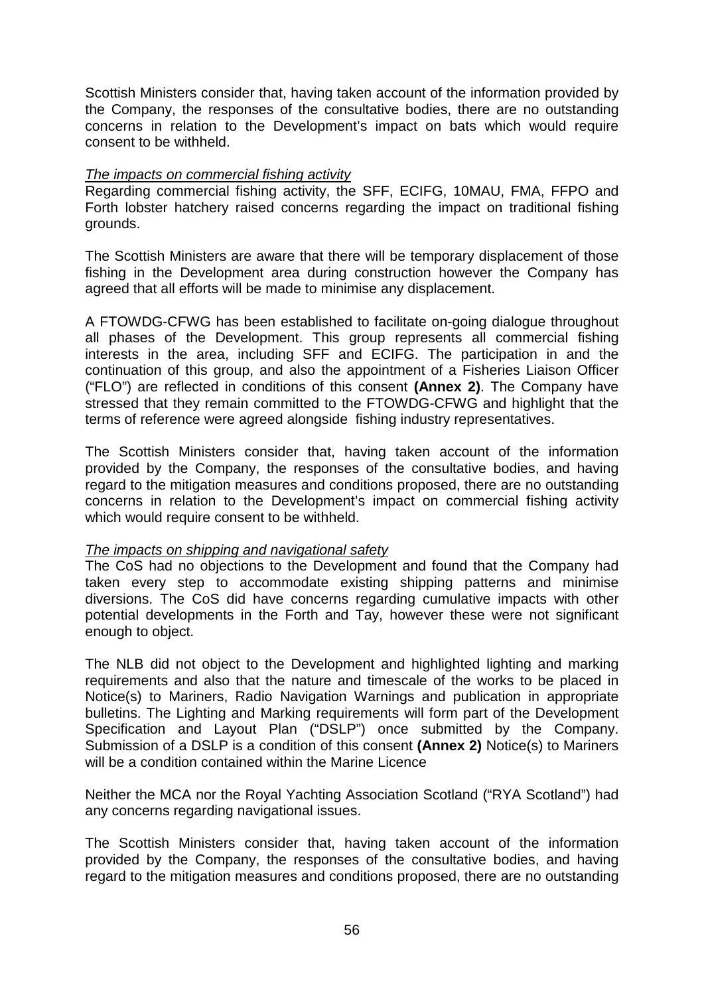Scottish Ministers consider that, having taken account of the information provided by the Company, the responses of the consultative bodies, there are no outstanding concerns in relation to the Development's impact on bats which would require consent to be withheld.

#### *The impacts on commercial fishing activity*

Regarding commercial fishing activity, the SFF, ECIFG, 10MAU, FMA, FFPO and Forth lobster hatchery raised concerns regarding the impact on traditional fishing grounds.

The Scottish Ministers are aware that there will be temporary displacement of those fishing in the Development area during construction however the Company has agreed that all efforts will be made to minimise any displacement.

A FTOWDG-CFWG has been established to facilitate on-going dialogue throughout all phases of the Development. This group represents all commercial fishing interests in the area, including SFF and ECIFG. The participation in and the continuation of this group, and also the appointment of a Fisheries Liaison Officer ("FLO") are reflected in conditions of this consent **(Annex 2)**. The Company have stressed that they remain committed to the FTOWDG-CFWG and highlight that the terms of reference were agreed alongside fishing industry representatives.

The Scottish Ministers consider that, having taken account of the information provided by the Company, the responses of the consultative bodies, and having regard to the mitigation measures and conditions proposed, there are no outstanding concerns in relation to the Development's impact on commercial fishing activity which would require consent to be withheld.

#### *The impacts on shipping and navigational safety*

The CoS had no objections to the Development and found that the Company had taken every step to accommodate existing shipping patterns and minimise diversions. The CoS did have concerns regarding cumulative impacts with other potential developments in the Forth and Tay, however these were not significant enough to object.

The NLB did not object to the Development and highlighted lighting and marking requirements and also that the nature and timescale of the works to be placed in Notice(s) to Mariners, Radio Navigation Warnings and publication in appropriate bulletins. The Lighting and Marking requirements will form part of the Development Specification and Layout Plan ("DSLP") once submitted by the Company. Submission of a DSLP is a condition of this consent **(Annex 2)** Notice(s) to Mariners will be a condition contained within the Marine Licence

Neither the MCA nor the Royal Yachting Association Scotland ("RYA Scotland") had any concerns regarding navigational issues.

The Scottish Ministers consider that, having taken account of the information provided by the Company, the responses of the consultative bodies, and having regard to the mitigation measures and conditions proposed, there are no outstanding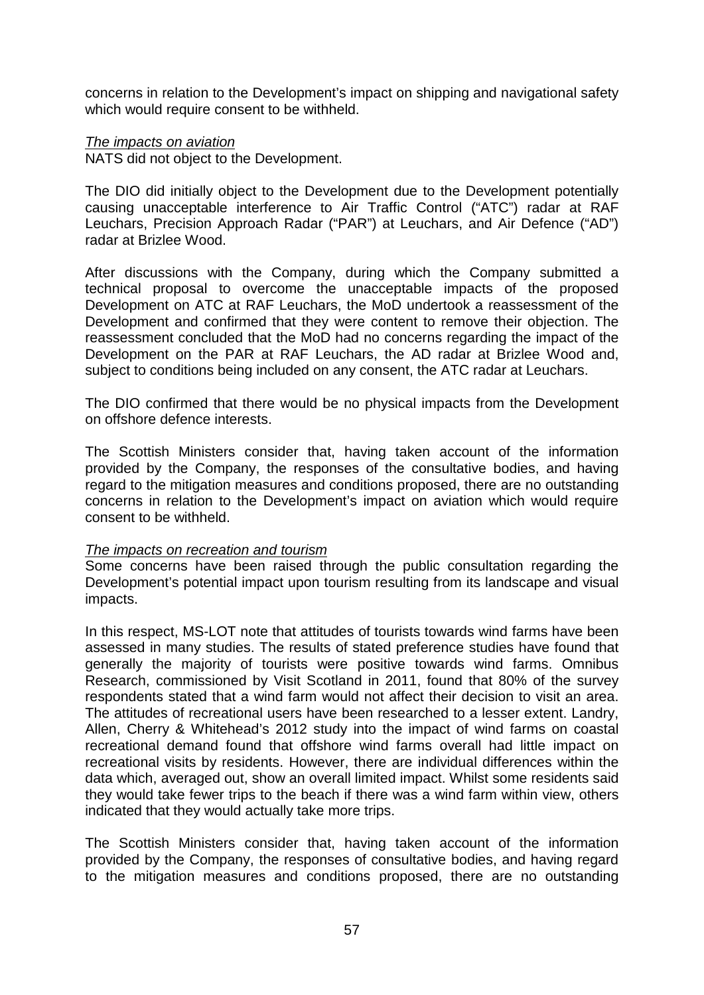concerns in relation to the Development's impact on shipping and navigational safety which would require consent to be withheld.

#### *The impacts on aviation*

NATS did not object to the Development.

The DIO did initially object to the Development due to the Development potentially causing unacceptable interference to Air Traffic Control ("ATC") radar at RAF Leuchars, Precision Approach Radar ("PAR") at Leuchars, and Air Defence ("AD") radar at Brizlee Wood.

After discussions with the Company, during which the Company submitted a technical proposal to overcome the unacceptable impacts of the proposed Development on ATC at RAF Leuchars, the MoD undertook a reassessment of the Development and confirmed that they were content to remove their objection. The reassessment concluded that the MoD had no concerns regarding the impact of the Development on the PAR at RAF Leuchars, the AD radar at Brizlee Wood and, subject to conditions being included on any consent, the ATC radar at Leuchars.

The DIO confirmed that there would be no physical impacts from the Development on offshore defence interests.

The Scottish Ministers consider that, having taken account of the information provided by the Company, the responses of the consultative bodies, and having regard to the mitigation measures and conditions proposed, there are no outstanding concerns in relation to the Development's impact on aviation which would require consent to be withheld.

#### *The impacts on recreation and tourism*

Some concerns have been raised through the public consultation regarding the Development's potential impact upon tourism resulting from its landscape and visual impacts.

In this respect, MS-LOT note that attitudes of tourists towards wind farms have been assessed in many studies. The results of stated preference studies have found that generally the majority of tourists were positive towards wind farms. Omnibus Research, commissioned by Visit Scotland in 2011, found that 80% of the survey respondents stated that a wind farm would not affect their decision to visit an area. The attitudes of recreational users have been researched to a lesser extent. Landry, Allen, Cherry & Whitehead's 2012 study into the impact of wind farms on coastal recreational demand found that offshore wind farms overall had little impact on recreational visits by residents. However, there are individual differences within the data which, averaged out, show an overall limited impact. Whilst some residents said they would take fewer trips to the beach if there was a wind farm within view, others indicated that they would actually take more trips.

The Scottish Ministers consider that, having taken account of the information provided by the Company, the responses of consultative bodies, and having regard to the mitigation measures and conditions proposed, there are no outstanding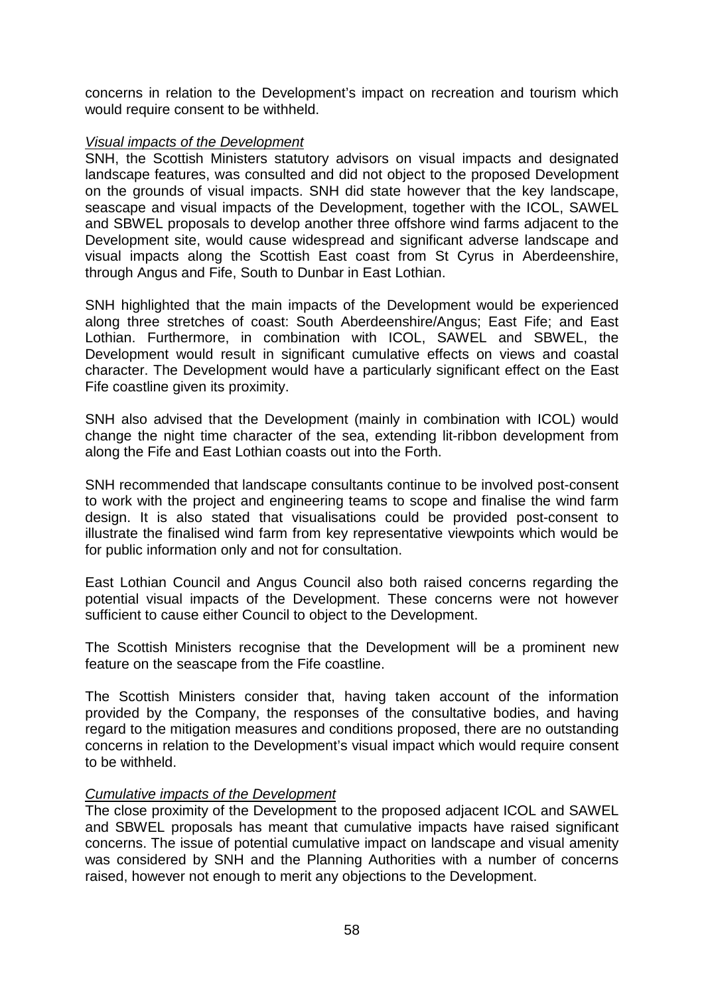concerns in relation to the Development's impact on recreation and tourism which would require consent to be withheld.

#### *Visual impacts of the Development*

SNH, the Scottish Ministers statutory advisors on visual impacts and designated landscape features, was consulted and did not object to the proposed Development on the grounds of visual impacts. SNH did state however that the key landscape, seascape and visual impacts of the Development, together with the ICOL, SAWEL and SBWEL proposals to develop another three offshore wind farms adjacent to the Development site, would cause widespread and significant adverse landscape and visual impacts along the Scottish East coast from St Cyrus in Aberdeenshire, through Angus and Fife, South to Dunbar in East Lothian.

SNH highlighted that the main impacts of the Development would be experienced along three stretches of coast: South Aberdeenshire/Angus; East Fife; and East Lothian. Furthermore, in combination with ICOL, SAWEL and SBWEL, the Development would result in significant cumulative effects on views and coastal character. The Development would have a particularly significant effect on the East Fife coastline given its proximity.

SNH also advised that the Development (mainly in combination with ICOL) would change the night time character of the sea, extending lit-ribbon development from along the Fife and East Lothian coasts out into the Forth.

SNH recommended that landscape consultants continue to be involved post-consent to work with the project and engineering teams to scope and finalise the wind farm design. It is also stated that visualisations could be provided post-consent to illustrate the finalised wind farm from key representative viewpoints which would be for public information only and not for consultation.

East Lothian Council and Angus Council also both raised concerns regarding the potential visual impacts of the Development. These concerns were not however sufficient to cause either Council to object to the Development.

The Scottish Ministers recognise that the Development will be a prominent new feature on the seascape from the Fife coastline.

The Scottish Ministers consider that, having taken account of the information provided by the Company, the responses of the consultative bodies, and having regard to the mitigation measures and conditions proposed, there are no outstanding concerns in relation to the Development's visual impact which would require consent to be withheld.

#### *Cumulative impacts of the Development*

The close proximity of the Development to the proposed adjacent ICOL and SAWEL and SBWEL proposals has meant that cumulative impacts have raised significant concerns. The issue of potential cumulative impact on landscape and visual amenity was considered by SNH and the Planning Authorities with a number of concerns raised, however not enough to merit any objections to the Development.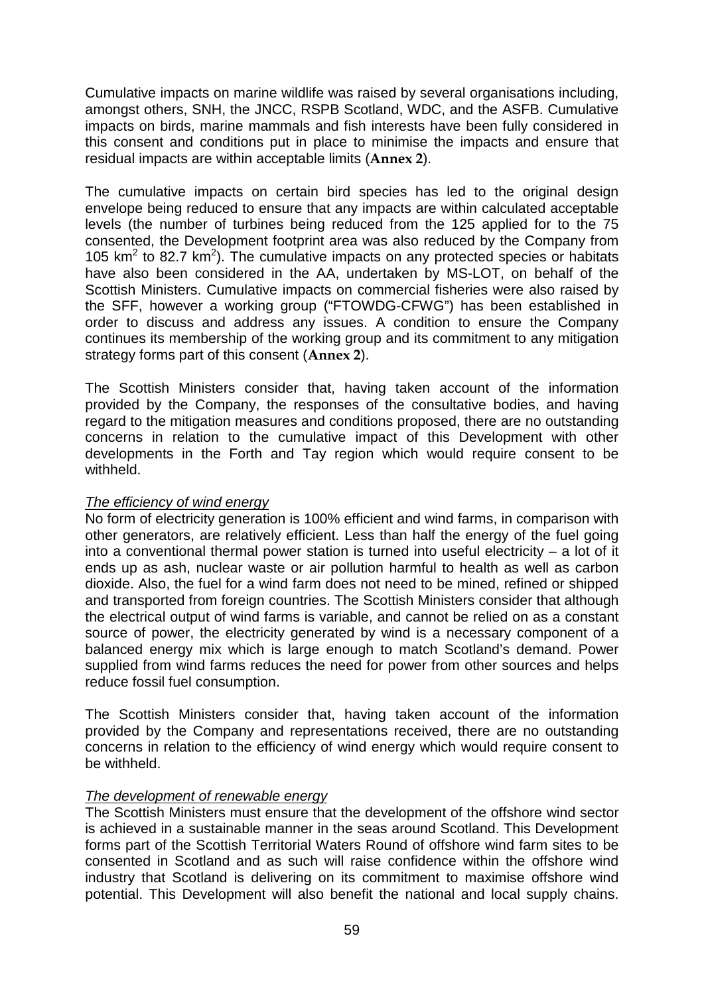Cumulative impacts on marine wildlife was raised by several organisations including, amongst others, SNH, the JNCC, RSPB Scotland, WDC, and the ASFB. Cumulative impacts on birds, marine mammals and fish interests have been fully considered in this consent and conditions put in place to minimise the impacts and ensure that residual impacts are within acceptable limits (**Annex 2**).

The cumulative impacts on certain bird species has led to the original design envelope being reduced to ensure that any impacts are within calculated acceptable levels (the number of turbines being reduced from the 125 applied for to the 75 consented, the Development footprint area was also reduced by the Company from 105  $km^2$  to 82.7  $km^2$ ). The cumulative impacts on any protected species or habitats have also been considered in the AA, undertaken by MS-LOT, on behalf of the Scottish Ministers. Cumulative impacts on commercial fisheries were also raised by the SFF, however a working group ("FTOWDG-CFWG") has been established in order to discuss and address any issues. A condition to ensure the Company continues its membership of the working group and its commitment to any mitigation strategy forms part of this consent (**Annex 2**).

The Scottish Ministers consider that, having taken account of the information provided by the Company, the responses of the consultative bodies, and having regard to the mitigation measures and conditions proposed, there are no outstanding concerns in relation to the cumulative impact of this Development with other developments in the Forth and Tay region which would require consent to be withheld.

#### *The efficiency of wind energy*

No form of electricity generation is 100% efficient and wind farms, in comparison with other generators, are relatively efficient. Less than half the energy of the fuel going into a conventional thermal power station is turned into useful electricity – a lot of it ends up as ash, nuclear waste or air pollution harmful to health as well as carbon dioxide. Also, the fuel for a wind farm does not need to be mined, refined or shipped and transported from foreign countries. The Scottish Ministers consider that although the electrical output of wind farms is variable, and cannot be relied on as a constant source of power, the electricity generated by wind is a necessary component of a balanced energy mix which is large enough to match Scotland's demand. Power supplied from wind farms reduces the need for power from other sources and helps reduce fossil fuel consumption.

The Scottish Ministers consider that, having taken account of the information provided by the Company and representations received, there are no outstanding concerns in relation to the efficiency of wind energy which would require consent to be withheld.

#### *The development of renewable energy*

The Scottish Ministers must ensure that the development of the offshore wind sector is achieved in a sustainable manner in the seas around Scotland. This Development forms part of the Scottish Territorial Waters Round of offshore wind farm sites to be consented in Scotland and as such will raise confidence within the offshore wind industry that Scotland is delivering on its commitment to maximise offshore wind potential. This Development will also benefit the national and local supply chains.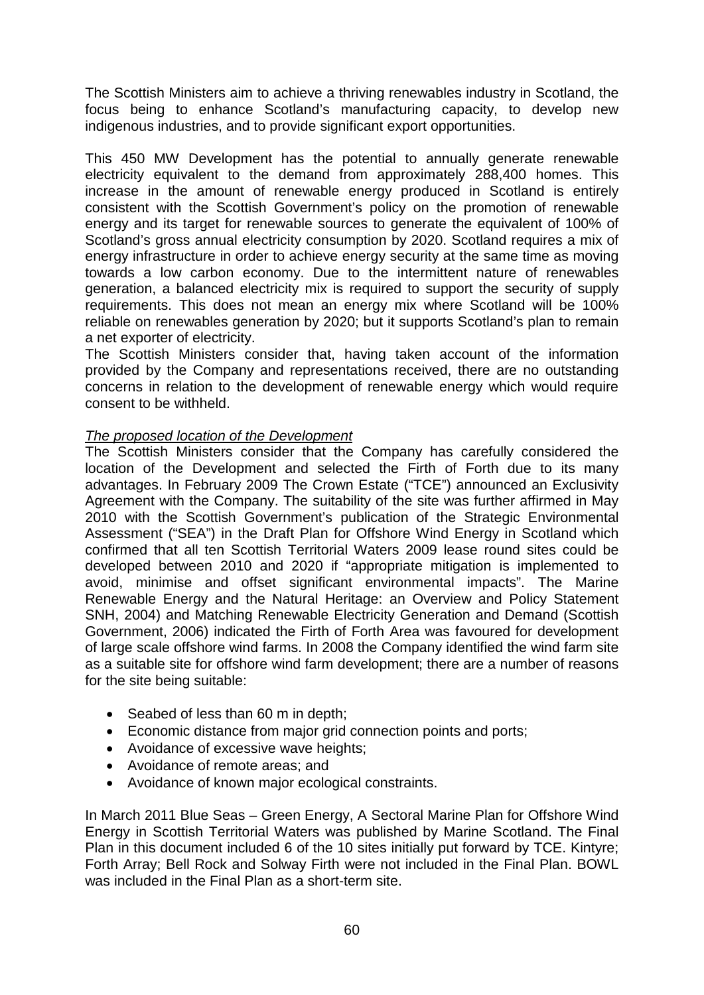The Scottish Ministers aim to achieve a thriving renewables industry in Scotland, the focus being to enhance Scotland's manufacturing capacity, to develop new indigenous industries, and to provide significant export opportunities.

This 450 MW Development has the potential to annually generate renewable electricity equivalent to the demand from approximately 288,400 homes. This increase in the amount of renewable energy produced in Scotland is entirely consistent with the Scottish Government's policy on the promotion of renewable energy and its target for renewable sources to generate the equivalent of 100% of Scotland's gross annual electricity consumption by 2020. Scotland requires a mix of energy infrastructure in order to achieve energy security at the same time as moving towards a low carbon economy. Due to the intermittent nature of renewables generation, a balanced electricity mix is required to support the security of supply requirements. This does not mean an energy mix where Scotland will be 100% reliable on renewables generation by 2020; but it supports Scotland's plan to remain a net exporter of electricity.

The Scottish Ministers consider that, having taken account of the information provided by the Company and representations received, there are no outstanding concerns in relation to the development of renewable energy which would require consent to be withheld.

## *The proposed location of the Development*

The Scottish Ministers consider that the Company has carefully considered the location of the Development and selected the Firth of Forth due to its many advantages. In February 2009 The Crown Estate ("TCE") announced an Exclusivity Agreement with the Company. The suitability of the site was further affirmed in May 2010 with the Scottish Government's publication of the Strategic Environmental Assessment ("SEA") in the Draft Plan for Offshore Wind Energy in Scotland which confirmed that all ten Scottish Territorial Waters 2009 lease round sites could be developed between 2010 and 2020 if "appropriate mitigation is implemented to avoid, minimise and offset significant environmental impacts". The Marine Renewable Energy and the Natural Heritage: an Overview and Policy Statement SNH, 2004) and Matching Renewable Electricity Generation and Demand (Scottish Government, 2006) indicated the Firth of Forth Area was favoured for development of large scale offshore wind farms. In 2008 the Company identified the wind farm site as a suitable site for offshore wind farm development; there are a number of reasons for the site being suitable:

- Seabed of less than 60 m in depth;
- Economic distance from major grid connection points and ports;
- Avoidance of excessive wave heights;
- Avoidance of remote areas; and
- Avoidance of known major ecological constraints.

In March 2011 Blue Seas – Green Energy, A Sectoral Marine Plan for Offshore Wind Energy in Scottish Territorial Waters was published by Marine Scotland. The Final Plan in this document included 6 of the 10 sites initially put forward by TCE. Kintyre; Forth Array; Bell Rock and Solway Firth were not included in the Final Plan. BOWL was included in the Final Plan as a short-term site.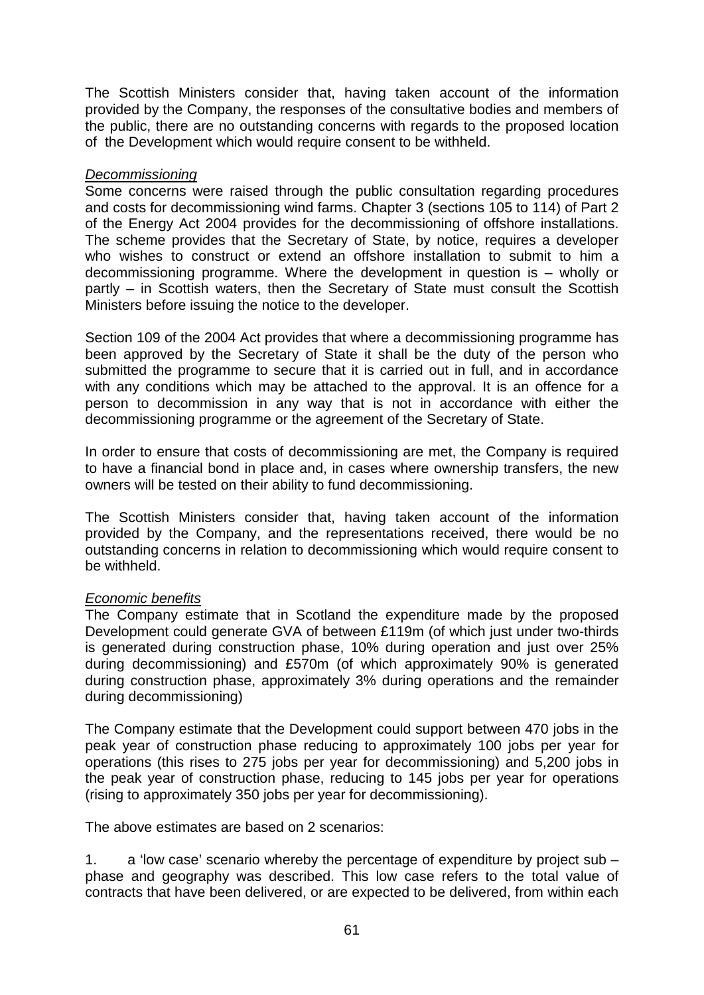The Scottish Ministers consider that, having taken account of the information provided by the Company, the responses of the consultative bodies and members of the public, there are no outstanding concerns with regards to the proposed location of the Development which would require consent to be withheld.

#### *Decommissioning*

Some concerns were raised through the public consultation regarding procedures and costs for decommissioning wind farms. Chapter 3 (sections 105 to 114) of Part 2 of the Energy Act 2004 provides for the decommissioning of offshore installations. The scheme provides that the Secretary of State, by notice, requires a developer who wishes to construct or extend an offshore installation to submit to him a decommissioning programme. Where the development in question is – wholly or partly – in Scottish waters, then the Secretary of State must consult the Scottish Ministers before issuing the notice to the developer.

Section 109 of the 2004 Act provides that where a decommissioning programme has been approved by the Secretary of State it shall be the duty of the person who submitted the programme to secure that it is carried out in full, and in accordance with any conditions which may be attached to the approval. It is an offence for a person to decommission in any way that is not in accordance with either the decommissioning programme or the agreement of the Secretary of State.

In order to ensure that costs of decommissioning are met, the Company is required to have a financial bond in place and, in cases where ownership transfers, the new owners will be tested on their ability to fund decommissioning.

The Scottish Ministers consider that, having taken account of the information provided by the Company, and the representations received, there would be no outstanding concerns in relation to decommissioning which would require consent to be withheld.

# *Economic benefits*

The Company estimate that in Scotland the expenditure made by the proposed Development could generate GVA of between £119m (of which just under two-thirds is generated during construction phase, 10% during operation and just over 25% during decommissioning) and £570m (of which approximately 90% is generated during construction phase, approximately 3% during operations and the remainder during decommissioning)

The Company estimate that the Development could support between 470 jobs in the peak year of construction phase reducing to approximately 100 jobs per year for operations (this rises to 275 jobs per year for decommissioning) and 5,200 jobs in the peak year of construction phase, reducing to 145 jobs per year for operations (rising to approximately 350 jobs per year for decommissioning).

The above estimates are based on 2 scenarios:

1. a 'low case' scenario whereby the percentage of expenditure by project sub – phase and geography was described. This low case refers to the total value of contracts that have been delivered, or are expected to be delivered, from within each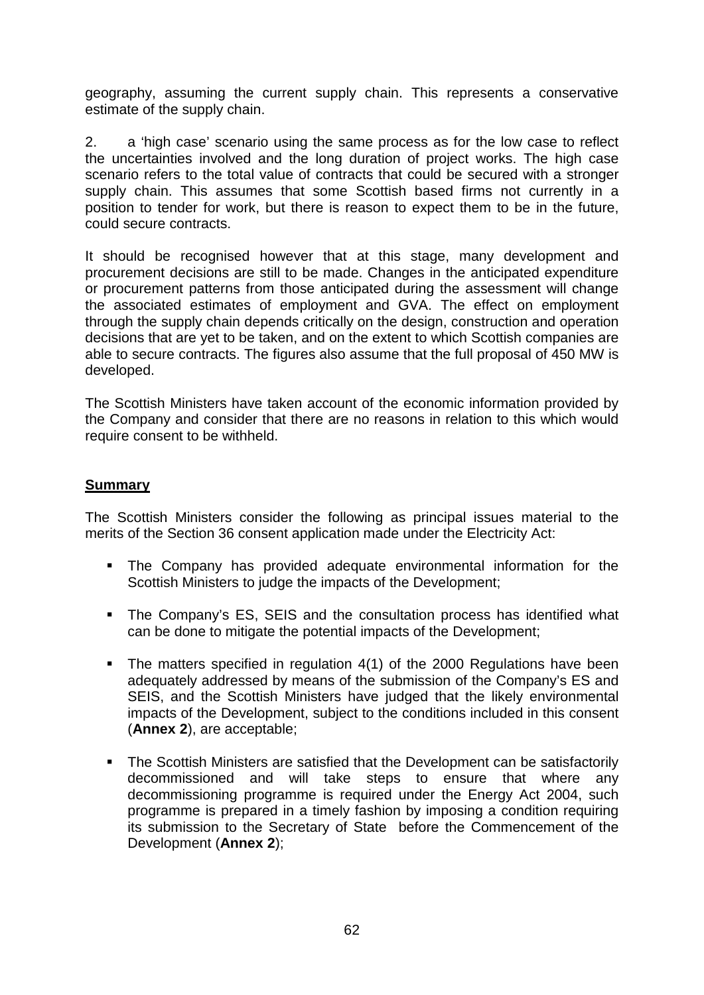geography, assuming the current supply chain. This represents a conservative estimate of the supply chain.

2. a 'high case' scenario using the same process as for the low case to reflect the uncertainties involved and the long duration of project works. The high case scenario refers to the total value of contracts that could be secured with a stronger supply chain. This assumes that some Scottish based firms not currently in a position to tender for work, but there is reason to expect them to be in the future, could secure contracts.

It should be recognised however that at this stage, many development and procurement decisions are still to be made. Changes in the anticipated expenditure or procurement patterns from those anticipated during the assessment will change the associated estimates of employment and GVA. The effect on employment through the supply chain depends critically on the design, construction and operation decisions that are yet to be taken, and on the extent to which Scottish companies are able to secure contracts. The figures also assume that the full proposal of 450 MW is developed.

The Scottish Ministers have taken account of the economic information provided by the Company and consider that there are no reasons in relation to this which would require consent to be withheld.

#### **Summary**

The Scottish Ministers consider the following as principal issues material to the merits of the Section 36 consent application made under the Electricity Act:

- The Company has provided adequate environmental information for the Scottish Ministers to judge the impacts of the Development;
- The Company's ES, SEIS and the consultation process has identified what can be done to mitigate the potential impacts of the Development;
- The matters specified in regulation 4(1) of the 2000 Regulations have been adequately addressed by means of the submission of the Company's ES and SEIS, and the Scottish Ministers have judged that the likely environmental impacts of the Development, subject to the conditions included in this consent (**Annex 2**), are acceptable;
- The Scottish Ministers are satisfied that the Development can be satisfactorily decommissioned and will take steps to ensure that where any decommissioning programme is required under the Energy Act 2004, such programme is prepared in a timely fashion by imposing a condition requiring its submission to the Secretary of State before the Commencement of the Development (**Annex 2**);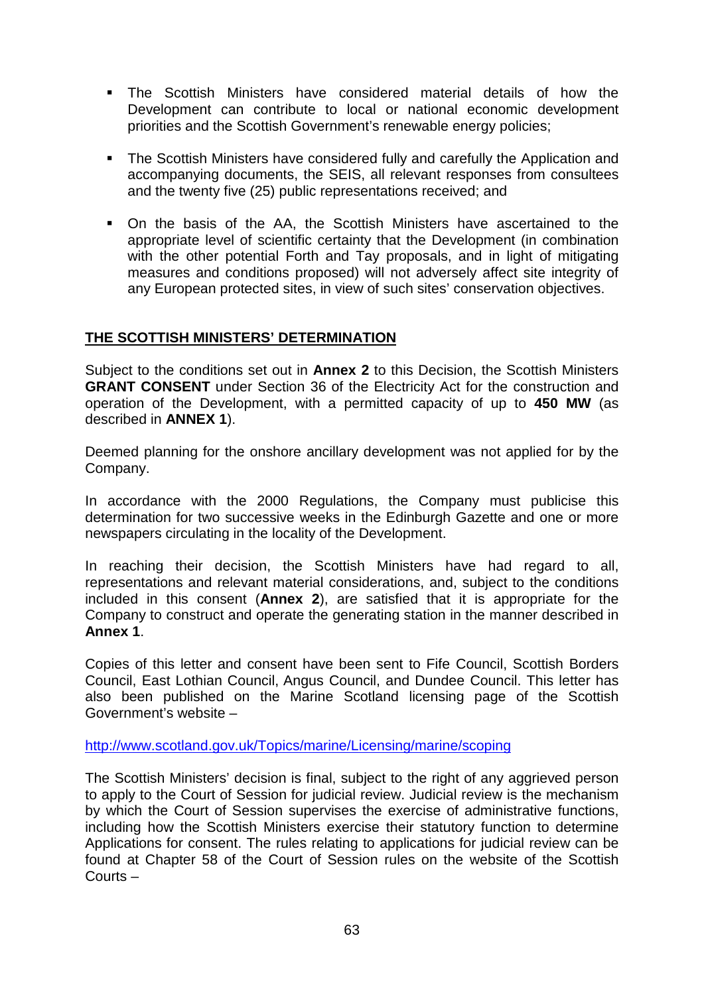- The Scottish Ministers have considered material details of how the Development can contribute to local or national economic development priorities and the Scottish Government's renewable energy policies;
- The Scottish Ministers have considered fully and carefully the Application and accompanying documents, the SEIS, all relevant responses from consultees and the twenty five (25) public representations received; and
- On the basis of the AA, the Scottish Ministers have ascertained to the appropriate level of scientific certainty that the Development (in combination with the other potential Forth and Tay proposals, and in light of mitigating measures and conditions proposed) will not adversely affect site integrity of any European protected sites, in view of such sites' conservation objectives.

## **THE SCOTTISH MINISTERS' DETERMINATION**

Subject to the conditions set out in **Annex 2** to this Decision, the Scottish Ministers **GRANT CONSENT** under Section 36 of the Electricity Act for the construction and operation of the Development, with a permitted capacity of up to **450 MW** (as described in **ANNEX 1**).

Deemed planning for the onshore ancillary development was not applied for by the Company.

In accordance with the 2000 Regulations, the Company must publicise this determination for two successive weeks in the Edinburgh Gazette and one or more newspapers circulating in the locality of the Development.

In reaching their decision, the Scottish Ministers have had regard to all, representations and relevant material considerations, and, subject to the conditions included in this consent (**Annex 2**), are satisfied that it is appropriate for the Company to construct and operate the generating station in the manner described in **Annex 1**.

Copies of this letter and consent have been sent to Fife Council, Scottish Borders Council, East Lothian Council, Angus Council, and Dundee Council. This letter has also been published on the Marine Scotland licensing page of the Scottish Government's website –

<http://www.scotland.gov.uk/Topics/marine/Licensing/marine/scoping>

The Scottish Ministers' decision is final, subject to the right of any aggrieved person to apply to the Court of Session for judicial review. Judicial review is the mechanism by which the Court of Session supervises the exercise of administrative functions, including how the Scottish Ministers exercise their statutory function to determine Applications for consent. The rules relating to applications for judicial review can be found at Chapter 58 of the Court of Session rules on the website of the Scottish Courts –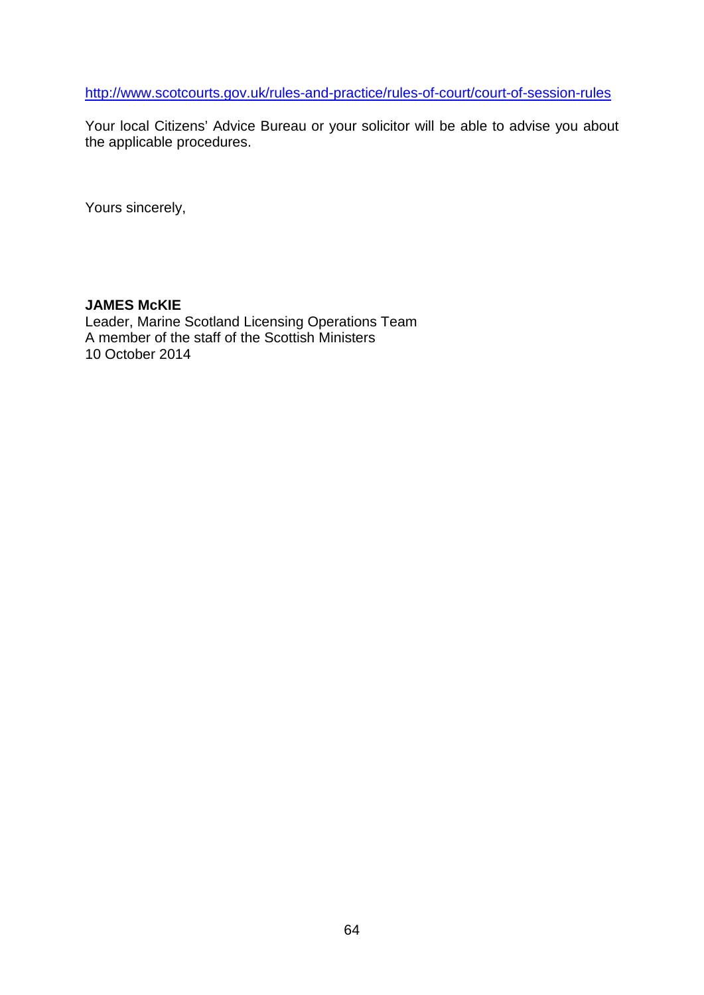<http://www.scotcourts.gov.uk/rules-and-practice/rules-of-court/court-of-session-rules>

Your local Citizens' Advice Bureau or your solicitor will be able to advise you about the applicable procedures.

Yours sincerely,

## **JAMES McKIE**

Leader, Marine Scotland Licensing Operations Team A member of the staff of the Scottish Ministers 10 October 2014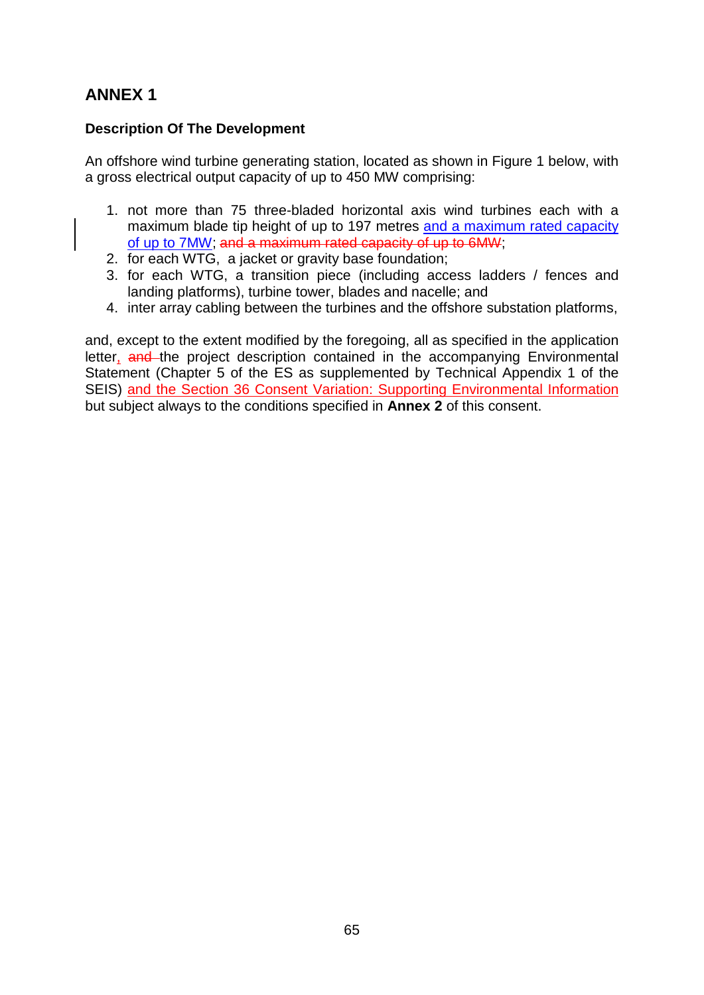# **ANNEX 1**

# **Description Of The Development**

An offshore wind turbine generating station, located as shown in Figure 1 below, with a gross electrical output capacity of up to 450 MW comprising:

- 1. not more than 75 three-bladed horizontal axis wind turbines each with a maximum blade tip height of up to 197 metres and a maximum rated capacity of up to 7MW; and a maximum rated capacity of up to 6MW;
- 2. for each WTG, a jacket or gravity base foundation;
- 3. for each WTG, a transition piece (including access ladders / fences and landing platforms), turbine tower, blades and nacelle; and
- 4. inter array cabling between the turbines and the offshore substation platforms,

and, except to the extent modified by the foregoing, all as specified in the application letter, and the project description contained in the accompanying Environmental Statement (Chapter 5 of the ES as supplemented by Technical Appendix 1 of the SEIS) and the Section 36 Consent Variation: Supporting Environmental Information but subject always to the conditions specified in **Annex 2** of this consent.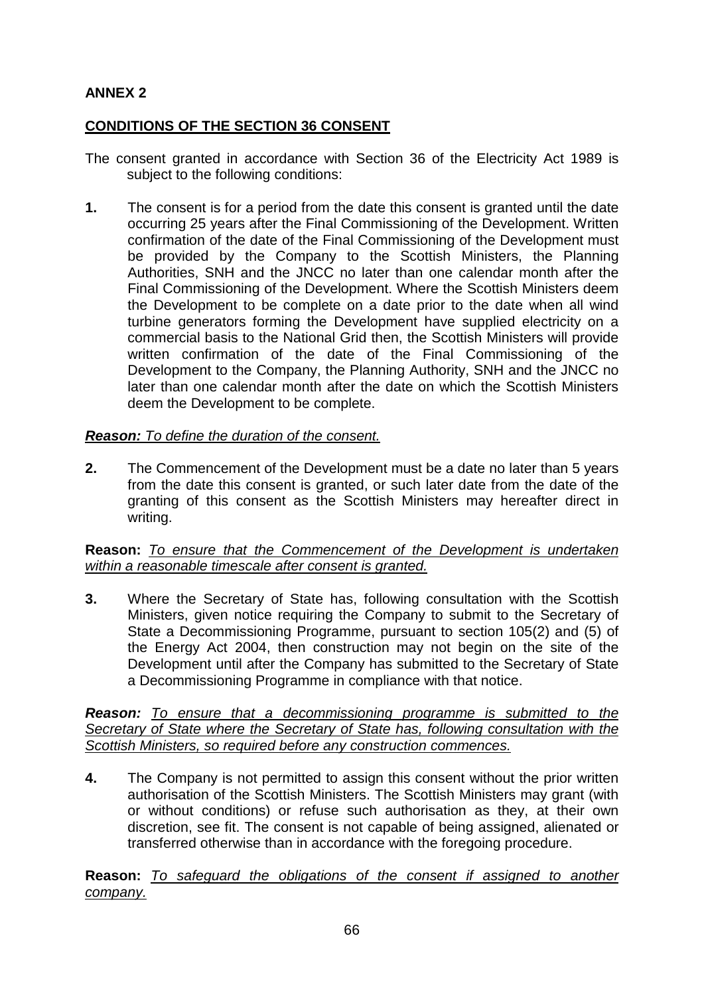# **ANNEX 2**

# **CONDITIONS OF THE SECTION 36 CONSENT**

- The consent granted in accordance with Section 36 of the Electricity Act 1989 is subject to the following conditions:
- **1.** The consent is for a period from the date this consent is granted until the date occurring 25 years after the Final Commissioning of the Development. Written confirmation of the date of the Final Commissioning of the Development must be provided by the Company to the Scottish Ministers, the Planning Authorities, SNH and the JNCC no later than one calendar month after the Final Commissioning of the Development. Where the Scottish Ministers deem the Development to be complete on a date prior to the date when all wind turbine generators forming the Development have supplied electricity on a commercial basis to the National Grid then, the Scottish Ministers will provide written confirmation of the date of the Final Commissioning of the Development to the Company, the Planning Authority, SNH and the JNCC no later than one calendar month after the date on which the Scottish Ministers deem the Development to be complete.

# *Reason: To define the duration of the consent.*

**2.** The Commencement of the Development must be a date no later than 5 years from the date this consent is granted, or such later date from the date of the granting of this consent as the Scottish Ministers may hereafter direct in writing.

## **Reason:** *To ensure that the Commencement of the Development is undertaken within a reasonable timescale after consent is granted.*

**3.** Where the Secretary of State has, following consultation with the Scottish Ministers, given notice requiring the Company to submit to the Secretary of State a Decommissioning Programme, pursuant to section 105(2) and (5) of the Energy Act 2004, then construction may not begin on the site of the Development until after the Company has submitted to the Secretary of State a Decommissioning Programme in compliance with that notice.

*Reason: To ensure that a decommissioning programme is submitted to the Secretary of State where the Secretary of State has, following consultation with the Scottish Ministers, so required before any construction commences.*

**4.** The Company is not permitted to assign this consent without the prior written authorisation of the Scottish Ministers. The Scottish Ministers may grant (with or without conditions) or refuse such authorisation as they, at their own discretion, see fit. The consent is not capable of being assigned, alienated or transferred otherwise than in accordance with the foregoing procedure.

**Reason:** *To safeguard the obligations of the consent if assigned to another company.*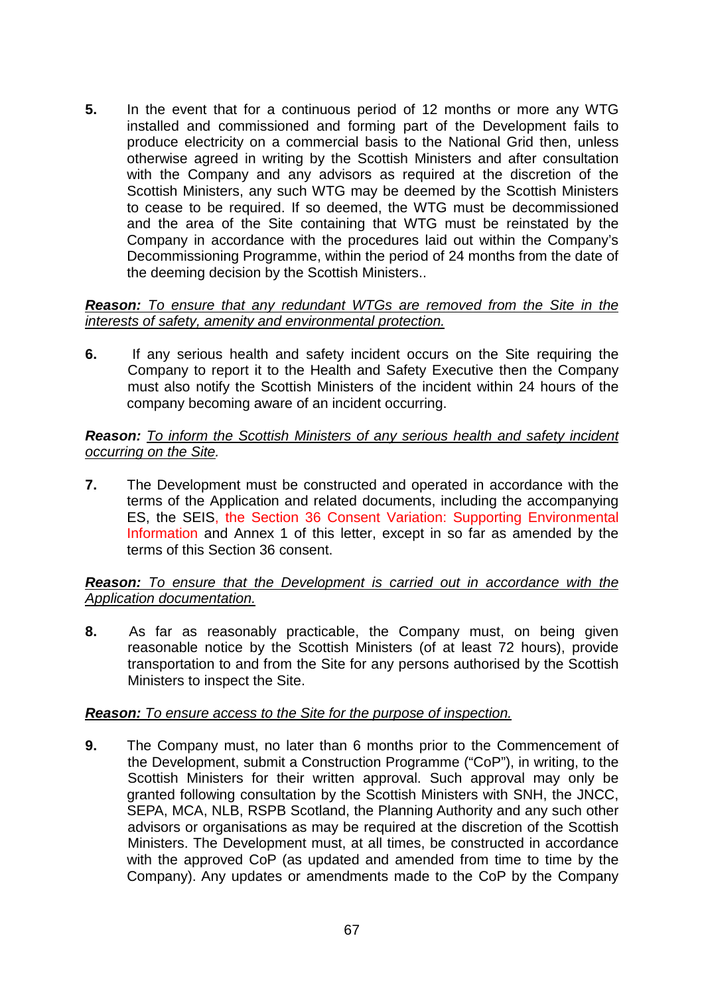**5.** In the event that for a continuous period of 12 months or more any WTG installed and commissioned and forming part of the Development fails to produce electricity on a commercial basis to the National Grid then, unless otherwise agreed in writing by the Scottish Ministers and after consultation with the Company and any advisors as required at the discretion of the Scottish Ministers, any such WTG may be deemed by the Scottish Ministers to cease to be required. If so deemed, the WTG must be decommissioned and the area of the Site containing that WTG must be reinstated by the Company in accordance with the procedures laid out within the Company's Decommissioning Programme, within the period of 24 months from the date of the deeming decision by the Scottish Ministers..

#### *Reason: To ensure that any redundant WTGs are removed from the Site in the interests of safety, amenity and environmental protection.*

**6.** If any serious health and safety incident occurs on the Site requiring the Company to report it to the Health and Safety Executive then the Company must also notify the Scottish Ministers of the incident within 24 hours of the company becoming aware of an incident occurring.

## *Reason: To inform the Scottish Ministers of any serious health and safety incident occurring on the Site.*

**7.** The Development must be constructed and operated in accordance with the terms of the Application and related documents, including the accompanying ES, the SEIS, the Section 36 Consent Variation: Supporting Environmental Information and Annex 1 of this letter, except in so far as amended by the terms of this Section 36 consent.

## *Reason: To ensure that the Development is carried out in accordance with the Application documentation.*

**8.** As far as reasonably practicable, the Company must, on being given reasonable notice by the Scottish Ministers (of at least 72 hours), provide transportation to and from the Site for any persons authorised by the Scottish Ministers to inspect the Site.

# *Reason: To ensure access to the Site for the purpose of inspection.*

**9.** The Company must, no later than 6 months prior to the Commencement of the Development, submit a Construction Programme ("CoP"), in writing, to the Scottish Ministers for their written approval. Such approval may only be granted following consultation by the Scottish Ministers with SNH, the JNCC, SEPA, MCA, NLB, RSPB Scotland, the Planning Authority and any such other advisors or organisations as may be required at the discretion of the Scottish Ministers. The Development must, at all times, be constructed in accordance with the approved CoP (as updated and amended from time to time by the Company). Any updates or amendments made to the CoP by the Company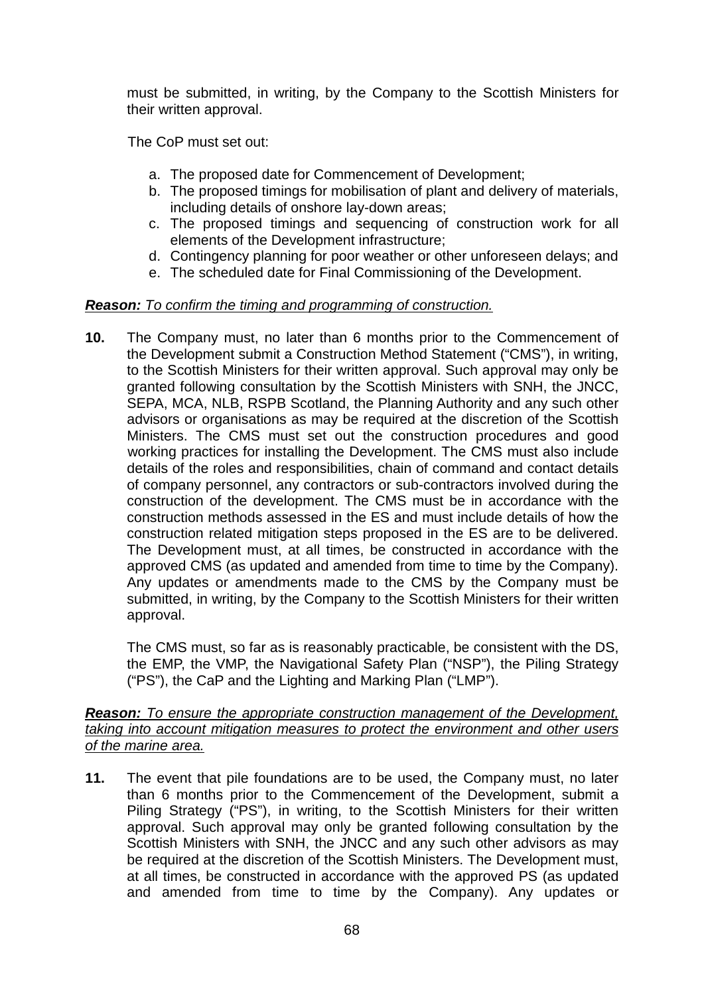must be submitted, in writing, by the Company to the Scottish Ministers for their written approval.

The CoP must set out:

- a. The proposed date for Commencement of Development;
- b. The proposed timings for mobilisation of plant and delivery of materials, including details of onshore lay-down areas;
- c. The proposed timings and sequencing of construction work for all elements of the Development infrastructure;
- d. Contingency planning for poor weather or other unforeseen delays; and
- e. The scheduled date for Final Commissioning of the Development.

# *Reason: To confirm the timing and programming of construction.*

**10.** The Company must, no later than 6 months prior to the Commencement of the Development submit a Construction Method Statement ("CMS"), in writing, to the Scottish Ministers for their written approval. Such approval may only be granted following consultation by the Scottish Ministers with SNH, the JNCC, SEPA, MCA, NLB, RSPB Scotland, the Planning Authority and any such other advisors or organisations as may be required at the discretion of the Scottish Ministers. The CMS must set out the construction procedures and good working practices for installing the Development. The CMS must also include details of the roles and responsibilities, chain of command and contact details of company personnel, any contractors or sub-contractors involved during the construction of the development. The CMS must be in accordance with the construction methods assessed in the ES and must include details of how the construction related mitigation steps proposed in the ES are to be delivered. The Development must, at all times, be constructed in accordance with the approved CMS (as updated and amended from time to time by the Company). Any updates or amendments made to the CMS by the Company must be submitted, in writing, by the Company to the Scottish Ministers for their written approval.

The CMS must, so far as is reasonably practicable, be consistent with the DS, the EMP, the VMP, the Navigational Safety Plan ("NSP"), the Piling Strategy ("PS"), the CaP and the Lighting and Marking Plan ("LMP").

#### *Reason: To ensure the appropriate construction management of the Development, taking into account mitigation measures to protect the environment and other users of the marine area.*

**11.** The event that pile foundations are to be used, the Company must, no later than 6 months prior to the Commencement of the Development, submit a Piling Strategy ("PS"), in writing, to the Scottish Ministers for their written approval. Such approval may only be granted following consultation by the Scottish Ministers with SNH, the JNCC and any such other advisors as may be required at the discretion of the Scottish Ministers. The Development must, at all times, be constructed in accordance with the approved PS (as updated and amended from time to time by the Company). Any updates or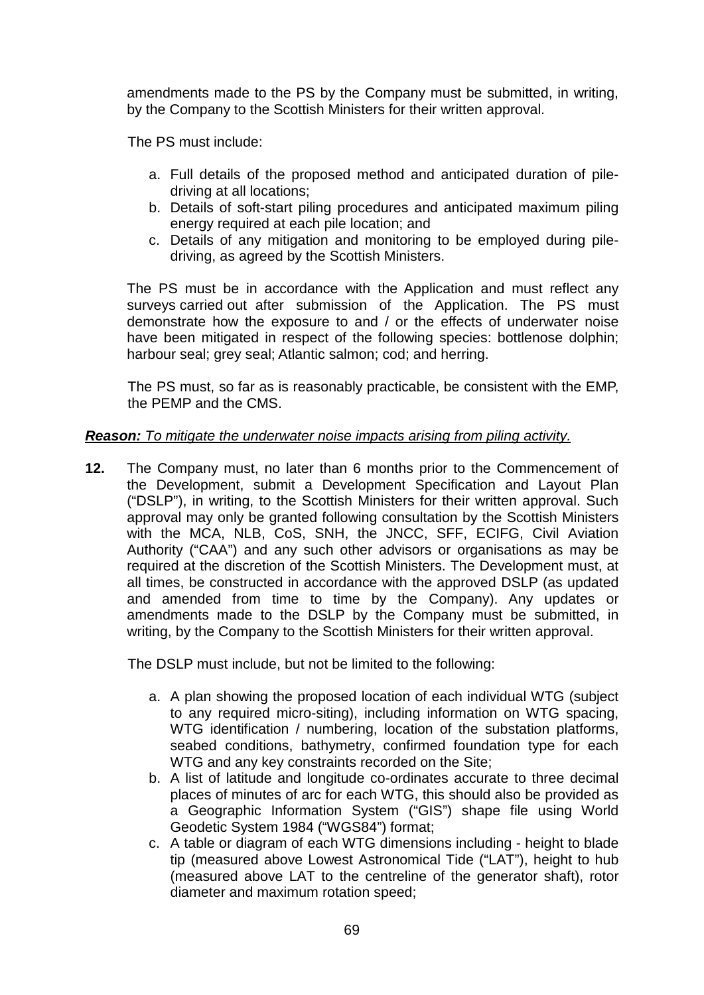amendments made to the PS by the Company must be submitted, in writing, by the Company to the Scottish Ministers for their written approval.

The PS must include:

- a. Full details of the proposed method and anticipated duration of piledriving at all locations;
- b. Details of soft-start piling procedures and anticipated maximum piling energy required at each pile location; and
- c. Details of any mitigation and monitoring to be employed during piledriving, as agreed by the Scottish Ministers.

The PS must be in accordance with the Application and must reflect any surveys carried out after submission of the Application. The PS must demonstrate how the exposure to and / or the effects of underwater noise have been mitigated in respect of the following species: bottlenose dolphin; harbour seal; grey seal; Atlantic salmon; cod; and herring.

The PS must, so far as is reasonably practicable, be consistent with the EMP, the PEMP and the CMS.

## *Reason: To mitigate the underwater noise impacts arising from piling activity.*

**12.** The Company must, no later than 6 months prior to the Commencement of the Development, submit a Development Specification and Layout Plan ("DSLP"), in writing, to the Scottish Ministers for their written approval. Such approval may only be granted following consultation by the Scottish Ministers with the MCA, NLB, CoS, SNH, the JNCC, SFF, ECIFG, Civil Aviation Authority ("CAA") and any such other advisors or organisations as may be required at the discretion of the Scottish Ministers. The Development must, at all times, be constructed in accordance with the approved DSLP (as updated and amended from time to time by the Company). Any updates or amendments made to the DSLP by the Company must be submitted, in writing, by the Company to the Scottish Ministers for their written approval.

The DSLP must include, but not be limited to the following:

- a. A plan showing the proposed location of each individual WTG (subject to any required micro-siting), including information on WTG spacing, WTG identification / numbering, location of the substation platforms, seabed conditions, bathymetry, confirmed foundation type for each WTG and any key constraints recorded on the Site;
- b. A list of latitude and longitude co-ordinates accurate to three decimal places of minutes of arc for each WTG, this should also be provided as a Geographic Information System ("GIS") shape file using World Geodetic System 1984 ("WGS84") format;
- c. A table or diagram of each WTG dimensions including height to blade tip (measured above Lowest Astronomical Tide ("LAT"), height to hub (measured above LAT to the centreline of the generator shaft), rotor diameter and maximum rotation speed;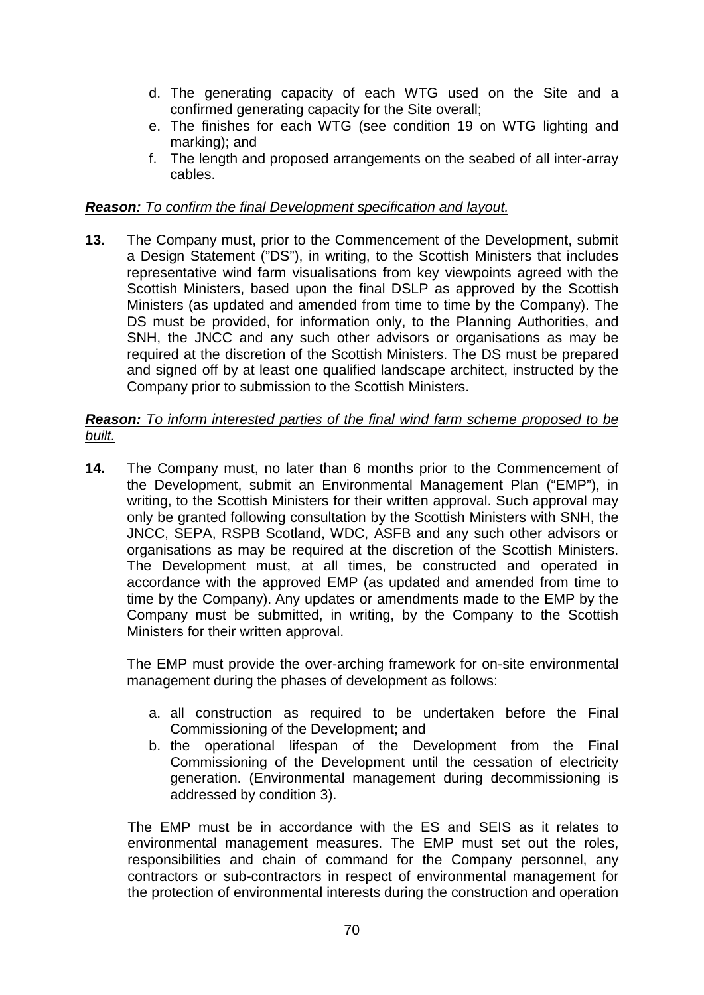- d. The generating capacity of each WTG used on the Site and a confirmed generating capacity for the Site overall;
- e. The finishes for each WTG (see condition 19 on WTG lighting and marking); and
- f. The length and proposed arrangements on the seabed of all inter-array cables.

## *Reason: To confirm the final Development specification and layout.*

**13.** The Company must, prior to the Commencement of the Development, submit a Design Statement ("DS"), in writing, to the Scottish Ministers that includes representative wind farm visualisations from key viewpoints agreed with the Scottish Ministers, based upon the final DSLP as approved by the Scottish Ministers (as updated and amended from time to time by the Company). The DS must be provided, for information only, to the Planning Authorities, and SNH, the JNCC and any such other advisors or organisations as may be required at the discretion of the Scottish Ministers. The DS must be prepared and signed off by at least one qualified landscape architect, instructed by the Company prior to submission to the Scottish Ministers.

#### *Reason: To inform interested parties of the final wind farm scheme proposed to be built.*

**14.** The Company must, no later than 6 months prior to the Commencement of the Development, submit an Environmental Management Plan ("EMP"), in writing, to the Scottish Ministers for their written approval. Such approval may only be granted following consultation by the Scottish Ministers with SNH, the JNCC, SEPA, RSPB Scotland, WDC, ASFB and any such other advisors or organisations as may be required at the discretion of the Scottish Ministers. The Development must, at all times, be constructed and operated in accordance with the approved EMP (as updated and amended from time to time by the Company). Any updates or amendments made to the EMP by the Company must be submitted, in writing, by the Company to the Scottish Ministers for their written approval.

The EMP must provide the over-arching framework for on-site environmental management during the phases of development as follows:

- a. all construction as required to be undertaken before the Final Commissioning of the Development; and
- b. the operational lifespan of the Development from the Final Commissioning of the Development until the cessation of electricity generation. (Environmental management during decommissioning is addressed by condition 3).

The EMP must be in accordance with the ES and SEIS as it relates to environmental management measures. The EMP must set out the roles, responsibilities and chain of command for the Company personnel, any contractors or sub-contractors in respect of environmental management for the protection of environmental interests during the construction and operation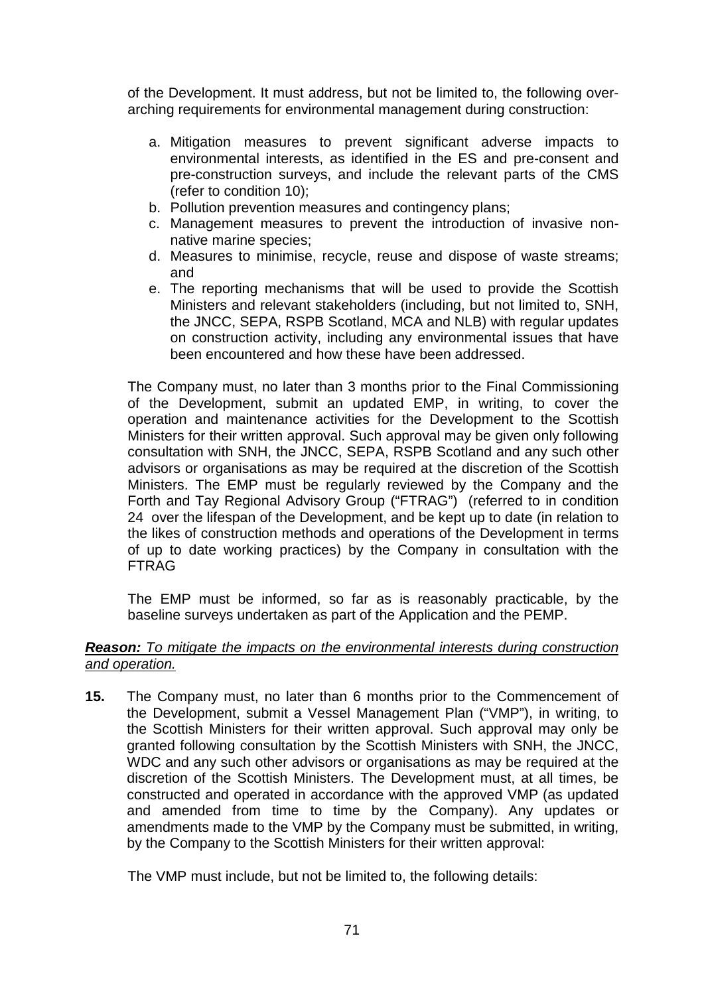of the Development. It must address, but not be limited to, the following overarching requirements for environmental management during construction:

- a. Mitigation measures to prevent significant adverse impacts to environmental interests, as identified in the ES and pre-consent and pre-construction surveys, and include the relevant parts of the CMS (refer to condition 10);
- b. Pollution prevention measures and contingency plans;
- c. Management measures to prevent the introduction of invasive nonnative marine species;
- d. Measures to minimise, recycle, reuse and dispose of waste streams; and
- e. The reporting mechanisms that will be used to provide the Scottish Ministers and relevant stakeholders (including, but not limited to, SNH, the JNCC, SEPA, RSPB Scotland, MCA and NLB) with regular updates on construction activity, including any environmental issues that have been encountered and how these have been addressed.

The Company must, no later than 3 months prior to the Final Commissioning of the Development, submit an updated EMP, in writing, to cover the operation and maintenance activities for the Development to the Scottish Ministers for their written approval. Such approval may be given only following consultation with SNH, the JNCC, SEPA, RSPB Scotland and any such other advisors or organisations as may be required at the discretion of the Scottish Ministers. The EMP must be regularly reviewed by the Company and the Forth and Tay Regional Advisory Group ("FTRAG") (referred to in condition 24 over the lifespan of the Development, and be kept up to date (in relation to the likes of construction methods and operations of the Development in terms of up to date working practices) by the Company in consultation with the FTRAG

The EMP must be informed, so far as is reasonably practicable, by the baseline surveys undertaken as part of the Application and the PEMP.

## *Reason: To mitigate the impacts on the environmental interests during construction and operation.*

**15.** The Company must, no later than 6 months prior to the Commencement of the Development, submit a Vessel Management Plan ("VMP"), in writing, to the Scottish Ministers for their written approval. Such approval may only be granted following consultation by the Scottish Ministers with SNH, the JNCC, WDC and any such other advisors or organisations as may be required at the discretion of the Scottish Ministers. The Development must, at all times, be constructed and operated in accordance with the approved VMP (as updated and amended from time to time by the Company). Any updates or amendments made to the VMP by the Company must be submitted, in writing, by the Company to the Scottish Ministers for their written approval:

The VMP must include, but not be limited to, the following details: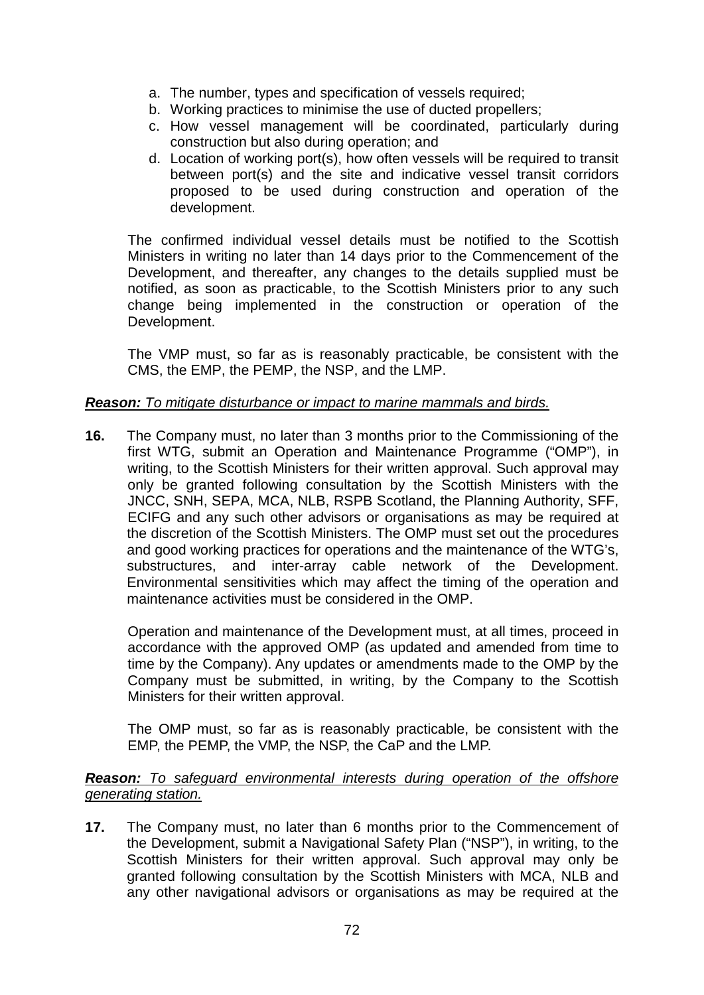- a. The number, types and specification of vessels required;
- b. Working practices to minimise the use of ducted propellers;
- c. How vessel management will be coordinated, particularly during construction but also during operation; and
- d. Location of working port(s), how often vessels will be required to transit between port(s) and the site and indicative vessel transit corridors proposed to be used during construction and operation of the development.

The confirmed individual vessel details must be notified to the Scottish Ministers in writing no later than 14 days prior to the Commencement of the Development, and thereafter, any changes to the details supplied must be notified, as soon as practicable, to the Scottish Ministers prior to any such change being implemented in the construction or operation of the Development.

The VMP must, so far as is reasonably practicable, be consistent with the CMS, the EMP, the PEMP, the NSP, and the LMP.

## *Reason: To mitigate disturbance or impact to marine mammals and birds.*

**16.** The Company must, no later than 3 months prior to the Commissioning of the first WTG, submit an Operation and Maintenance Programme ("OMP"), in writing, to the Scottish Ministers for their written approval. Such approval may only be granted following consultation by the Scottish Ministers with the JNCC, SNH, SEPA, MCA, NLB, RSPB Scotland, the Planning Authority, SFF, ECIFG and any such other advisors or organisations as may be required at the discretion of the Scottish Ministers. The OMP must set out the procedures and good working practices for operations and the maintenance of the WTG's, substructures, and inter-array cable network of the Development. Environmental sensitivities which may affect the timing of the operation and maintenance activities must be considered in the OMP.

Operation and maintenance of the Development must, at all times, proceed in accordance with the approved OMP (as updated and amended from time to time by the Company). Any updates or amendments made to the OMP by the Company must be submitted, in writing, by the Company to the Scottish Ministers for their written approval.

The OMP must, so far as is reasonably practicable, be consistent with the EMP, the PEMP, the VMP, the NSP, the CaP and the LMP.

#### *Reason: To safeguard environmental interests during operation of the offshore generating station.*

**17.** The Company must, no later than 6 months prior to the Commencement of the Development, submit a Navigational Safety Plan ("NSP"), in writing, to the Scottish Ministers for their written approval. Such approval may only be granted following consultation by the Scottish Ministers with MCA, NLB and any other navigational advisors or organisations as may be required at the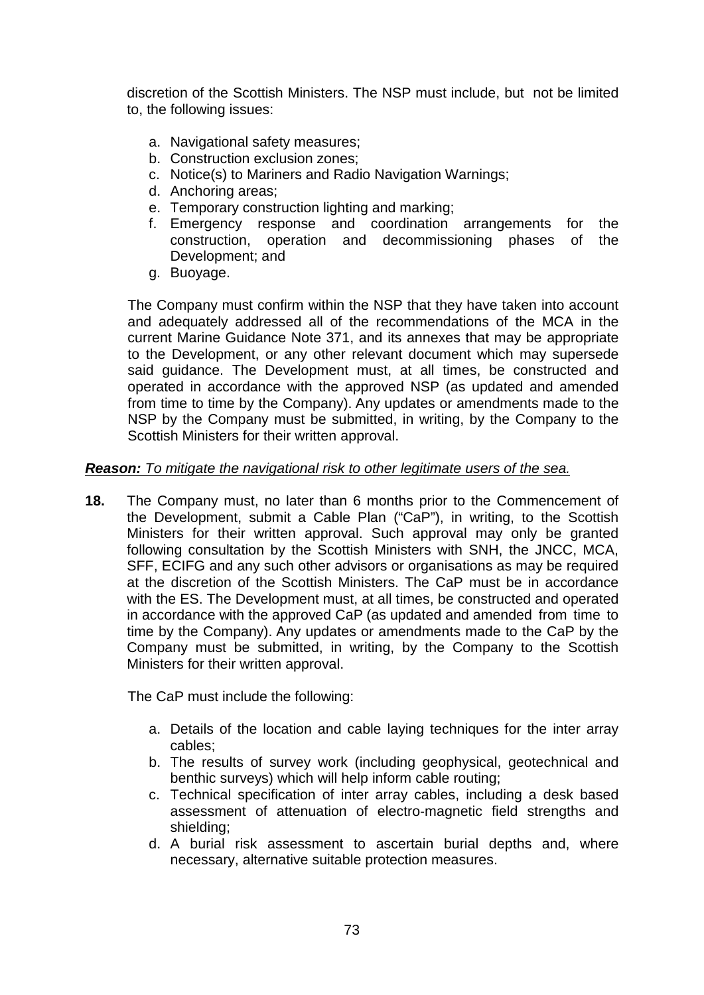discretion of the Scottish Ministers. The NSP must include, but not be limited to, the following issues:

- a. Navigational safety measures;
- b. Construction exclusion zones;
- c. Notice(s) to Mariners and Radio Navigation Warnings;
- d. Anchoring areas;
- e. Temporary construction lighting and marking;
- f. Emergency response and coordination arrangements for the operation and decommissioning phases of Development; and
- g. Buoyage.

The Company must confirm within the NSP that they have taken into account and adequately addressed all of the recommendations of the MCA in the current Marine Guidance Note 371, and its annexes that may be appropriate to the Development, or any other relevant document which may supersede said guidance. The Development must, at all times, be constructed and operated in accordance with the approved NSP (as updated and amended from time to time by the Company). Any updates or amendments made to the NSP by the Company must be submitted, in writing, by the Company to the Scottish Ministers for their written approval.

#### *Reason: To mitigate the navigational risk to other legitimate users of the sea.*

**18.** The Company must, no later than 6 months prior to the Commencement of the Development, submit a Cable Plan ("CaP"), in writing, to the Scottish Ministers for their written approval. Such approval may only be granted following consultation by the Scottish Ministers with SNH, the JNCC, MCA, SFF, ECIFG and any such other advisors or organisations as may be required at the discretion of the Scottish Ministers. The CaP must be in accordance with the ES. The Development must, at all times, be constructed and operated in accordance with the approved CaP (as updated and amended from time to time by the Company). Any updates or amendments made to the CaP by the Company must be submitted, in writing, by the Company to the Scottish Ministers for their written approval.

The CaP must include the following:

- a. Details of the location and cable laying techniques for the inter array cables;
- b. The results of survey work (including geophysical, geotechnical and benthic surveys) which will help inform cable routing;
- c. Technical specification of inter array cables, including a desk based assessment of attenuation of electro-magnetic field strengths and shielding;
- d. A burial risk assessment to ascertain burial depths and, where necessary, alternative suitable protection measures.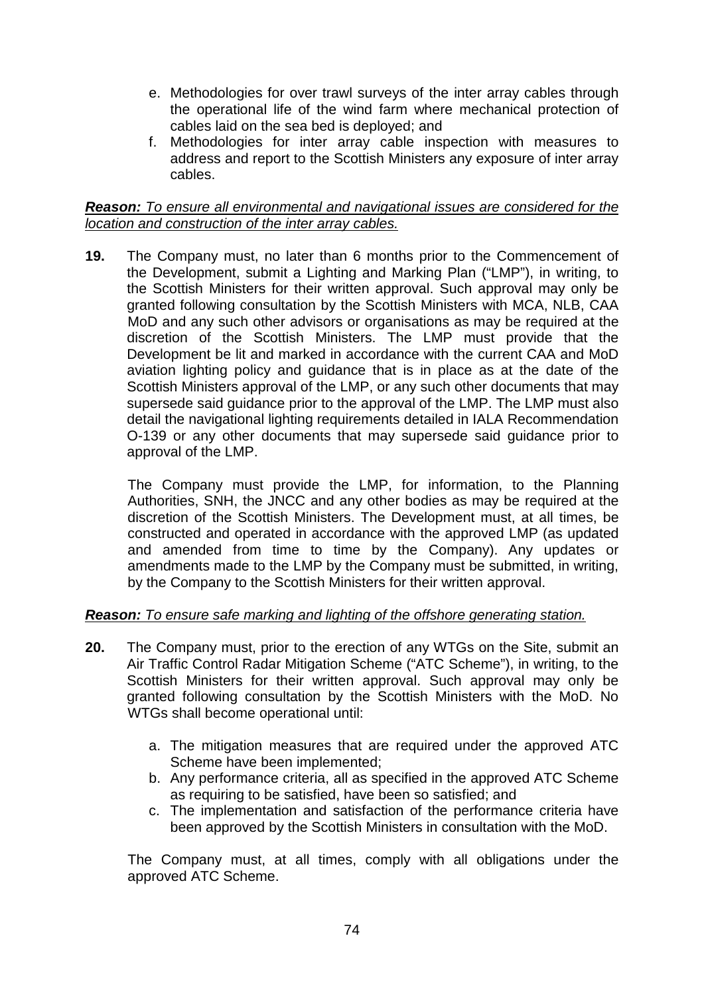- e. Methodologies for over trawl surveys of the inter array cables through the operational life of the wind farm where mechanical protection of cables laid on the sea bed is deployed; and
- f. Methodologies for inter array cable inspection with measures to address and report to the Scottish Ministers any exposure of inter array cables.

### *Reason: To ensure all environmental and navigational issues are considered for the location and construction of the inter array cables.*

**19.** The Company must, no later than 6 months prior to the Commencement of the Development, submit a Lighting and Marking Plan ("LMP"), in writing, to the Scottish Ministers for their written approval. Such approval may only be granted following consultation by the Scottish Ministers with MCA, NLB, CAA MoD and any such other advisors or organisations as may be required at the discretion of the Scottish Ministers. The LMP must provide that the Development be lit and marked in accordance with the current CAA and MoD aviation lighting policy and guidance that is in place as at the date of the Scottish Ministers approval of the LMP, or any such other documents that may supersede said guidance prior to the approval of the LMP. The LMP must also detail the navigational lighting requirements detailed in IALA Recommendation O-139 or any other documents that may supersede said guidance prior to approval of the LMP.

The Company must provide the LMP, for information, to the Planning Authorities, SNH, the JNCC and any other bodies as may be required at the discretion of the Scottish Ministers. The Development must, at all times, be constructed and operated in accordance with the approved LMP (as updated and amended from time to time by the Company). Any updates or amendments made to the LMP by the Company must be submitted, in writing, by the Company to the Scottish Ministers for their written approval.

# *Reason: To ensure safe marking and lighting of the offshore generating station.*

- **20.** The Company must, prior to the erection of any WTGs on the Site, submit an Air Traffic Control Radar Mitigation Scheme ("ATC Scheme"), in writing, to the Scottish Ministers for their written approval. Such approval may only be granted following consultation by the Scottish Ministers with the MoD. No WTGs shall become operational until:
	- a. The mitigation measures that are required under the approved ATC Scheme have been implemented;
	- b. Any performance criteria, all as specified in the approved ATC Scheme as requiring to be satisfied, have been so satisfied; and
	- c. The implementation and satisfaction of the performance criteria have been approved by the Scottish Ministers in consultation with the MoD.

The Company must, at all times, comply with all obligations under the approved ATC Scheme.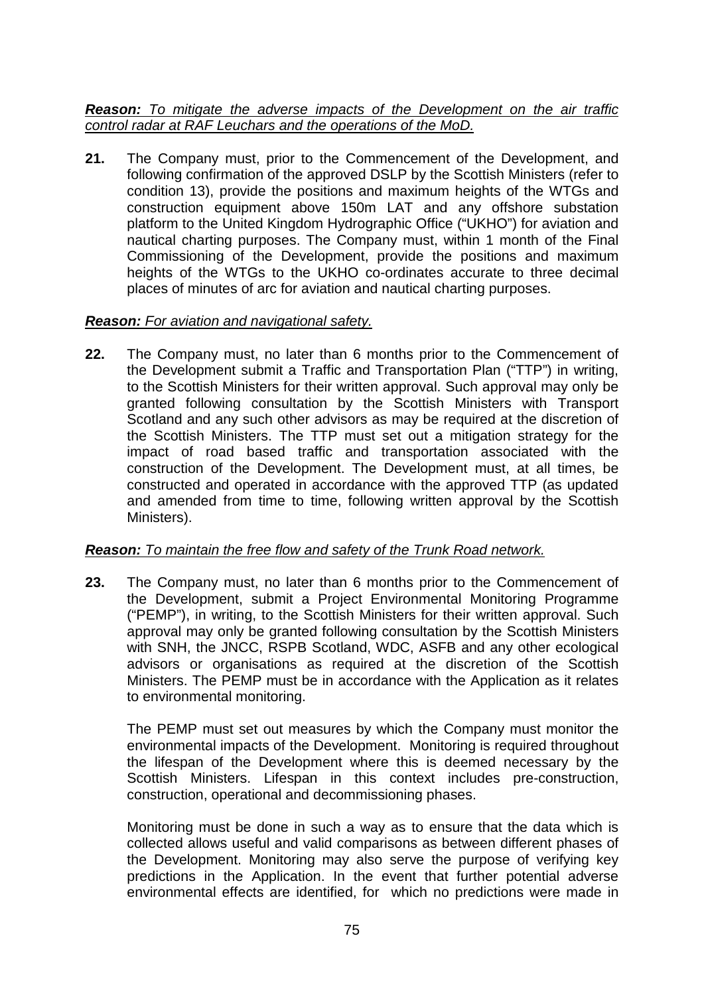*Reason: To mitigate the adverse impacts of the Development on the air traffic control radar at RAF Leuchars and the operations of the MoD.*

**21.** The Company must, prior to the Commencement of the Development, and following confirmation of the approved DSLP by the Scottish Ministers (refer to condition 13), provide the positions and maximum heights of the WTGs and construction equipment above 150m LAT and any offshore substation platform to the United Kingdom Hydrographic Office ("UKHO") for aviation and nautical charting purposes. The Company must, within 1 month of the Final Commissioning of the Development, provide the positions and maximum heights of the WTGs to the UKHO co-ordinates accurate to three decimal places of minutes of arc for aviation and nautical charting purposes.

## *Reason: For aviation and navigational safety.*

**22.** The Company must, no later than 6 months prior to the Commencement of the Development submit a Traffic and Transportation Plan ("TTP") in writing, to the Scottish Ministers for their written approval. Such approval may only be granted following consultation by the Scottish Ministers with Transport Scotland and any such other advisors as may be required at the discretion of the Scottish Ministers. The TTP must set out a mitigation strategy for the impact of road based traffic and transportation associated with the construction of the Development. The Development must, at all times, be constructed and operated in accordance with the approved TTP (as updated and amended from time to time, following written approval by the Scottish Ministers).

#### *Reason: To maintain the free flow and safety of the Trunk Road network.*

**23.** The Company must, no later than 6 months prior to the Commencement of the Development, submit a Project Environmental Monitoring Programme ("PEMP"), in writing, to the Scottish Ministers for their written approval. Such approval may only be granted following consultation by the Scottish Ministers with SNH, the JNCC, RSPB Scotland, WDC, ASFB and any other ecological advisors or organisations as required at the discretion of the Scottish Ministers. The PEMP must be in accordance with the Application as it relates to environmental monitoring.

The PEMP must set out measures by which the Company must monitor the environmental impacts of the Development. Monitoring is required throughout the lifespan of the Development where this is deemed necessary by the Scottish Ministers. Lifespan in this context includes pre-construction, construction, operational and decommissioning phases.

Monitoring must be done in such a way as to ensure that the data which is collected allows useful and valid comparisons as between different phases of the Development. Monitoring may also serve the purpose of verifying key predictions in the Application. In the event that further potential adverse environmental effects are identified, for which no predictions were made in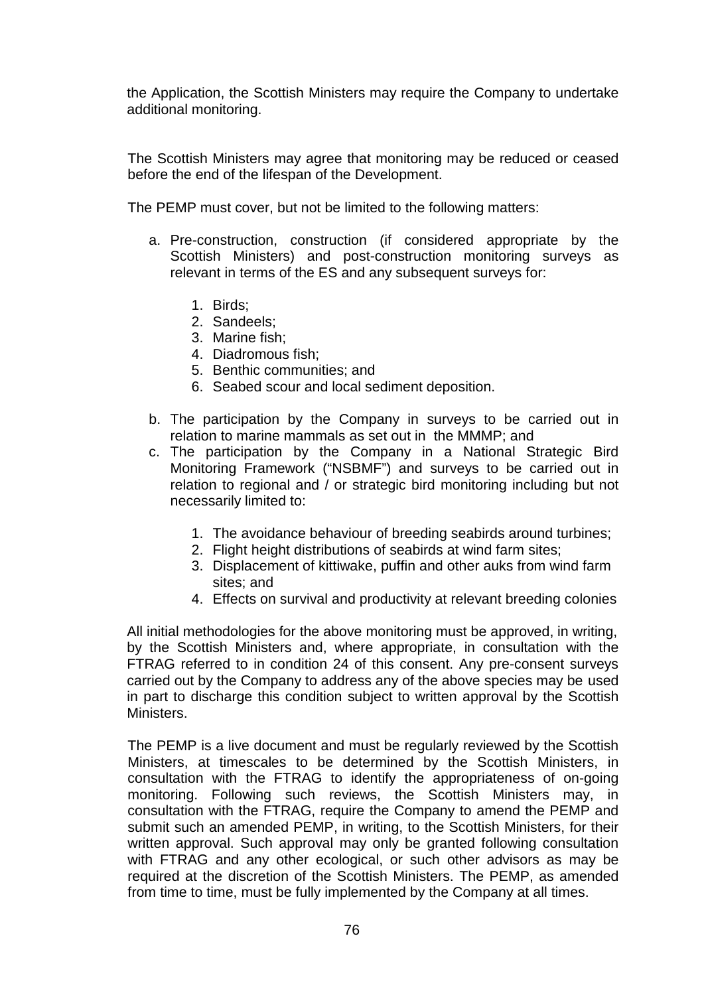the Application, the Scottish Ministers may require the Company to undertake additional monitoring.

The Scottish Ministers may agree that monitoring may be reduced or ceased before the end of the lifespan of the Development.

The PEMP must cover, but not be limited to the following matters:

- a. Pre-construction, construction (if considered appropriate by the Scottish Ministers) and post-construction monitoring surveys as relevant in terms of the ES and any subsequent surveys for:
	- 1. Birds;
	- 2. Sandeels;
	- 3. Marine fish;
	- 4. Diadromous fish;
	- 5. Benthic communities; and
	- 6. Seabed scour and local sediment deposition.
- b. The participation by the Company in surveys to be carried out in relation to marine mammals as set out in the MMMP; and
- c. The participation by the Company in a National Strategic Bird Monitoring Framework ("NSBMF") and surveys to be carried out in relation to regional and / or strategic bird monitoring including but not necessarily limited to:
	- 1. The avoidance behaviour of breeding seabirds around turbines;
	- 2. Flight height distributions of seabirds at wind farm sites;
	- 3. Displacement of kittiwake, puffin and other auks from wind farm sites; and
	- 4. Effects on survival and productivity at relevant breeding colonies

All initial methodologies for the above monitoring must be approved, in writing, by the Scottish Ministers and, where appropriate, in consultation with the FTRAG referred to in condition 24 of this consent. Any pre-consent surveys carried out by the Company to address any of the above species may be used in part to discharge this condition subject to written approval by the Scottish Ministers.

The PEMP is a live document and must be regularly reviewed by the Scottish Ministers, at timescales to be determined by the Scottish Ministers, in consultation with the FTRAG to identify the appropriateness of on-going monitoring. Following such reviews, the Scottish Ministers may, in consultation with the FTRAG, require the Company to amend the PEMP and submit such an amended PEMP, in writing, to the Scottish Ministers, for their written approval. Such approval may only be granted following consultation with FTRAG and any other ecological, or such other advisors as may be required at the discretion of the Scottish Ministers. The PEMP, as amended from time to time, must be fully implemented by the Company at all times.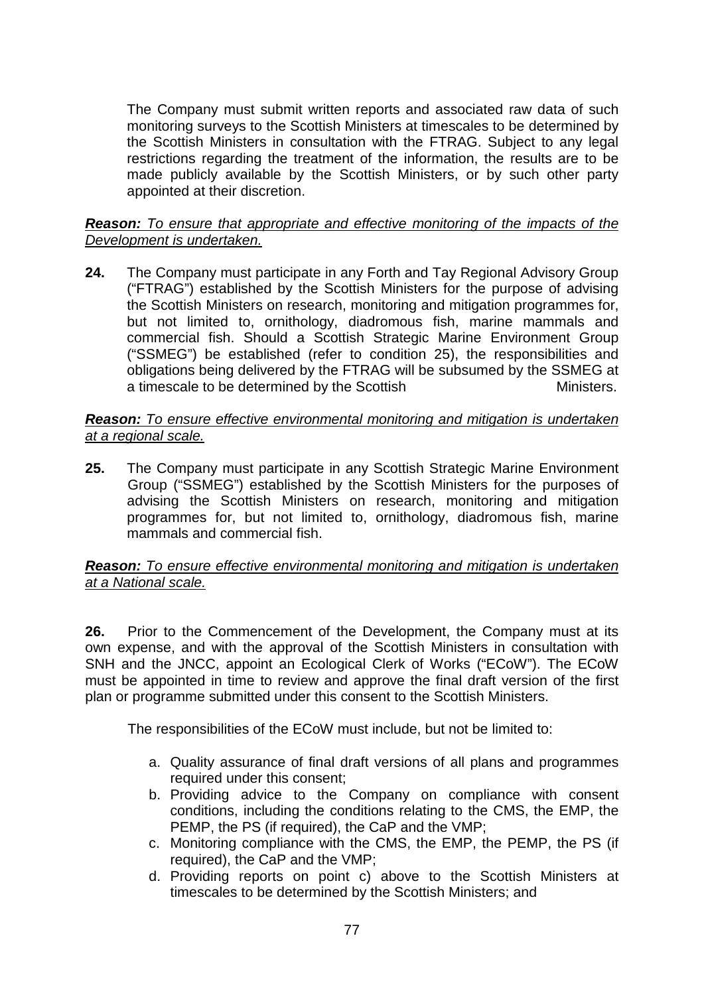The Company must submit written reports and associated raw data of such monitoring surveys to the Scottish Ministers at timescales to be determined by the Scottish Ministers in consultation with the FTRAG. Subject to any legal restrictions regarding the treatment of the information, the results are to be made publicly available by the Scottish Ministers, or by such other party appointed at their discretion.

## *Reason: To ensure that appropriate and effective monitoring of the impacts of the Development is undertaken.*

**24.** The Company must participate in any Forth and Tay Regional Advisory Group ("FTRAG") established by the Scottish Ministers for the purpose of advising the Scottish Ministers on research, monitoring and mitigation programmes for, but not limited to, ornithology, diadromous fish, marine mammals and commercial fish. Should a Scottish Strategic Marine Environment Group ("SSMEG") be established (refer to condition 25), the responsibilities and obligations being delivered by the FTRAG will be subsumed by the SSMEG at a timescale to be determined by the Scottish Ministers.

#### *Reason: To ensure effective environmental monitoring and mitigation is undertaken at a regional scale.*

**25.** The Company must participate in any Scottish Strategic Marine Environment Group ("SSMEG") established by the Scottish Ministers for the purposes of advising the Scottish Ministers on research, monitoring and mitigation programmes for, but not limited to, ornithology, diadromous fish, marine mammals and commercial fish.

## *Reason: To ensure effective environmental monitoring and mitigation is undertaken at a National scale.*

**26.** Prior to the Commencement of the Development, the Company must at its own expense, and with the approval of the Scottish Ministers in consultation with SNH and the JNCC, appoint an Ecological Clerk of Works ("ECoW"). The ECoW must be appointed in time to review and approve the final draft version of the first plan or programme submitted under this consent to the Scottish Ministers.

The responsibilities of the ECoW must include, but not be limited to:

- a. Quality assurance of final draft versions of all plans and programmes required under this consent;
- b. Providing advice to the Company on compliance with consent conditions, including the conditions relating to the CMS, the EMP, the PEMP, the PS (if required), the CaP and the VMP;
- c. Monitoring compliance with the CMS, the EMP, the PEMP, the PS (if required), the CaP and the VMP;
- d. Providing reports on point c) above to the Scottish Ministers at timescales to be determined by the Scottish Ministers; and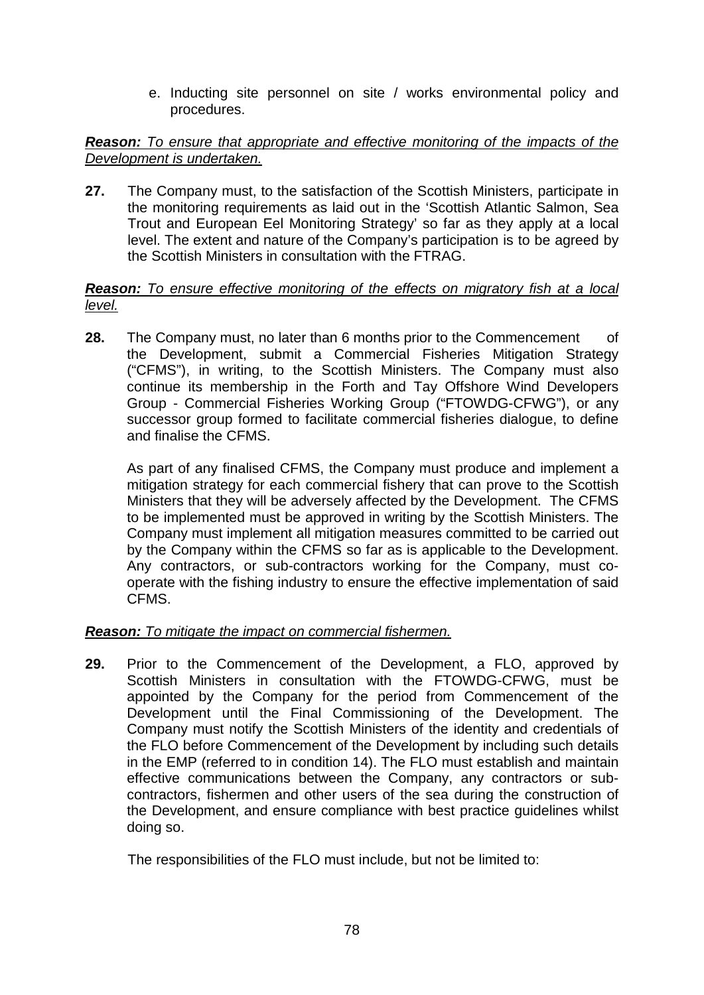e. Inducting site personnel on site / works environmental policy and procedures.

# *Reason:* To ensure that appropriate and effective monitoring of the impacts of the *Development is undertaken.*

**27.** The Company must, to the satisfaction of the Scottish Ministers, participate in the monitoring requirements as laid out in the 'Scottish Atlantic Salmon, Sea Trout and European Eel Monitoring Strategy' so far as they apply at a local level. The extent and nature of the Company's participation is to be agreed by the Scottish Ministers in consultation with the FTRAG.

# *Reason: To ensure effective monitoring of the effects on migratory fish at a local level.*

**28.** The Company must, no later than 6 months prior to the Commencement of the Development, submit a Commercial Fisheries Mitigation Strategy ("CFMS"), in writing, to the Scottish Ministers. The Company must also continue its membership in the Forth and Tay Offshore Wind Developers Group - Commercial Fisheries Working Group ("FTOWDG-CFWG"), or any successor group formed to facilitate commercial fisheries dialogue, to define and finalise the CFMS.

As part of any finalised CFMS, the Company must produce and implement a mitigation strategy for each commercial fishery that can prove to the Scottish Ministers that they will be adversely affected by the Development. The CFMS to be implemented must be approved in writing by the Scottish Ministers. The Company must implement all mitigation measures committed to be carried out by the Company within the CFMS so far as is applicable to the Development. Any contractors, or sub-contractors working for the Company, must cooperate with the fishing industry to ensure the effective implementation of said CFMS.

# *Reason: To mitigate the impact on commercial fishermen.*

**29.** Prior to the Commencement of the Development, a FLO, approved by Scottish Ministers in consultation with the FTOWDG-CFWG, must be appointed by the Company for the period from Commencement of the Development until the Final Commissioning of the Development. The Company must notify the Scottish Ministers of the identity and credentials of the FLO before Commencement of the Development by including such details in the EMP (referred to in condition 14). The FLO must establish and maintain effective communications between the Company, any contractors or subcontractors, fishermen and other users of the sea during the construction of the Development, and ensure compliance with best practice guidelines whilst doing so.

The responsibilities of the FLO must include, but not be limited to: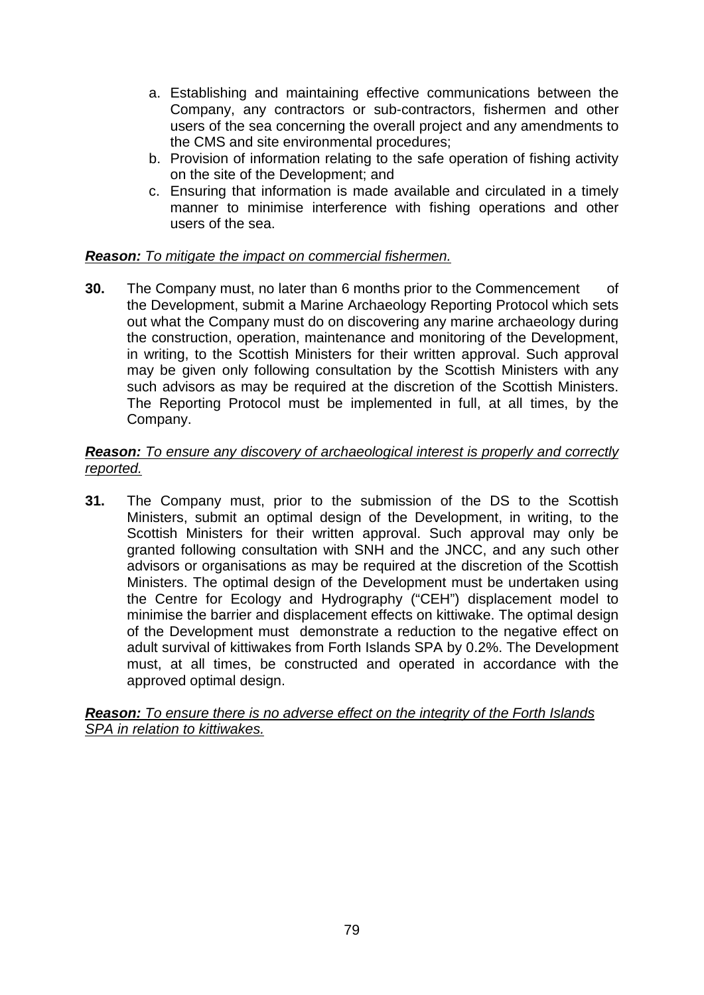- a. Establishing and maintaining effective communications between the Company, any contractors or sub-contractors, fishermen and other users of the sea concerning the overall project and any amendments to the CMS and site environmental procedures;
- b. Provision of information relating to the safe operation of fishing activity on the site of the Development; and
- c. Ensuring that information is made available and circulated in a timely manner to minimise interference with fishing operations and other users of the sea.

# *Reason: To mitigate the impact on commercial fishermen.*

**30.** The Company must, no later than 6 months prior to the Commencement of the Development, submit a Marine Archaeology Reporting Protocol which sets out what the Company must do on discovering any marine archaeology during the construction, operation, maintenance and monitoring of the Development, in writing, to the Scottish Ministers for their written approval. Such approval may be given only following consultation by the Scottish Ministers with any such advisors as may be required at the discretion of the Scottish Ministers. The Reporting Protocol must be implemented in full, at all times, by the Company.

#### *Reason: To ensure any discovery of archaeological interest is properly and correctly reported.*

**31.** The Company must, prior to the submission of the DS to the Scottish Ministers, submit an optimal design of the Development, in writing, to the Scottish Ministers for their written approval. Such approval may only be granted following consultation with SNH and the JNCC, and any such other advisors or organisations as may be required at the discretion of the Scottish Ministers. The optimal design of the Development must be undertaken using the Centre for Ecology and Hydrography ("CEH") displacement model to minimise the barrier and displacement effects on kittiwake. The optimal design of the Development must demonstrate a reduction to the negative effect on adult survival of kittiwakes from Forth Islands SPA by 0.2%. The Development must, at all times, be constructed and operated in accordance with the approved optimal design.

*Reason: To ensure there is no adverse effect on the integrity of the Forth Islands SPA in relation to kittiwakes.*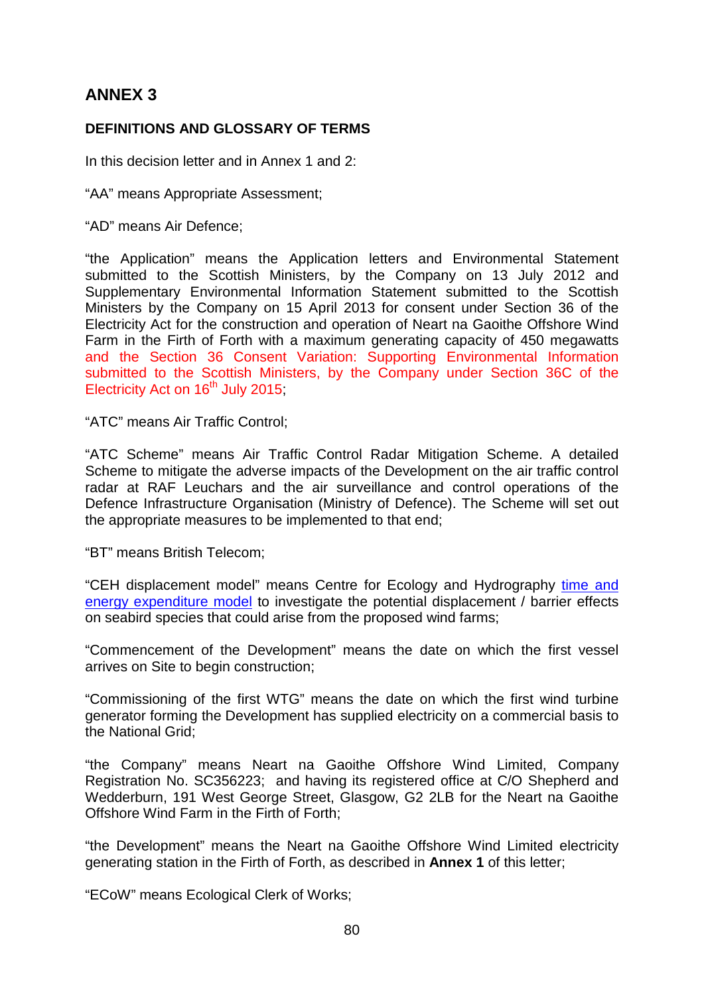# **ANNEX 3**

# **DEFINITIONS AND GLOSSARY OF TERMS**

In this decision letter and in Annex 1 and 2:

"AA" means Appropriate Assessment;

"AD" means Air Defence;

"the Application" means the Application letters and Environmental Statement submitted to the Scottish Ministers, by the Company on 13 July 2012 and Supplementary Environmental Information Statement submitted to the Scottish Ministers by the Company on 15 April 2013 for consent under Section 36 of the Electricity Act for the construction and operation of Neart na Gaoithe Offshore Wind Farm in the Firth of Forth with a maximum generating capacity of 450 megawatts and the Section 36 Consent Variation: Supporting Environmental Information submitted to the Scottish Ministers, by the Company under Section 36C of the Electricity Act on  $16<sup>th</sup>$  July 2015;

"ATC" means Air Traffic Control;

"ATC Scheme" means Air Traffic Control Radar Mitigation Scheme. A detailed Scheme to mitigate the adverse impacts of the Development on the air traffic control radar at RAF Leuchars and the air surveillance and control operations of the Defence Infrastructure Organisation (Ministry of Defence). The Scheme will set out the appropriate measures to be implemented to that end;

"BT" means British Telecom;

"CEH displacement model" means Centre for Ecology and Hydrography time and [energy expenditure model](http://www.scotland.gov.uk/Topics/marine/marineenergy/Research/SB7/FinalReport) to investigate the potential displacement / barrier effects on seabird species that could arise from the proposed wind farms;

"Commencement of the Development" means the date on which the first vessel arrives on Site to begin construction;

"Commissioning of the first WTG" means the date on which the first wind turbine generator forming the Development has supplied electricity on a commercial basis to the National Grid;

"the Company" means Neart na Gaoithe Offshore Wind Limited, Company Registration No. SC356223; and having its registered office at C/O Shepherd and Wedderburn, 191 West George Street, Glasgow, G2 2LB for the Neart na Gaoithe Offshore Wind Farm in the Firth of Forth;

"the Development" means the Neart na Gaoithe Offshore Wind Limited electricity generating station in the Firth of Forth, as described in **Annex 1** of this letter;

"ECoW" means Ecological Clerk of Works;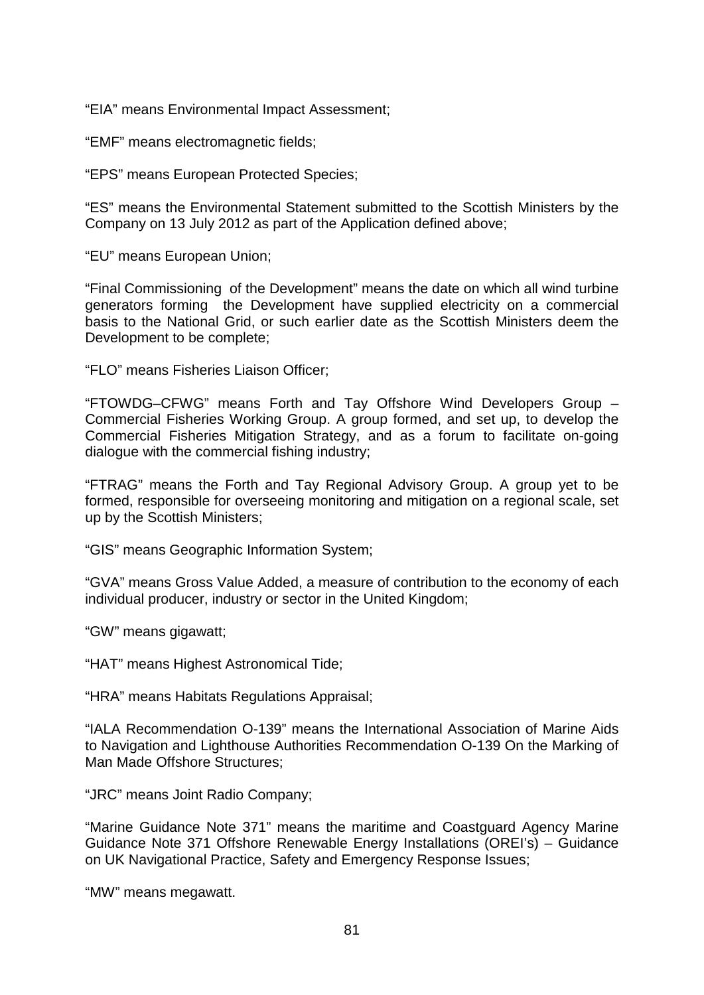"EIA" means Environmental Impact Assessment;

"EMF" means electromagnetic fields;

"EPS" means European Protected Species;

"ES" means the Environmental Statement submitted to the Scottish Ministers by the Company on 13 July 2012 as part of the Application defined above;

"EU" means European Union;

"Final Commissioning of the Development" means the date on which all wind turbine generators forming the Development have supplied electricity on a commercial basis to the National Grid, or such earlier date as the Scottish Ministers deem the Development to be complete;

"FLO" means Fisheries Liaison Officer;

"FTOWDG–CFWG" means Forth and Tay Offshore Wind Developers Group – Commercial Fisheries Working Group. A group formed, and set up, to develop the Commercial Fisheries Mitigation Strategy, and as a forum to facilitate on-going dialogue with the commercial fishing industry;

"FTRAG" means the Forth and Tay Regional Advisory Group. A group yet to be formed, responsible for overseeing monitoring and mitigation on a regional scale, set up by the Scottish Ministers;

"GIS" means Geographic Information System;

"GVA" means Gross Value Added, a measure of contribution to the economy of each individual producer, industry or sector in the United Kingdom;

"GW" means gigawatt;

"HAT" means Highest Astronomical Tide;

"HRA" means Habitats Regulations Appraisal;

"IALA Recommendation O-139" means the International Association of Marine Aids to Navigation and Lighthouse Authorities Recommendation O-139 On the Marking of Man Made Offshore Structures;

"JRC" means Joint Radio Company;

"Marine Guidance Note 371" means the maritime and Coastguard Agency Marine Guidance Note 371 Offshore Renewable Energy Installations (OREI's) – Guidance on UK Navigational Practice, Safety and Emergency Response Issues;

"MW" means megawatt.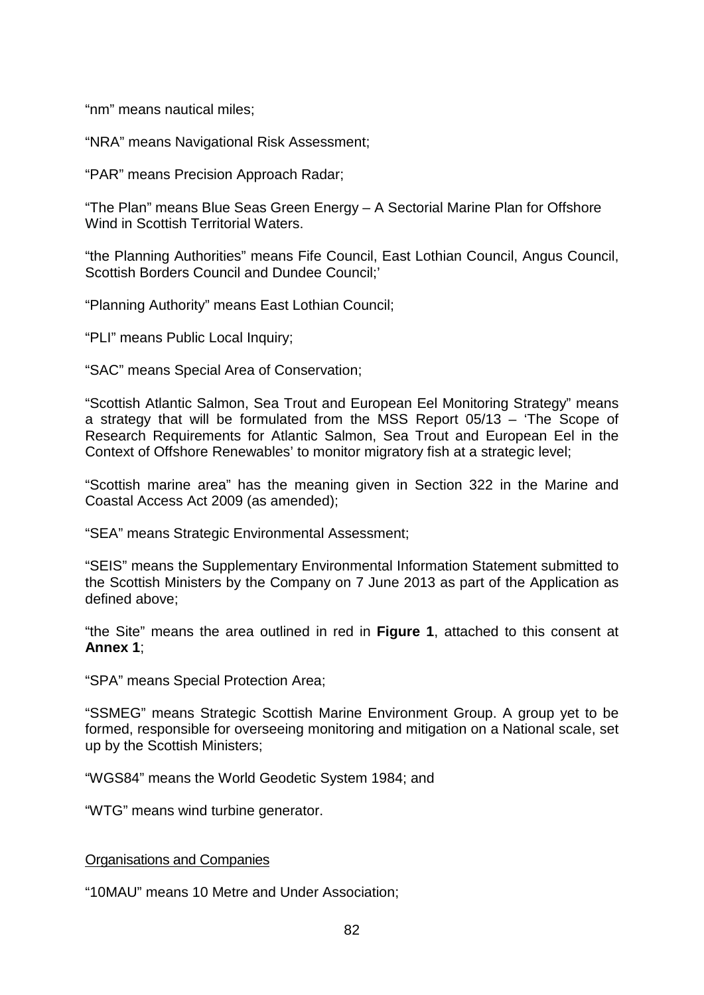"nm" means nautical miles;

"NRA" means Navigational Risk Assessment;

"PAR" means Precision Approach Radar;

"The Plan" means Blue Seas Green Energy – A Sectorial Marine Plan for Offshore Wind in Scottish Territorial Waters.

"the Planning Authorities" means Fife Council, East Lothian Council, Angus Council, Scottish Borders Council and Dundee Council;'

"Planning Authority" means East Lothian Council;

"PLI" means Public Local Inquiry;

"SAC" means Special Area of Conservation;

"Scottish Atlantic Salmon, Sea Trout and European Eel Monitoring Strategy" means a strategy that will be formulated from the MSS Report 05/13 – 'The Scope of Research Requirements for Atlantic Salmon, Sea Trout and European Eel in the Context of Offshore Renewables' to monitor migratory fish at a strategic level;

"Scottish marine area" has the meaning given in Section 322 in the Marine and Coastal Access Act 2009 (as amended);

"SEA" means Strategic Environmental Assessment;

"SEIS" means the Supplementary Environmental Information Statement submitted to the Scottish Ministers by the Company on 7 June 2013 as part of the Application as defined above;

"the Site" means the area outlined in red in **Figure 1**, attached to this consent at **Annex 1**;

"SPA" means Special Protection Area;

"SSMEG" means Strategic Scottish Marine Environment Group. A group yet to be formed, responsible for overseeing monitoring and mitigation on a National scale, set up by the Scottish Ministers;

"WGS84" means the World Geodetic System 1984; and

"WTG" means wind turbine generator.

#### Organisations and Companies

"10MAU" means 10 Metre and Under Association;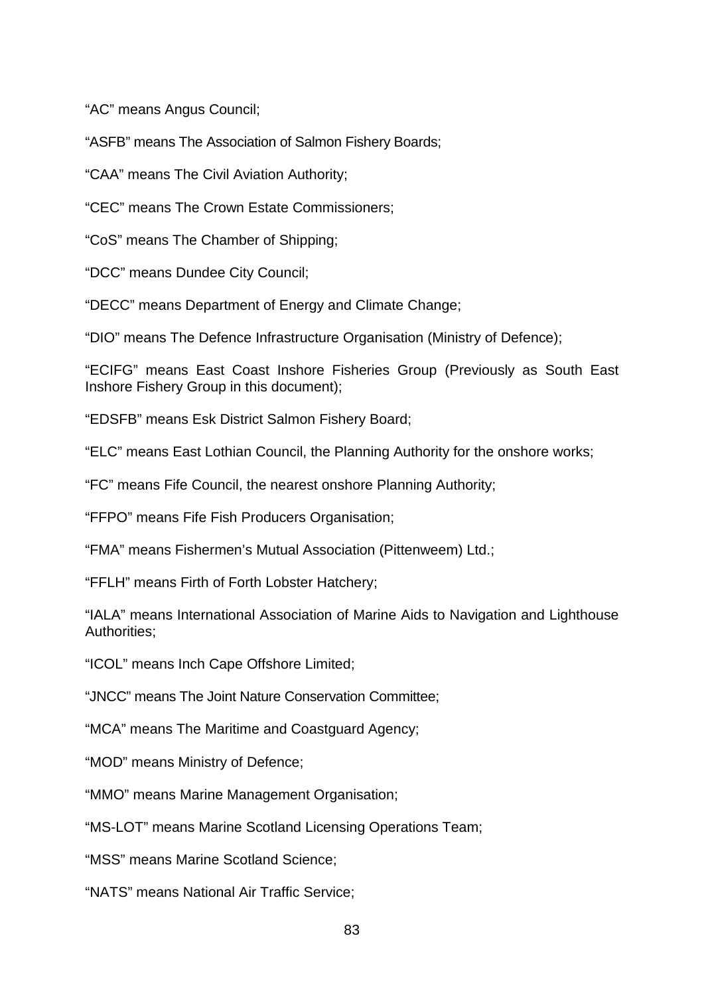"AC" means Angus Council;

"ASFB" means The Association of Salmon Fishery Boards;

"CAA" means The Civil Aviation Authority;

"CEC" means The Crown Estate Commissioners;

"CoS" means The Chamber of Shipping;

"DCC" means Dundee City Council;

"DECC" means Department of Energy and Climate Change;

"DIO" means The Defence Infrastructure Organisation (Ministry of Defence);

"ECIFG" means East Coast Inshore Fisheries Group (Previously as South East Inshore Fishery Group in this document);

"EDSFB" means Esk District Salmon Fishery Board;

"ELC" means East Lothian Council, the Planning Authority for the onshore works;

"FC" means Fife Council, the nearest onshore Planning Authority;

"FFPO" means Fife Fish Producers Organisation;

"FMA" means Fishermen's Mutual Association (Pittenweem) Ltd.;

"FFLH" means Firth of Forth Lobster Hatchery;

"IALA" means International Association of Marine Aids to Navigation and Lighthouse Authorities;

"ICOL" means Inch Cape Offshore Limited;

"JNCC" means The Joint Nature Conservation Committee;

"MCA" means The Maritime and Coastguard Agency;

"MOD" means Ministry of Defence;

"MMO" means Marine Management Organisation;

"MS-LOT" means Marine Scotland Licensing Operations Team;

"MSS" means Marine Scotland Science;

"NATS" means National Air Traffic Service;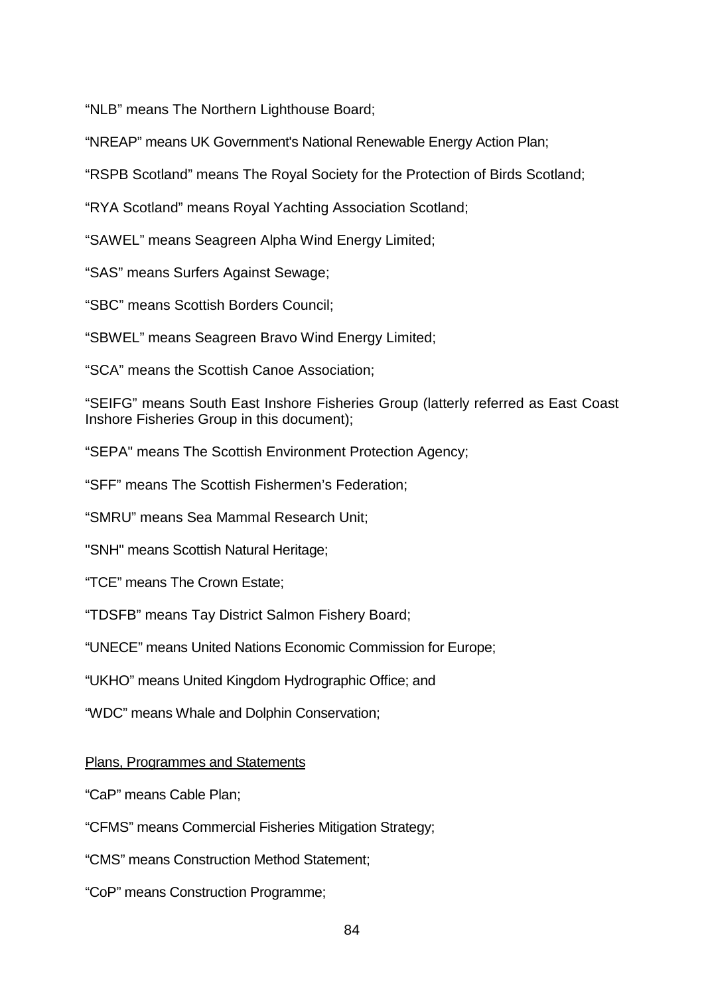"NLB" means The Northern Lighthouse Board;

"NREAP" means UK Government's National Renewable Energy Action Plan;

"RSPB Scotland" means The Royal Society for the Protection of Birds Scotland;

"RYA Scotland" means Royal Yachting Association Scotland;

"SAWEL" means Seagreen Alpha Wind Energy Limited;

"SAS" means Surfers Against Sewage;

"SBC" means Scottish Borders Council;

"SBWEL" means Seagreen Bravo Wind Energy Limited;

"SCA" means the Scottish Canoe Association;

"SEIFG" means South East Inshore Fisheries Group (latterly referred as East Coast Inshore Fisheries Group in this document);

"SEPA" means The Scottish Environment Protection Agency;

"SFF" means The Scottish Fishermen's Federation;

"SMRU" means Sea Mammal Research Unit;

"SNH" means Scottish Natural Heritage;

"TCE" means The Crown Estate;

"TDSFB" means Tay District Salmon Fishery Board;

"UNECE" means United Nations Economic Commission for Europe;

"UKHO" means United Kingdom Hydrographic Office; and

"WDC" means Whale and Dolphin Conservation;

Plans, Programmes and Statements

"CaP" means Cable Plan;

"CFMS" means Commercial Fisheries Mitigation Strategy;

"CMS" means Construction Method Statement;

"CoP" means Construction Programme;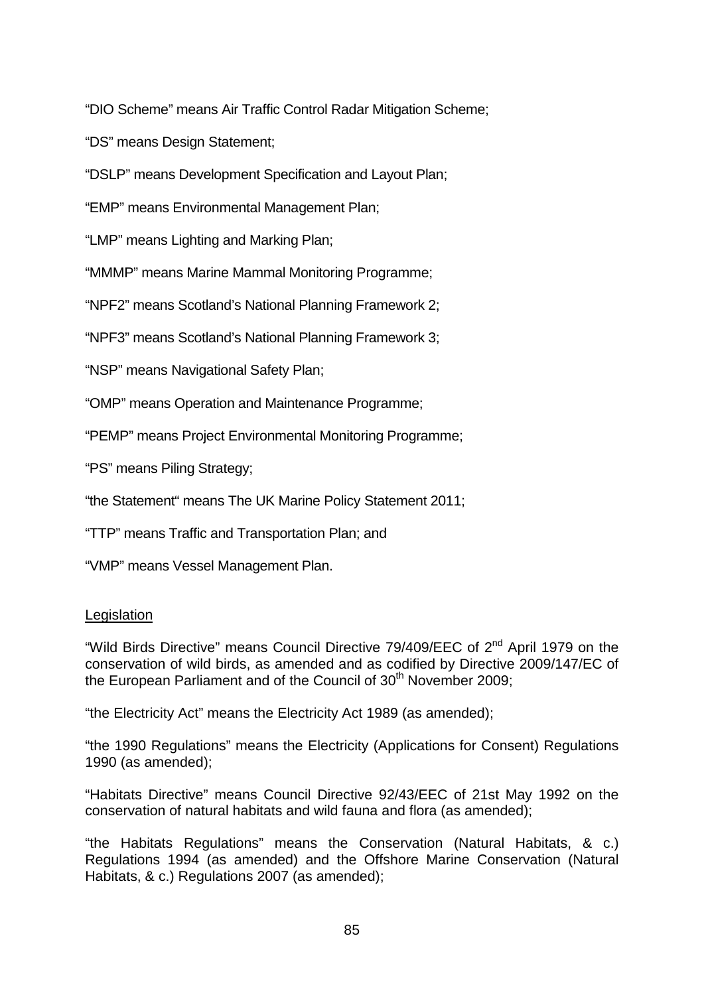"DIO Scheme" means Air Traffic Control Radar Mitigation Scheme;

"DS" means Design Statement;

"DSLP" means Development Specification and Layout Plan;

"EMP" means Environmental Management Plan;

"LMP" means Lighting and Marking Plan;

"MMMP" means Marine Mammal Monitoring Programme;

"NPF2" means Scotland's National Planning Framework 2;

"NPF3" means Scotland's National Planning Framework 3;

"NSP" means Navigational Safety Plan;

"OMP" means Operation and Maintenance Programme;

"PEMP" means Project Environmental Monitoring Programme;

"PS" means Piling Strategy;

"the Statement" means The UK Marine Policy Statement 2011;

"TTP" means Traffic and Transportation Plan; and

"VMP" means Vessel Management Plan.

#### **Legislation**

"Wild Birds Directive" means Council Directive 79/409/EEC of 2<sup>nd</sup> April 1979 on the conservation of wild birds, as amended and as codified by Directive 2009/147/EC of the European Parliament and of the Council of  $30<sup>th</sup>$  November 2009:

"the Electricity Act" means the Electricity Act 1989 (as amended);

"the 1990 Regulations" means the Electricity (Applications for Consent) Regulations 1990 (as amended);

"Habitats Directive" means Council Directive 92/43/EEC of 21st May 1992 on the conservation of natural habitats and wild fauna and flora (as amended);

"the Habitats Regulations" means the Conservation (Natural Habitats, & c.) Regulations 1994 (as amended) and the Offshore Marine Conservation (Natural Habitats, & c.) Regulations 2007 (as amended);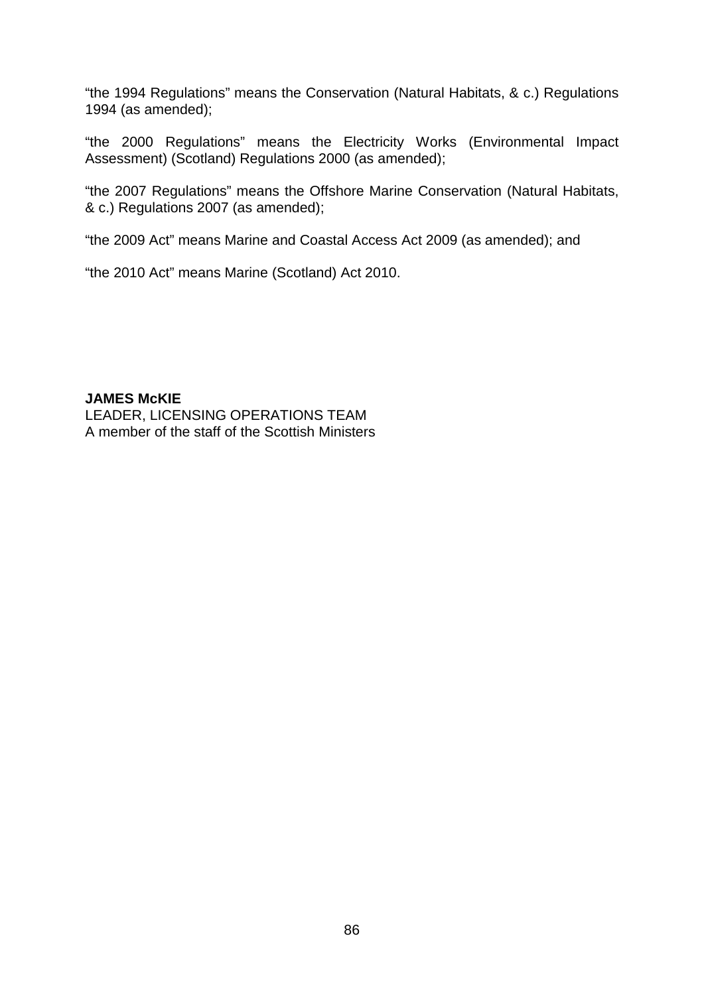"the 1994 Regulations" means the Conservation (Natural Habitats, & c.) Regulations 1994 (as amended);

"the 2000 Regulations" means the Electricity Works (Environmental Impact Assessment) (Scotland) Regulations 2000 (as amended);

"the 2007 Regulations" means the Offshore Marine Conservation (Natural Habitats, & c.) Regulations 2007 (as amended);

"the 2009 Act" means Marine and Coastal Access Act 2009 (as amended); and

"the 2010 Act" means Marine (Scotland) Act 2010.

**JAMES McKIE** LEADER, LICENSING OPERATIONS TEAM A member of the staff of the Scottish Ministers